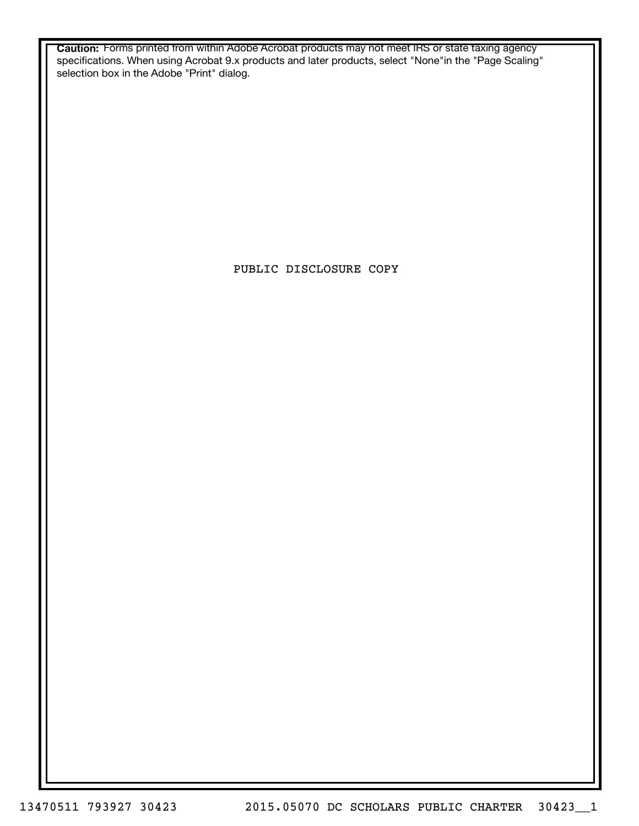**Caution:** Forms printed from within Adobe Acrobat products may not meet IRS or state taxing agency specifications. When using Acrobat 9.x products and later products, select "None"in the "Page Scaling" selection box in the Adobe "Print" dialog.

PUBLIC DISCLOSURE COPY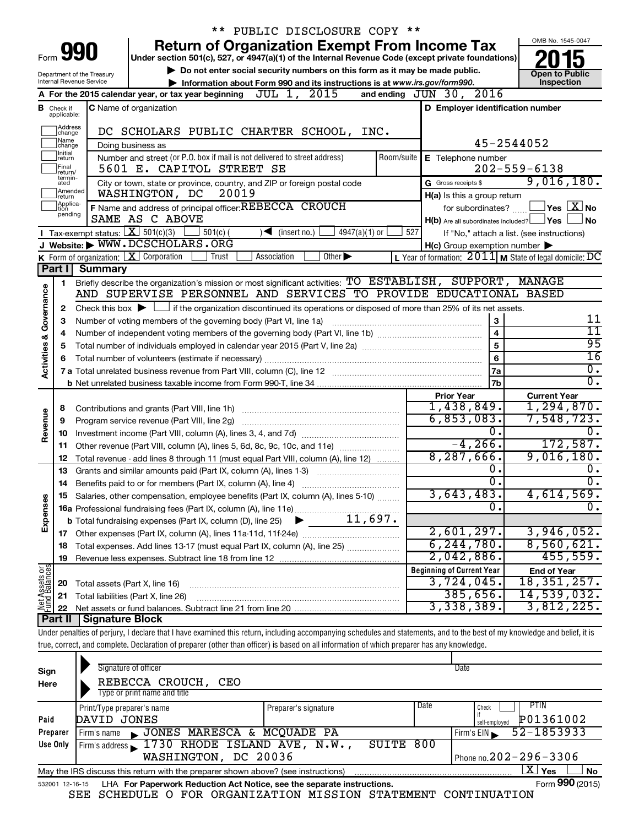|                                                                                                                   |                                  |                                             | PUBLIC DISCLOSURE COPY **                                                                                                                                                      |            |                                                     |                                                                    |
|-------------------------------------------------------------------------------------------------------------------|----------------------------------|---------------------------------------------|--------------------------------------------------------------------------------------------------------------------------------------------------------------------------------|------------|-----------------------------------------------------|--------------------------------------------------------------------|
|                                                                                                                   |                                  |                                             | <b>Return of Organization Exempt From Income Tax</b>                                                                                                                           |            |                                                     | OMB No. 1545-0047                                                  |
| 990<br>Form<br>Under section 501(c), 527, or 4947(a)(1) of the Internal Revenue Code (except private foundations) |                                  |                                             |                                                                                                                                                                                |            |                                                     |                                                                    |
|                                                                                                                   |                                  | Department of the Treasury                  | Do not enter social security numbers on this form as it may be made public.                                                                                                    |            | <b>Open to Public</b>                               |                                                                    |
|                                                                                                                   |                                  | Internal Revenue Service                    | Information about Form 990 and its instructions is at www.irs.gov/form990.                                                                                                     |            |                                                     | Inspection                                                         |
|                                                                                                                   |                                  |                                             | A For the 2015 calendar year, or tax year beginning $JUL$ 1, $2015$                                                                                                            |            | and ending $JUN$ 30, $2016$                         |                                                                    |
|                                                                                                                   | <b>B</b> Check if<br>applicable: |                                             | <b>C</b> Name of organization                                                                                                                                                  |            | D Employer identification number                    |                                                                    |
|                                                                                                                   | Address<br> change               |                                             |                                                                                                                                                                                |            |                                                     |                                                                    |
|                                                                                                                   | Name                             |                                             | DC SCHOLARS PUBLIC CHARTER SCHOOL, INC.                                                                                                                                        |            |                                                     | 45-2544052                                                         |
|                                                                                                                   | change<br>Initial                |                                             | Doing business as<br>Number and street (or P.O. box if mail is not delivered to street address)                                                                                | Room/suite |                                                     |                                                                    |
|                                                                                                                   | return<br>Final                  |                                             | 5601 E. CAPITOL STREET SE                                                                                                                                                      |            | E Telephone number                                  | $202 - 559 - 6138$                                                 |
|                                                                                                                   | return/<br>termin-<br>ated       |                                             | City or town, state or province, country, and ZIP or foreign postal code                                                                                                       |            | G Gross receipts \$                                 | 9,016,180.                                                         |
|                                                                                                                   | return                           | Amended                                     | 20019<br>WASHINGTON, DC                                                                                                                                                        |            | H(a) Is this a group return                         |                                                                    |
|                                                                                                                   | Applica-<br>tion                 |                                             | F Name and address of principal officer: REBECCA CROUCH                                                                                                                        |            | for subordinates?                                   | $\sqrt{\mathsf{Yes}\mathord{\;\mathbb{X}}\mathord{\;\mathsf{No}}}$ |
|                                                                                                                   | pending                          |                                             | SAME AS C ABOVE                                                                                                                                                                |            | $H(b)$ Are all subordinates included? $\Box$ Yes    | l No                                                               |
|                                                                                                                   |                                  | <b>I</b> Tax-exempt status: $X \ 501(c)(3)$ | $501(c)$ (<br>$4947(a)(1)$ or<br>$\sqrt{\frac{1}{1}}$ (insert no.)                                                                                                             | 527        |                                                     | If "No," attach a list. (see instructions)                         |
|                                                                                                                   |                                  |                                             | J Website: WWW.DCSCHOLARS.ORG                                                                                                                                                  |            | $H(c)$ Group exemption number $\blacktriangleright$ |                                                                    |
|                                                                                                                   |                                  |                                             | K Form of organization: $X$ Corporation<br>Trust<br>Association<br>Other $\blacktriangleright$                                                                                 |            |                                                     | L Year of formation: $2011$ M State of legal domicile: DC          |
|                                                                                                                   | Part I                           | Summary                                     |                                                                                                                                                                                |            |                                                     |                                                                    |
|                                                                                                                   | 1.                               |                                             | Briefly describe the organization's mission or most significant activities: TO ESTABLISH, SUPPORT, MANAGE<br>AND SUPERVISE PERSONNEL AND SERVICES TO PROVIDE EDUCATIONAL BASED |            |                                                     |                                                                    |
|                                                                                                                   |                                  |                                             |                                                                                                                                                                                |            |                                                     |                                                                    |
| Governance                                                                                                        | 2                                |                                             | Check this box $\blacktriangleright$ $\Box$ if the organization discontinued its operations or disposed of more than 25% of its net assets.                                    |            |                                                     |                                                                    |
|                                                                                                                   | З                                |                                             | Number of voting members of the governing body (Part VI, line 1a)                                                                                                              |            | 3                                                   | 11<br>$\overline{11}$                                              |
|                                                                                                                   | 4                                |                                             |                                                                                                                                                                                |            | $\overline{\mathbf{4}}$                             | 95                                                                 |
| <b>Activities &amp;</b>                                                                                           | 5                                |                                             |                                                                                                                                                                                |            | 5                                                   | $\overline{16}$                                                    |
|                                                                                                                   | 6                                |                                             |                                                                                                                                                                                |            | 6                                                   | σ.                                                                 |
|                                                                                                                   |                                  |                                             |                                                                                                                                                                                |            | 7a<br>7b                                            | σ.                                                                 |
|                                                                                                                   |                                  |                                             |                                                                                                                                                                                |            | <b>Prior Year</b>                                   | <b>Current Year</b>                                                |
|                                                                                                                   | 8                                |                                             |                                                                                                                                                                                |            | 1,438,849.                                          | 1,294,870.                                                         |
| Revenue                                                                                                           | 9                                |                                             | Program service revenue (Part VIII, line 2g)                                                                                                                                   |            | 6,853,083.                                          | 7,548,723.                                                         |
|                                                                                                                   | 10                               |                                             |                                                                                                                                                                                |            | 0.                                                  | 0.                                                                 |
|                                                                                                                   | 11                               |                                             | Other revenue (Part VIII, column (A), lines 5, 6d, 8c, 9c, 10c, and 11e)                                                                                                       |            | $-4, 266.$                                          | 172,587.                                                           |
|                                                                                                                   | 12                               |                                             | Total revenue - add lines 8 through 11 (must equal Part VIII, column (A), line 12)                                                                                             |            | 8, 287, 666.                                        | 9,016,180.                                                         |
|                                                                                                                   | 13                               |                                             | Grants and similar amounts paid (Part IX, column (A), lines 1-3)                                                                                                               |            | ο.                                                  | υ.                                                                 |
|                                                                                                                   | 14                               |                                             | Benefits paid to or for members (Part IX, column (A), line 4)                                                                                                                  |            | 0.                                                  | σ.                                                                 |
|                                                                                                                   |                                  |                                             | 15 Salaries, other compensation, employee benefits (Part IX, column (A), lines 5-10)                                                                                           |            | 3,643,483.                                          | 4,614,569.                                                         |
| Expenses                                                                                                          |                                  |                                             |                                                                                                                                                                                |            | 0.                                                  | Ο.                                                                 |
|                                                                                                                   |                                  |                                             |                                                                                                                                                                                |            |                                                     |                                                                    |
|                                                                                                                   |                                  |                                             |                                                                                                                                                                                |            | 2,601,297.                                          | 3,946,052.                                                         |
|                                                                                                                   | 18                               |                                             | Total expenses. Add lines 13-17 (must equal Part IX, column (A), line 25)                                                                                                      |            | 6, 244, 780.                                        | 8,560,621.                                                         |
|                                                                                                                   | 19                               |                                             |                                                                                                                                                                                |            | 2,042,886.                                          | 455,559.                                                           |
| Net Assets or                                                                                                     |                                  |                                             |                                                                                                                                                                                |            | <b>Beginning of Current Year</b><br>3,724,045.      | <b>End of Year</b><br>18,351,257.                                  |
|                                                                                                                   | 20                               |                                             | Total assets (Part X, line 16)<br>Total liabilities (Part X, line 26)                                                                                                          |            | 385,656.                                            | 14,539,032.                                                        |
|                                                                                                                   | 21<br>22                         |                                             |                                                                                                                                                                                |            | 3,338,389.                                          | 3,812,225.                                                         |
|                                                                                                                   | Part II                          | <b>Signature Block</b>                      |                                                                                                                                                                                |            |                                                     |                                                                    |
|                                                                                                                   |                                  |                                             | Under penalties of perjury, I declare that I have examined this return, including accompanying schedules and statements, and to the best of my knowledge and belief, it is     |            |                                                     |                                                                    |
|                                                                                                                   |                                  |                                             | true, correct, and complete. Declaration of preparer (other than officer) is based on all information of which preparer has any knowledge.                                     |            |                                                     |                                                                    |

| Sign<br>Here | Signature of officer<br>REBECCA CROUCH,<br>CEO<br>Type or print name and title                               |                      |                              | Date                       |  |  |  |  |
|--------------|--------------------------------------------------------------------------------------------------------------|----------------------|------------------------------|----------------------------|--|--|--|--|
|              | Print/Type preparer's name                                                                                   | Preparer's signature | Date                         | PTIN<br>Check              |  |  |  |  |
| Paid         | DAVID JONES                                                                                                  |                      |                              | P01361002<br>self-emploved |  |  |  |  |
| Preparer     | JONES MARESCA & MCQUADE PA<br>Firm's name                                                                    |                      |                              | 52-1853933<br>Firm's $EIN$ |  |  |  |  |
| Use Only     | Firm's address 1730 RHODE ISLAND AVE, N.W.,                                                                  | SUITE                | 800                          |                            |  |  |  |  |
|              | WASHINGTON, DC 20036                                                                                         |                      | Phone no. $202 - 296 - 3306$ |                            |  |  |  |  |
|              | X.<br>Yes<br><b>No</b><br>May the IRS discuss this return with the preparer shown above? (see instructions)  |                      |                              |                            |  |  |  |  |
|              | Form 990 (2015)<br>LHA For Paperwork Reduction Act Notice, see the separate instructions.<br>532001 12-16-15 |                      |                              |                            |  |  |  |  |

SEE SCHEDULE O FOR ORGANIZATION MISSION STATEMENT CONTINUATION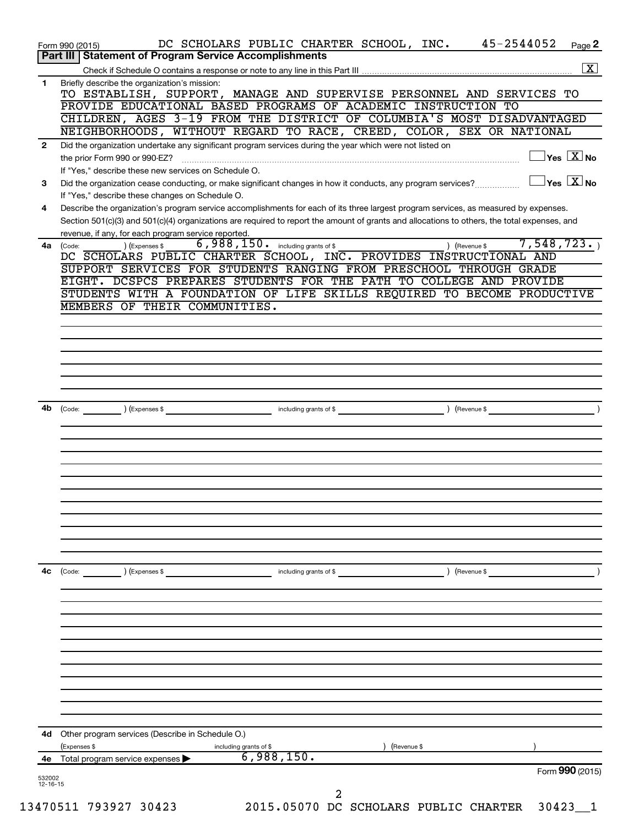|                          | DC SCHOLARS PUBLIC CHARTER SCHOOL, INC. 45-2544052<br>Page 2<br>Form 990 (2015)                                                                                                                                 |
|--------------------------|-----------------------------------------------------------------------------------------------------------------------------------------------------------------------------------------------------------------|
|                          | Part III   Statement of Program Service Accomplishments<br>$\boxed{\text{X}}$                                                                                                                                   |
| 1                        | Briefly describe the organization's mission:                                                                                                                                                                    |
|                          | TO ESTABLISH, SUPPORT, MANAGE AND SUPERVISE PERSONNEL AND SERVICES TO                                                                                                                                           |
|                          | PROVIDE EDUCATIONAL BASED PROGRAMS OF ACADEMIC INSTRUCTION TO                                                                                                                                                   |
|                          | CHILDREN, AGES 3-19 FROM THE DISTRICT OF COLUMBIA'S MOST DISADVANTAGED                                                                                                                                          |
|                          | NEIGHBORHOODS, WITHOUT REGARD TO RACE, CREED, COLOR, SEX OR NATIONAL                                                                                                                                            |
| $\mathbf{2}$             | Did the organization undertake any significant program services during the year which were not listed on                                                                                                        |
|                          | $\exists$ Yes $\boxed{\text{X}}$ No                                                                                                                                                                             |
| 3                        | If "Yes," describe these new services on Schedule O.<br>$\Box$ Yes $[\overline{\mathrm{X}}]$ No<br>Did the organization cease conducting, or make significant changes in how it conducts, any program services? |
|                          | If "Yes," describe these changes on Schedule O.                                                                                                                                                                 |
| 4                        | Describe the organization's program service accomplishments for each of its three largest program services, as measured by expenses.                                                                            |
|                          | Section 501(c)(3) and 501(c)(4) organizations are required to report the amount of grants and allocations to others, the total expenses, and                                                                    |
|                          | revenue, if any, for each program service reported.                                                                                                                                                             |
|                          | $6,988,150$ $\ldots$ including grants of \$<br>7,548,723.<br>) (Expenses \$<br>4a (Code:<br>) (Revenue \$                                                                                                       |
|                          | DC SCHOLARS PUBLIC CHARTER SCHOOL, INC. PROVIDES INSTRUCTIONAL AND<br>SUPPORT SERVICES FOR STUDENTS RANGING FROM PRESCHOOL THROUGH GRADE                                                                        |
|                          | EIGHT. DCSPCS PREPARES STUDENTS FOR THE PATH TO COLLEGE AND PROVIDE                                                                                                                                             |
|                          | STUDENTS WITH A FOUNDATION OF LIFE SKILLS REQUIRED TO BECOME PRODUCTIVE                                                                                                                                         |
|                          | MEMBERS OF THEIR COMMUNITIES.                                                                                                                                                                                   |
|                          |                                                                                                                                                                                                                 |
|                          |                                                                                                                                                                                                                 |
|                          |                                                                                                                                                                                                                 |
|                          |                                                                                                                                                                                                                 |
|                          |                                                                                                                                                                                                                 |
|                          |                                                                                                                                                                                                                 |
| 4b                       | Code: (Code: ) (Expenses \$ Finally state of \$ Finally state of \$ Theorem \$ Finally state of \$ Theorem \$ (Revenue \$ $\sim$ 5)                                                                             |
|                          |                                                                                                                                                                                                                 |
|                          |                                                                                                                                                                                                                 |
|                          |                                                                                                                                                                                                                 |
|                          |                                                                                                                                                                                                                 |
|                          |                                                                                                                                                                                                                 |
|                          |                                                                                                                                                                                                                 |
|                          |                                                                                                                                                                                                                 |
|                          |                                                                                                                                                                                                                 |
|                          |                                                                                                                                                                                                                 |
|                          |                                                                                                                                                                                                                 |
|                          |                                                                                                                                                                                                                 |
| 4с                       | $\left(\text{Code:}\right)$<br>(Expenses \$<br>Revenue \$<br>including grants of \$                                                                                                                             |
|                          |                                                                                                                                                                                                                 |
|                          |                                                                                                                                                                                                                 |
|                          |                                                                                                                                                                                                                 |
|                          |                                                                                                                                                                                                                 |
|                          |                                                                                                                                                                                                                 |
|                          |                                                                                                                                                                                                                 |
|                          |                                                                                                                                                                                                                 |
|                          |                                                                                                                                                                                                                 |
|                          |                                                                                                                                                                                                                 |
|                          |                                                                                                                                                                                                                 |
|                          | 4d Other program services (Describe in Schedule O.)                                                                                                                                                             |
|                          | Revenue \$<br>(Expenses \$<br>including grants of \$                                                                                                                                                            |
|                          | 6,988,150.<br>Total program service expenses                                                                                                                                                                    |
|                          | Form 990 (2015)                                                                                                                                                                                                 |
| 532002<br>$12 - 16 - 15$ |                                                                                                                                                                                                                 |
|                          |                                                                                                                                                                                                                 |
|                          | 2015.05070 DC SCHOLARS PUBLIC CHARTER 30423_1<br>13470511 793927 30423                                                                                                                                          |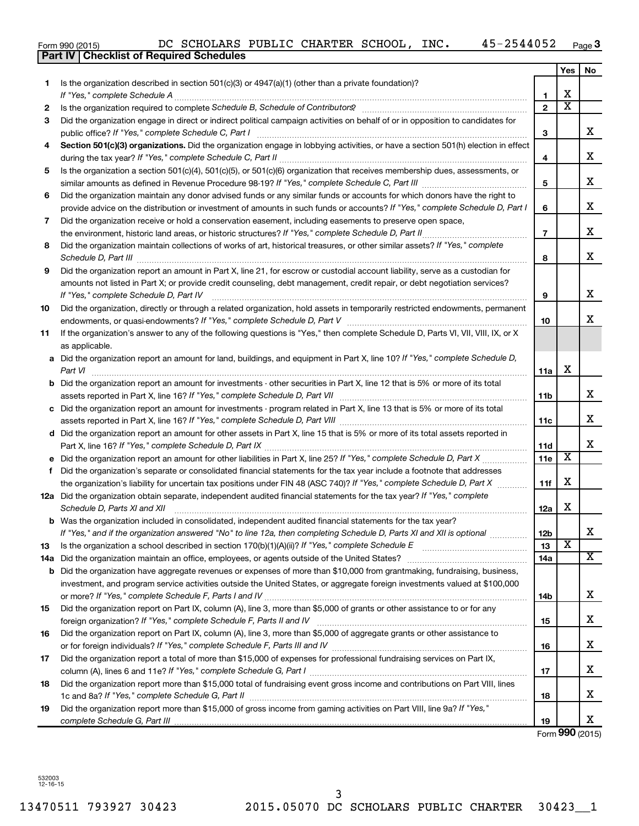|  | Form 990 (2015) |
|--|-----------------|
|  |                 |

|     | <b>Checklist of Required Schedules</b><br><b>Part IV</b>                                                                                                                                                                                              |                |                         |     |
|-----|-------------------------------------------------------------------------------------------------------------------------------------------------------------------------------------------------------------------------------------------------------|----------------|-------------------------|-----|
|     |                                                                                                                                                                                                                                                       |                | <b>Yes</b>              | No. |
| 1   | Is the organization described in section $501(c)(3)$ or $4947(a)(1)$ (other than a private foundation)?                                                                                                                                               |                |                         |     |
|     |                                                                                                                                                                                                                                                       | 1              | X                       |     |
| 2   |                                                                                                                                                                                                                                                       | $\mathbf{2}$   | $\overline{\mathbf{X}}$ |     |
| 3   | Did the organization engage in direct or indirect political campaign activities on behalf of or in opposition to candidates for                                                                                                                       |                |                         |     |
|     |                                                                                                                                                                                                                                                       | 3              |                         | x   |
| 4   | Section 501(c)(3) organizations. Did the organization engage in lobbying activities, or have a section 501(h) election in effect                                                                                                                      |                |                         |     |
|     |                                                                                                                                                                                                                                                       | 4              |                         | х   |
| 5   | Is the organization a section 501(c)(4), 501(c)(5), or 501(c)(6) organization that receives membership dues, assessments, or                                                                                                                          |                |                         |     |
|     |                                                                                                                                                                                                                                                       | 5              |                         | х   |
| 6   | Did the organization maintain any donor advised funds or any similar funds or accounts for which donors have the right to                                                                                                                             |                |                         |     |
|     | provide advice on the distribution or investment of amounts in such funds or accounts? If "Yes," complete Schedule D, Part I                                                                                                                          | 6              |                         | x   |
| 7   | Did the organization receive or hold a conservation easement, including easements to preserve open space,                                                                                                                                             |                |                         |     |
|     |                                                                                                                                                                                                                                                       | $\overline{7}$ |                         | х   |
| 8   | Did the organization maintain collections of works of art, historical treasures, or other similar assets? If "Yes," complete                                                                                                                          |                |                         |     |
|     | Schedule D, Part III <b>Process Construction Construction Construction</b> Construction Construction Construction Construction Construction Construction Construction Construction Construction Construction Construction Construct                   | 8              |                         | х   |
| 9   | Did the organization report an amount in Part X, line 21, for escrow or custodial account liability, serve as a custodian for                                                                                                                         |                |                         |     |
|     | amounts not listed in Part X; or provide credit counseling, debt management, credit repair, or debt negotiation services?                                                                                                                             |                |                         |     |
|     | If "Yes," complete Schedule D, Part IV                                                                                                                                                                                                                | 9              |                         | x   |
| 10  | Did the organization, directly or through a related organization, hold assets in temporarily restricted endowments, permanent                                                                                                                         |                |                         |     |
|     |                                                                                                                                                                                                                                                       | 10             |                         | x   |
| 11  | If the organization's answer to any of the following questions is "Yes," then complete Schedule D, Parts VI, VII, VIII, IX, or X                                                                                                                      |                |                         |     |
|     | as applicable.                                                                                                                                                                                                                                        |                |                         |     |
|     | a Did the organization report an amount for land, buildings, and equipment in Part X, line 10? If "Yes," complete Schedule D,                                                                                                                         |                |                         |     |
|     |                                                                                                                                                                                                                                                       | 11a            | X                       |     |
|     | <b>b</b> Did the organization report an amount for investments - other securities in Part X, line 12 that is 5% or more of its total                                                                                                                  |                |                         |     |
|     |                                                                                                                                                                                                                                                       | 11b            |                         | х   |
|     | c Did the organization report an amount for investments - program related in Part X, line 13 that is 5% or more of its total                                                                                                                          |                |                         |     |
|     |                                                                                                                                                                                                                                                       | 11с            |                         | х   |
|     | d Did the organization report an amount for other assets in Part X, line 15 that is 5% or more of its total assets reported in                                                                                                                        |                |                         |     |
|     |                                                                                                                                                                                                                                                       | 11d            |                         | х   |
|     |                                                                                                                                                                                                                                                       | 11e            | X                       |     |
|     | f Did the organization's separate or consolidated financial statements for the tax year include a footnote that addresses                                                                                                                             |                |                         |     |
|     | the organization's liability for uncertain tax positions under FIN 48 (ASC 740)? If "Yes," complete Schedule D, Part X                                                                                                                                | 11f            | X                       |     |
|     | 12a Did the organization obtain separate, independent audited financial statements for the tax year? If "Yes," complete                                                                                                                               |                |                         |     |
|     | Schedule D, Parts XI and XII                                                                                                                                                                                                                          | 12a            | X                       |     |
|     | <b>b</b> Was the organization included in consolidated, independent audited financial statements for the tax year?                                                                                                                                    |                |                         | X   |
|     | If "Yes," and if the organization answered "No" to line 12a, then completing Schedule D, Parts XI and XII is optional                                                                                                                                 | 12b            | X                       |     |
| 13  |                                                                                                                                                                                                                                                       | 13             |                         | X   |
| 14a |                                                                                                                                                                                                                                                       | 14a            |                         |     |
| b   | Did the organization have aggregate revenues or expenses of more than \$10,000 from grantmaking, fundraising, business,<br>investment, and program service activities outside the United States, or aggregate foreign investments valued at \$100,000 |                |                         |     |
|     |                                                                                                                                                                                                                                                       |                |                         | x   |
|     | Did the organization report on Part IX, column (A), line 3, more than \$5,000 of grants or other assistance to or for any                                                                                                                             | 14b            |                         |     |
| 15  |                                                                                                                                                                                                                                                       |                |                         | х   |
| 16  | Did the organization report on Part IX, column (A), line 3, more than \$5,000 of aggregate grants or other assistance to                                                                                                                              | 15             |                         |     |
|     |                                                                                                                                                                                                                                                       | 16             |                         | х   |
| 17  | Did the organization report a total of more than \$15,000 of expenses for professional fundraising services on Part IX,                                                                                                                               |                |                         |     |
|     |                                                                                                                                                                                                                                                       | 17             |                         | х   |
| 18  | Did the organization report more than \$15,000 total of fundraising event gross income and contributions on Part VIII, lines                                                                                                                          |                |                         |     |
|     |                                                                                                                                                                                                                                                       | 18             |                         | х   |
| 19  | Did the organization report more than \$15,000 of gross income from gaming activities on Part VIII, line 9a? If "Yes,"                                                                                                                                |                |                         |     |
|     |                                                                                                                                                                                                                                                       | 19             |                         | X   |
|     |                                                                                                                                                                                                                                                       |                |                         |     |

Form **990** (2015)

532003 12-16-15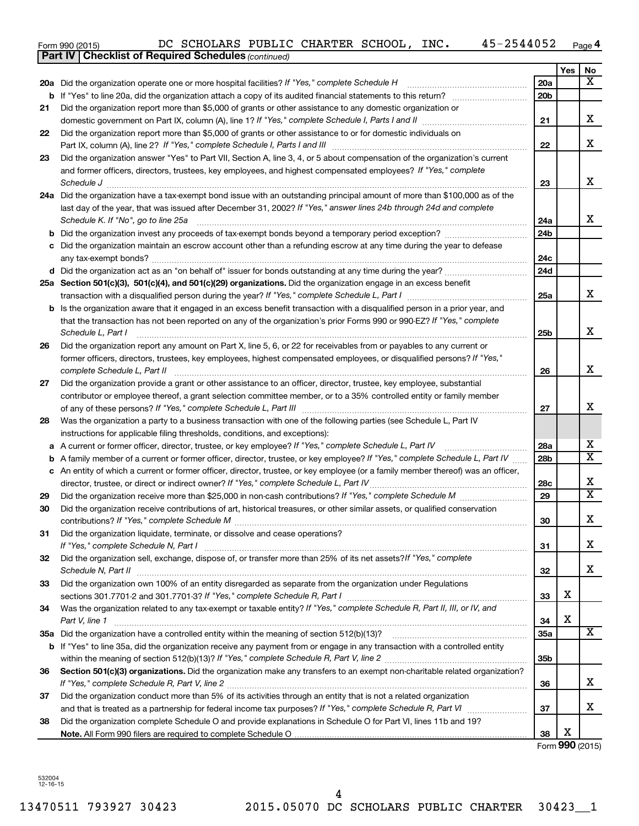| Form 990 (2015) | DC SCHOLARS PUBLIC CHARTER SCHOOL, |  |  |  | INC. | 45-2544052 | Page |
|-----------------|------------------------------------|--|--|--|------|------------|------|
|-----------------|------------------------------------|--|--|--|------|------------|------|

|    | <b>Part IV   Checklist of Required Schedules (continued)</b>                                                                      |                 |     |                         |
|----|-----------------------------------------------------------------------------------------------------------------------------------|-----------------|-----|-------------------------|
|    |                                                                                                                                   |                 | Yes | No                      |
|    | 20a Did the organization operate one or more hospital facilities? If "Yes," complete Schedule H                                   | 20a             |     | $\overline{\mathbf{X}}$ |
| b  |                                                                                                                                   | 20 <sub>b</sub> |     |                         |
| 21 | Did the organization report more than \$5,000 of grants or other assistance to any domestic organization or                       |                 |     |                         |
|    |                                                                                                                                   | 21              |     | x                       |
| 22 | Did the organization report more than \$5,000 of grants or other assistance to or for domestic individuals on                     |                 |     |                         |
|    |                                                                                                                                   | 22              |     | x                       |
| 23 | Did the organization answer "Yes" to Part VII, Section A, line 3, 4, or 5 about compensation of the organization's current        |                 |     |                         |
|    | and former officers, directors, trustees, key employees, and highest compensated employees? If "Yes," complete                    |                 |     |                         |
|    | Schedule J                                                                                                                        | 23              |     | x                       |
|    | 24a Did the organization have a tax-exempt bond issue with an outstanding principal amount of more than \$100,000 as of the       |                 |     |                         |
|    | last day of the year, that was issued after December 31, 2002? If "Yes," answer lines 24b through 24d and complete                |                 |     |                         |
|    | Schedule K. If "No", go to line 25a                                                                                               | 24a             |     | x                       |
|    |                                                                                                                                   | 24 <sub>b</sub> |     |                         |
|    | Did the organization maintain an escrow account other than a refunding escrow at any time during the year to defease              |                 |     |                         |
|    |                                                                                                                                   | 24c             |     |                         |
|    |                                                                                                                                   | 24d             |     |                         |
|    | 25a Section 501(c)(3), 501(c)(4), and 501(c)(29) organizations. Did the organization engage in an excess benefit                  |                 |     |                         |
|    |                                                                                                                                   | 25a             |     | x                       |
| b  | Is the organization aware that it engaged in an excess benefit transaction with a disqualified person in a prior year, and        |                 |     |                         |
|    | that the transaction has not been reported on any of the organization's prior Forms 990 or 990-EZ? If "Yes," complete             |                 |     |                         |
|    | Schedule L, Part I                                                                                                                | 25b             |     | x                       |
| 26 | Did the organization report any amount on Part X, line 5, 6, or 22 for receivables from or payables to any current or             |                 |     |                         |
|    | former officers, directors, trustees, key employees, highest compensated employees, or disqualified persons? If "Yes,"            |                 |     |                         |
|    | complete Schedule L, Part II                                                                                                      | 26              |     | x                       |
| 27 | Did the organization provide a grant or other assistance to an officer, director, trustee, key employee, substantial              |                 |     |                         |
|    | contributor or employee thereof, a grant selection committee member, or to a 35% controlled entity or family member               |                 |     |                         |
|    |                                                                                                                                   | 27              |     | x                       |
| 28 | Was the organization a party to a business transaction with one of the following parties (see Schedule L, Part IV                 |                 |     |                         |
|    | instructions for applicable filing thresholds, conditions, and exceptions):                                                       |                 |     |                         |
| а  | A current or former officer, director, trustee, or key employee? If "Yes," complete Schedule L, Part IV                           | 28a             |     | x                       |
| b  | A family member of a current or former officer, director, trustee, or key employee? If "Yes," complete Schedule L, Part IV        | 28 <sub>b</sub> |     | $\overline{\text{X}}$   |
|    | c An entity of which a current or former officer, director, trustee, or key employee (or a family member thereof) was an officer, |                 |     |                         |
|    | director, trustee, or direct or indirect owner? If "Yes," complete Schedule L, Part IV                                            | 28c             |     | x                       |
| 29 |                                                                                                                                   | 29              |     | $\overline{\mathtt{x}}$ |
| 30 | Did the organization receive contributions of art, historical treasures, or other similar assets, or qualified conservation       |                 |     |                         |
|    |                                                                                                                                   | 30              |     | Y<br>▵                  |
| 31 | Did the organization liquidate, terminate, or dissolve and cease operations?                                                      |                 |     |                         |
|    |                                                                                                                                   | 31              |     | x                       |
| 32 | Did the organization sell, exchange, dispose of, or transfer more than 25% of its net assets? If "Yes," complete                  |                 |     |                         |
|    | Schedule N, Part II                                                                                                               | 32              |     | x                       |
| 33 | Did the organization own 100% of an entity disregarded as separate from the organization under Regulations                        |                 |     |                         |
|    |                                                                                                                                   | 33              | х   |                         |
| 34 | Was the organization related to any tax-exempt or taxable entity? If "Yes," complete Schedule R, Part II, III, or IV, and         |                 |     |                         |
|    | Part V, line 1                                                                                                                    | 34              | х   |                         |
|    |                                                                                                                                   | 35a             |     | $\overline{\mathbf{X}}$ |
|    | b If "Yes" to line 35a, did the organization receive any payment from or engage in any transaction with a controlled entity       |                 |     |                         |
|    |                                                                                                                                   | 35b             |     |                         |
| 36 | Section 501(c)(3) organizations. Did the organization make any transfers to an exempt non-charitable related organization?        |                 |     |                         |
|    |                                                                                                                                   | 36              |     | x                       |
| 37 | Did the organization conduct more than 5% of its activities through an entity that is not a related organization                  |                 |     |                         |
|    |                                                                                                                                   | 37              |     | x                       |
| 38 | Did the organization complete Schedule O and provide explanations in Schedule O for Part VI, lines 11b and 19?                    |                 | X   |                         |
|    |                                                                                                                                   | 38              |     |                         |

Form **990** (2015)

532004 12-16-15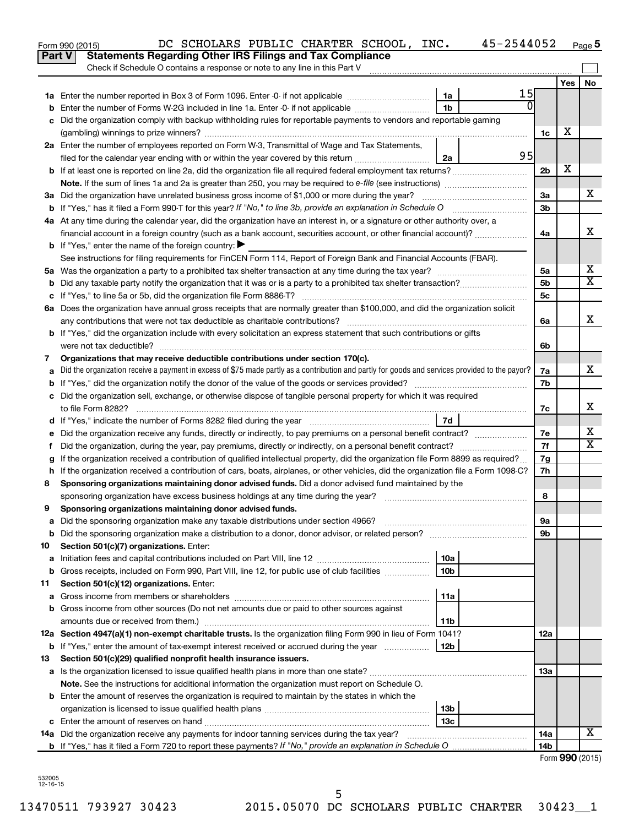|               | 45-2544052<br>DC SCHOLARS PUBLIC CHARTER SCHOOL, INC.<br>Form 990 (2015)                                                                                                                                                                         |                 |                 | Page 5 |
|---------------|--------------------------------------------------------------------------------------------------------------------------------------------------------------------------------------------------------------------------------------------------|-----------------|-----------------|--------|
| <b>Part V</b> | <b>Statements Regarding Other IRS Filings and Tax Compliance</b>                                                                                                                                                                                 |                 |                 |        |
|               | Check if Schedule O contains a response or note to any line in this Part V                                                                                                                                                                       |                 |                 |        |
|               |                                                                                                                                                                                                                                                  |                 | Yes             | No     |
|               | 15<br>1a<br>$\Omega$                                                                                                                                                                                                                             |                 |                 |        |
| b             | 1 <sub>b</sub><br>Enter the number of Forms W-2G included in line 1a. Enter -0- if not applicable                                                                                                                                                |                 |                 |        |
| c             | Did the organization comply with backup withholding rules for reportable payments to vendors and reportable gaming                                                                                                                               |                 | X               |        |
|               |                                                                                                                                                                                                                                                  | 1c              |                 |        |
|               | 2a Enter the number of employees reported on Form W-3, Transmittal of Wage and Tax Statements,<br>95                                                                                                                                             |                 |                 |        |
|               | filed for the calendar year ending with or within the year covered by this return<br>2a                                                                                                                                                          |                 | х               |        |
|               |                                                                                                                                                                                                                                                  | 2 <sub>b</sub>  |                 |        |
|               |                                                                                                                                                                                                                                                  |                 |                 | x      |
|               |                                                                                                                                                                                                                                                  | 3a              |                 |        |
|               |                                                                                                                                                                                                                                                  | 3 <sub>b</sub>  |                 |        |
|               | 4a At any time during the calendar year, did the organization have an interest in, or a signature or other authority over, a<br>financial account in a foreign country (such as a bank account, securities account, or other financial account)? | 4a              |                 | X      |
|               | <b>b</b> If "Yes," enter the name of the foreign country: $\blacktriangleright$                                                                                                                                                                  |                 |                 |        |
|               | See instructions for filing requirements for FinCEN Form 114, Report of Foreign Bank and Financial Accounts (FBAR).                                                                                                                              |                 |                 |        |
|               |                                                                                                                                                                                                                                                  | 5a              |                 | х      |
| b             |                                                                                                                                                                                                                                                  | 5 <sub>b</sub>  |                 | X      |
|               |                                                                                                                                                                                                                                                  | 5c              |                 |        |
|               | 6a Does the organization have annual gross receipts that are normally greater than \$100,000, and did the organization solicit                                                                                                                   |                 |                 |        |
|               |                                                                                                                                                                                                                                                  | 6a              |                 | X      |
|               | <b>b</b> If "Yes," did the organization include with every solicitation an express statement that such contributions or gifts                                                                                                                    |                 |                 |        |
|               |                                                                                                                                                                                                                                                  | 6b              |                 |        |
| 7             | Organizations that may receive deductible contributions under section 170(c).                                                                                                                                                                    |                 |                 |        |
| a             | Did the organization receive a payment in excess of \$75 made partly as a contribution and partly for goods and services provided to the payor?                                                                                                  | 7a              |                 | x      |
| b             |                                                                                                                                                                                                                                                  | 7b              |                 |        |
|               | c Did the organization sell, exchange, or otherwise dispose of tangible personal property for which it was required                                                                                                                              |                 |                 |        |
|               |                                                                                                                                                                                                                                                  | 7с              |                 | х      |
|               | 7d                                                                                                                                                                                                                                               |                 |                 |        |
|               |                                                                                                                                                                                                                                                  | 7e              |                 | х      |
| Ť.            | Did the organization, during the year, pay premiums, directly or indirectly, on a personal benefit contract?                                                                                                                                     | 7f              |                 | X      |
| g             | If the organization received a contribution of qualified intellectual property, did the organization file Form 8899 as required?                                                                                                                 | 7g              |                 |        |
|               | h If the organization received a contribution of cars, boats, airplanes, or other vehicles, did the organization file a Form 1098-C?                                                                                                             | 7h              |                 |        |
| 8             | Sponsoring organizations maintaining donor advised funds. Did a donor advised fund maintained by the                                                                                                                                             |                 |                 |        |
|               |                                                                                                                                                                                                                                                  | 8               |                 |        |
|               | Sponsoring organizations maintaining donor advised funds.                                                                                                                                                                                        |                 |                 |        |
| а             | Did the sponsoring organization make any taxable distributions under section 4966?                                                                                                                                                               | 9а              |                 |        |
| b             | Did the sponsoring organization make a distribution to a donor, donor advisor, or related person?                                                                                                                                                | 9b              |                 |        |
| 10            | Section 501(c)(7) organizations. Enter:                                                                                                                                                                                                          |                 |                 |        |
| a             | 10a                                                                                                                                                                                                                                              |                 |                 |        |
| b             | 10 <sub>b</sub><br>Gross receipts, included on Form 990, Part VIII, line 12, for public use of club facilities                                                                                                                                   |                 |                 |        |
| 11            | Section 501(c)(12) organizations. Enter:                                                                                                                                                                                                         |                 |                 |        |
| а             | 11a                                                                                                                                                                                                                                              |                 |                 |        |
| b             | Gross income from other sources (Do not net amounts due or paid to other sources against                                                                                                                                                         |                 |                 |        |
|               | amounts due or received from them.)<br>11b                                                                                                                                                                                                       |                 |                 |        |
|               | 12a Section 4947(a)(1) non-exempt charitable trusts. Is the organization filing Form 990 in lieu of Form 1041?                                                                                                                                   | 12a             |                 |        |
|               | <b>b</b> If "Yes," enter the amount of tax-exempt interest received or accrued during the year<br>12b                                                                                                                                            |                 |                 |        |
| 13            | Section 501(c)(29) qualified nonprofit health insurance issuers.                                                                                                                                                                                 |                 |                 |        |
| а             | Is the organization licensed to issue qualified health plans in more than one state?                                                                                                                                                             | 13a             |                 |        |
|               | Note. See the instructions for additional information the organization must report on Schedule O.                                                                                                                                                |                 |                 |        |
|               | <b>b</b> Enter the amount of reserves the organization is required to maintain by the states in which the                                                                                                                                        |                 |                 |        |
|               | 13b                                                                                                                                                                                                                                              |                 |                 |        |
| c             | 13c                                                                                                                                                                                                                                              |                 |                 |        |
|               | 14a Did the organization receive any payments for indoor tanning services during the tax year?                                                                                                                                                   | 14a             |                 | x      |
|               |                                                                                                                                                                                                                                                  | 14 <sub>b</sub> |                 |        |
|               |                                                                                                                                                                                                                                                  |                 | Form 990 (2015) |        |

| 732005     |  |
|------------|--|
| 6-1<br>۰'n |  |

13470511 793927 30423 2015.05070 DC SCHOLARS PUBLIC CHARTER 30423\_\_1 5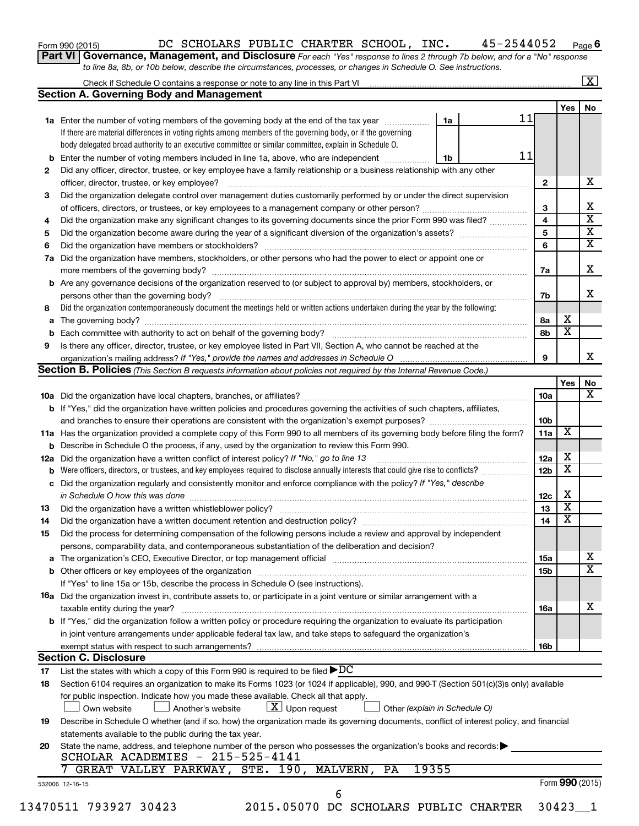| Form 990 (2015) |  |  |
|-----------------|--|--|
|-----------------|--|--|

### Form 990 (2015)  $\,$ DC SCHOLARS PUBLIC CHARTER SCHOOL, INC.  $\,$  45-2544052  $\,$  Page

**6**

**Part VI** Governance, Management, and Disclosure For each "Yes" response to lines 2 through 7b below, and for a "No" response *to line 8a, 8b, or 10b below, describe the circumstances, processes, or changes in Schedule O. See instructions.*

|     |                                                                                                                                                                                                                                |       |                 |                 | $\mathbf{X}$            |
|-----|--------------------------------------------------------------------------------------------------------------------------------------------------------------------------------------------------------------------------------|-------|-----------------|-----------------|-------------------------|
|     | <b>Section A. Governing Body and Management</b>                                                                                                                                                                                |       |                 |                 |                         |
|     |                                                                                                                                                                                                                                |       |                 | Yes             | No                      |
|     | <b>1a</b> Enter the number of voting members of the governing body at the end of the tax year                                                                                                                                  | 1a    | 11              |                 |                         |
|     | If there are material differences in voting rights among members of the governing body, or if the governing                                                                                                                    |       |                 |                 |                         |
|     | body delegated broad authority to an executive committee or similar committee, explain in Schedule O.                                                                                                                          |       |                 |                 |                         |
| b   | Enter the number of voting members included in line 1a, above, who are independent <i>manners</i>                                                                                                                              | 1b    | 11              |                 |                         |
| 2   | Did any officer, director, trustee, or key employee have a family relationship or a business relationship with any other                                                                                                       |       |                 |                 |                         |
|     | officer, director, trustee, or key employee?                                                                                                                                                                                   |       | $\mathbf{2}$    |                 | х                       |
| 3   | Did the organization delegate control over management duties customarily performed by or under the direct supervision                                                                                                          |       |                 |                 |                         |
|     |                                                                                                                                                                                                                                |       | 3               |                 | х                       |
| 4   | Did the organization make any significant changes to its governing documents since the prior Form 990 was filed?                                                                                                               |       | 4               |                 | $\overline{\mathbf{x}}$ |
| 5   |                                                                                                                                                                                                                                |       | 5               |                 | $\overline{\mathbf{x}}$ |
| 6   |                                                                                                                                                                                                                                |       | 6               |                 | $\overline{\mathbf{X}}$ |
| 7a  | Did the organization have members, stockholders, or other persons who had the power to elect or appoint one or                                                                                                                 |       |                 |                 |                         |
|     |                                                                                                                                                                                                                                |       | 7a              |                 | X                       |
| b   | Are any governance decisions of the organization reserved to (or subject to approval by) members, stockholders, or                                                                                                             |       |                 |                 |                         |
|     |                                                                                                                                                                                                                                |       | 7b              |                 | x                       |
| 8   | Did the organization contemporaneously document the meetings held or written actions undertaken during the year by the following:                                                                                              |       |                 |                 |                         |
|     |                                                                                                                                                                                                                                |       |                 | X               |                         |
| a   |                                                                                                                                                                                                                                |       | 8а              | х               |                         |
| b   |                                                                                                                                                                                                                                |       | 8b              |                 |                         |
| 9   | Is there any officer, director, trustee, or key employee listed in Part VII, Section A, who cannot be reached at the                                                                                                           |       | 9               |                 | х                       |
|     |                                                                                                                                                                                                                                |       |                 |                 |                         |
|     | <b>Section B. Policies</b> (This Section B requests information about policies not required by the Internal Revenue Code.)                                                                                                     |       |                 |                 |                         |
|     |                                                                                                                                                                                                                                |       |                 | Yes             | No<br>х                 |
|     |                                                                                                                                                                                                                                |       | 10a             |                 |                         |
|     | <b>b</b> If "Yes," did the organization have written policies and procedures governing the activities of such chapters, affiliates,                                                                                            |       |                 |                 |                         |
|     |                                                                                                                                                                                                                                |       | 10b             |                 |                         |
|     | 11a Has the organization provided a complete copy of this Form 990 to all members of its governing body before filing the form?                                                                                                |       | 11a             | X               |                         |
|     | <b>b</b> Describe in Schedule O the process, if any, used by the organization to review this Form 990.                                                                                                                         |       |                 |                 |                         |
| 12a | Did the organization have a written conflict of interest policy? If "No," go to line 13                                                                                                                                        |       | 12a             | х               |                         |
| b   | Were officers, directors, or trustees, and key employees required to disclose annually interests that could give rise to conflicts?                                                                                            |       | 12 <sub>b</sub> | X               |                         |
| с   | Did the organization regularly and consistently monitor and enforce compliance with the policy? If "Yes," describe                                                                                                             |       |                 |                 |                         |
|     | in Schedule O how this was done manufactured and continuum and contact the state of the state of the state of                                                                                                                  |       | 12c             | X               |                         |
| 13  |                                                                                                                                                                                                                                |       | 13              | X               |                         |
| 14  | Did the organization have a written document retention and destruction policy? [11] manufaction model of the organization have a written document retention and destruction policy?                                            |       | 14              | X               |                         |
| 15  | Did the process for determining compensation of the following persons include a review and approval by independent                                                                                                             |       |                 |                 |                         |
|     | persons, comparability data, and contemporaneous substantiation of the deliberation and decision?                                                                                                                              |       |                 |                 |                         |
| а   | The organization's CEO, Executive Director, or top management official manufactured content content of the organization's CEO, Executive Director, or top management official manufactured content of the original manufacture |       | 15a             |                 | х                       |
|     |                                                                                                                                                                                                                                |       | <b>15b</b>      |                 | X                       |
|     | If "Yes" to line 15a or 15b, describe the process in Schedule O (see instructions).                                                                                                                                            |       |                 |                 |                         |
|     | 16a Did the organization invest in, contribute assets to, or participate in a joint venture or similar arrangement with a                                                                                                      |       |                 |                 |                         |
|     | taxable entity during the year?                                                                                                                                                                                                |       | 16a             |                 | x                       |
|     | b If "Yes," did the organization follow a written policy or procedure requiring the organization to evaluate its participation                                                                                                 |       |                 |                 |                         |
|     | in joint venture arrangements under applicable federal tax law, and take steps to safeguard the organization's                                                                                                                 |       |                 |                 |                         |
|     | exempt status with respect to such arrangements?                                                                                                                                                                               |       | 16b             |                 |                         |
|     | <b>Section C. Disclosure</b>                                                                                                                                                                                                   |       |                 |                 |                         |
| 17  | List the states with which a copy of this Form 990 is required to be filed $\rho DC$                                                                                                                                           |       |                 |                 |                         |
| 18  | Section 6104 requires an organization to make its Forms 1023 (or 1024 if applicable), 990, and 990-T (Section 501(c)(3)s only) available                                                                                       |       |                 |                 |                         |
|     | for public inspection. Indicate how you made these available. Check all that apply.                                                                                                                                            |       |                 |                 |                         |
|     | $\lfloor x \rfloor$ Upon request<br>Own website<br>Another's website<br>Other (explain in Schedule O)                                                                                                                          |       |                 |                 |                         |
| 19  | Describe in Schedule O whether (and if so, how) the organization made its governing documents, conflict of interest policy, and financial                                                                                      |       |                 |                 |                         |
|     | statements available to the public during the tax year.                                                                                                                                                                        |       |                 |                 |                         |
|     |                                                                                                                                                                                                                                |       |                 |                 |                         |
| 20  | State the name, address, and telephone number of the person who possesses the organization's books and records:<br>SCHOLAR ACADEMIES - 215-525-4141                                                                            |       |                 |                 |                         |
|     | GREAT VALLEY PARKWAY, STE. 190, MALVERN,<br>PA                                                                                                                                                                                 | 19355 |                 |                 |                         |
|     |                                                                                                                                                                                                                                |       |                 |                 |                         |
|     | 532006 12-16-15<br>6                                                                                                                                                                                                           |       |                 | Form 990 (2015) |                         |
|     | 13470511 793927 30423<br>2015.05070 DC SCHOLARS PUBLIC CHARTER                                                                                                                                                                 |       |                 | 30423 1         |                         |
|     |                                                                                                                                                                                                                                |       |                 |                 |                         |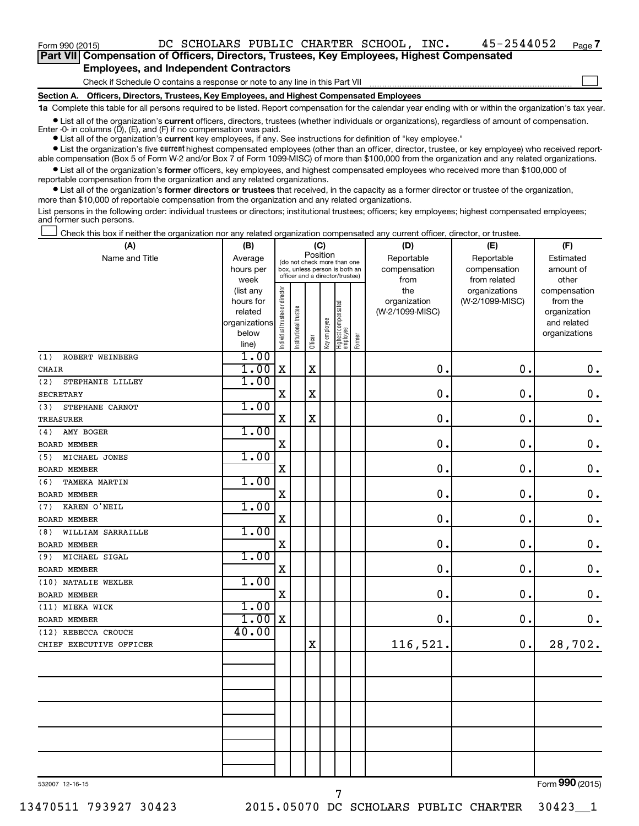$\Box$ 

| Part VII Compensation of Officers, Directors, Trustees, Key Employees, Highest Compensated |  |
|--------------------------------------------------------------------------------------------|--|
| <b>Employees, and Independent Contractors</b>                                              |  |

Check if Schedule O contains a response or note to any line in this Part VII

**Section A. Officers, Directors, Trustees, Key Employees, and Highest Compensated Employees**

**1a**  Complete this table for all persons required to be listed. Report compensation for the calendar year ending with or within the organization's tax year.

**•** List all of the organization's current officers, directors, trustees (whether individuals or organizations), regardless of amount of compensation. Enter -0- in columns  $(D)$ ,  $(E)$ , and  $(F)$  if no compensation was paid.

**•** List all of the organization's **current** key employees, if any. See instructions for definition of "key employee."

**•** List the organization's five current highest compensated employees (other than an officer, director, trustee, or key employee) who received reportable compensation (Box 5 of Form W-2 and/or Box 7 of Form 1099-MISC) of more than \$100,000 from the organization and any related organizations.

**•** List all of the organization's former officers, key employees, and highest compensated employees who received more than \$100,000 of reportable compensation from the organization and any related organizations.

**•** List all of the organization's former directors or trustees that received, in the capacity as a former director or trustee of the organization, more than \$10,000 of reportable compensation from the organization and any related organizations.

List persons in the following order: individual trustees or directors; institutional trustees; officers; key employees; highest compensated employees; and former such persons.

|  |  |  | Check this box if neither the organization nor any related organization compensated any current officer, director, or trustee. |  |  |
|--|--|--|--------------------------------------------------------------------------------------------------------------------------------|--|--|
|  |  |  |                                                                                                                                |  |  |

| (A)                      | (B)           |                                |                                 | (C)         |              |                                 |        | (D)             | (E)             | (F)           |
|--------------------------|---------------|--------------------------------|---------------------------------|-------------|--------------|---------------------------------|--------|-----------------|-----------------|---------------|
| Name and Title           | Average       |                                | (do not check more than one     | Position    |              |                                 |        | Reportable      | Reportable      | Estimated     |
|                          | hours per     |                                | box, unless person is both an   |             |              |                                 |        | compensation    | compensation    | amount of     |
|                          | week          |                                | officer and a director/trustee) |             |              |                                 |        | from            | from related    | other         |
|                          | (list any     |                                |                                 |             |              |                                 |        | the             | organizations   | compensation  |
|                          | hours for     |                                |                                 |             |              |                                 |        | organization    | (W-2/1099-MISC) | from the      |
|                          | related       |                                |                                 |             |              |                                 |        | (W-2/1099-MISC) |                 | organization  |
|                          | organizations |                                |                                 |             |              |                                 |        |                 |                 | and related   |
|                          | below         | Individual trustee or director | nstitutional trustee            | Officer     | Key employee | Highest compensated<br>employee | Former |                 |                 | organizations |
|                          | line)         |                                |                                 |             |              |                                 |        |                 |                 |               |
| ROBERT WEINBERG<br>(1)   | 1.00          | $\mathbf x$                    |                                 | $\mathbf x$ |              |                                 |        |                 |                 |               |
| <b>CHAIR</b>             | 1.00          |                                |                                 |             |              |                                 |        | $\mathbf 0$ .   | 0.              | $\mathbf 0$ . |
| (2)<br>STEPHANIE LILLEY  | 1.00          |                                |                                 |             |              |                                 |        |                 |                 |               |
| <b>SECRETARY</b>         |               | $\mathbf x$                    |                                 | $\mathbf X$ |              |                                 |        | 0.              | $\mathbf 0$ .   | $\mathbf 0$ . |
| STEPHANE CARNOT<br>(3)   | 1.00          |                                |                                 |             |              |                                 |        |                 |                 |               |
| <b>TREASURER</b>         |               | $\mathbf x$                    |                                 | $\mathbf X$ |              |                                 |        | 0.              | $\mathbf 0$ .   | $\mathbf 0$ . |
| AMY BOGER<br>(4)         | 1.00          |                                |                                 |             |              |                                 |        |                 |                 |               |
| <b>BOARD MEMBER</b>      |               | X                              |                                 |             |              |                                 |        | 0.              | $\mathbf 0$ .   | $\mathbf 0$ . |
| MICHAEL JONES<br>(5)     | 1.00          |                                |                                 |             |              |                                 |        |                 |                 |               |
| <b>BOARD MEMBER</b>      |               | X                              |                                 |             |              |                                 |        | $\mathbf 0$ .   | $\mathbf 0$     | $\mathbf 0$ . |
| (6)<br>TAMEKA MARTIN     | 1.00          |                                |                                 |             |              |                                 |        |                 |                 |               |
| <b>BOARD MEMBER</b>      |               | X                              |                                 |             |              |                                 |        | $\mathbf 0$ .   | $\mathbf 0$ .   | $\mathbf 0$ . |
| KAREN O'NEIL<br>(7)      | 1.00          |                                |                                 |             |              |                                 |        |                 |                 |               |
| <b>BOARD MEMBER</b>      |               | X                              |                                 |             |              |                                 |        | 0.              | 0.              | $\mathbf 0$ . |
| WILLIAM SARRAILLE<br>(8) | 1.00          |                                |                                 |             |              |                                 |        |                 |                 |               |
| <b>BOARD MEMBER</b>      |               | $\mathbf X$                    |                                 |             |              |                                 |        | 0.              | $\mathbf 0$ .   | $\mathbf 0$ . |
| MICHAEL SIGAL<br>(9)     | 1.00          |                                |                                 |             |              |                                 |        |                 |                 |               |
| <b>BOARD MEMBER</b>      |               | X                              |                                 |             |              |                                 |        | 0.              | $\mathbf 0$ .   | $0$ .         |
| (10) NATALIE WEXLER      | 1.00          |                                |                                 |             |              |                                 |        |                 |                 |               |
| <b>BOARD MEMBER</b>      |               | $\overline{\mathbf{X}}$        |                                 |             |              |                                 |        | 0.              | $\mathbf 0$ .   | $\mathbf 0$ . |
| (11) MIEKA WICK          | 1.00          |                                |                                 |             |              |                                 |        |                 |                 |               |
| <b>BOARD MEMBER</b>      | 1.00          | $\mathbf x$                    |                                 |             |              |                                 |        | 0.              | 0.              | $\mathbf 0$ . |
| (12) REBECCA CROUCH      | 40.00         |                                |                                 |             |              |                                 |        |                 |                 |               |
| CHIEF EXECUTIVE OFFICER  |               |                                |                                 | $\mathbf x$ |              |                                 |        | 116,521.        | 0.              | 28,702.       |
|                          |               |                                |                                 |             |              |                                 |        |                 |                 |               |
|                          |               |                                |                                 |             |              |                                 |        |                 |                 |               |
|                          |               |                                |                                 |             |              |                                 |        |                 |                 |               |
|                          |               |                                |                                 |             |              |                                 |        |                 |                 |               |
|                          |               |                                |                                 |             |              |                                 |        |                 |                 |               |
|                          |               |                                |                                 |             |              |                                 |        |                 |                 |               |
|                          |               |                                |                                 |             |              |                                 |        |                 |                 |               |
|                          |               |                                |                                 |             |              |                                 |        |                 |                 |               |
|                          |               |                                |                                 |             |              |                                 |        |                 |                 |               |
|                          |               |                                |                                 |             |              |                                 |        |                 |                 |               |
|                          |               |                                |                                 |             |              |                                 |        |                 |                 | $000 \div 1$  |

532007 12-16-15

7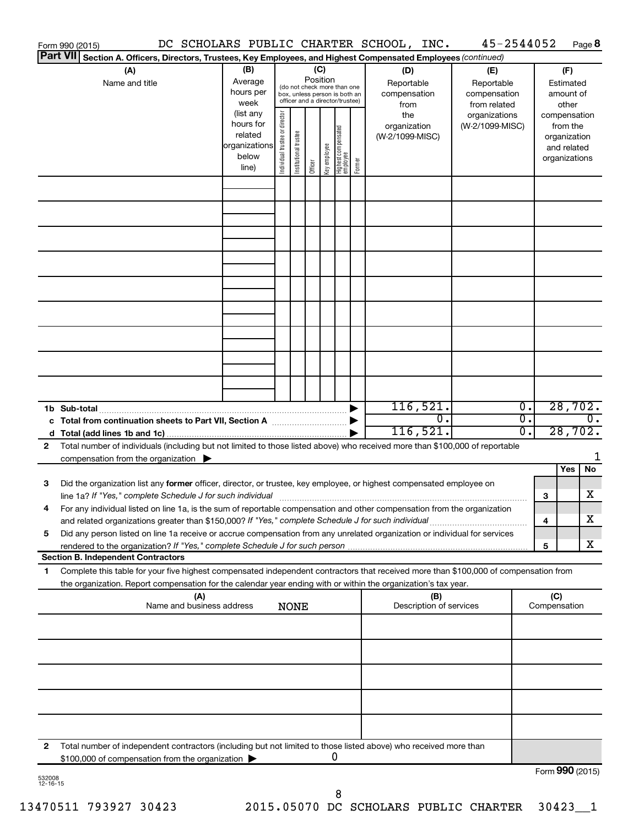| Form 990 (2015)                                                                                                                                                                                                                                                                                                                                                    |                                                                      |                                |                       |          |              |                                                                                                 |        | DC SCHOLARS PUBLIC CHARTER SCHOOL, INC.   | 45-2544052                                        |                        |                     |                                                                          | Page 8           |
|--------------------------------------------------------------------------------------------------------------------------------------------------------------------------------------------------------------------------------------------------------------------------------------------------------------------------------------------------------------------|----------------------------------------------------------------------|--------------------------------|-----------------------|----------|--------------|-------------------------------------------------------------------------------------------------|--------|-------------------------------------------|---------------------------------------------------|------------------------|---------------------|--------------------------------------------------------------------------|------------------|
| <b>Part VII</b><br>Section A. Officers, Directors, Trustees, Key Employees, and Highest Compensated Employees (continued)                                                                                                                                                                                                                                          |                                                                      |                                |                       |          |              |                                                                                                 |        |                                           |                                                   |                        |                     |                                                                          |                  |
| (A)<br>Name and title                                                                                                                                                                                                                                                                                                                                              | (B)<br>Average<br>hours per<br>week                                  |                                |                       | Position | (C)          | (do not check more than one<br>box, unless person is both an<br>officer and a director/trustee) |        | (D)<br>Reportable<br>compensation<br>from | (E)<br>Reportable<br>compensation<br>from related |                        |                     | (F)<br>Estimated<br>amount of<br>other                                   |                  |
|                                                                                                                                                                                                                                                                                                                                                                    | (list any<br>hours for<br>related<br>organizations<br>below<br>line) | Individual trustee or director | Institutional trustee | Officer  | Key employee | Highest compensated<br>  employee                                                               | Former | the<br>organization<br>(W-2/1099-MISC)    | organizations<br>(W-2/1099-MISC)                  |                        |                     | compensation<br>from the<br>organization<br>and related<br>organizations |                  |
|                                                                                                                                                                                                                                                                                                                                                                    |                                                                      |                                |                       |          |              |                                                                                                 |        |                                           |                                                   |                        |                     |                                                                          |                  |
|                                                                                                                                                                                                                                                                                                                                                                    |                                                                      |                                |                       |          |              |                                                                                                 |        |                                           |                                                   |                        |                     |                                                                          |                  |
|                                                                                                                                                                                                                                                                                                                                                                    |                                                                      |                                |                       |          |              |                                                                                                 |        |                                           |                                                   |                        |                     |                                                                          |                  |
|                                                                                                                                                                                                                                                                                                                                                                    |                                                                      |                                |                       |          |              |                                                                                                 |        |                                           |                                                   |                        |                     |                                                                          |                  |
|                                                                                                                                                                                                                                                                                                                                                                    |                                                                      |                                |                       |          |              |                                                                                                 |        |                                           |                                                   |                        |                     |                                                                          |                  |
|                                                                                                                                                                                                                                                                                                                                                                    |                                                                      |                                |                       |          |              |                                                                                                 |        |                                           |                                                   |                        |                     |                                                                          |                  |
| 1b Sub-total                                                                                                                                                                                                                                                                                                                                                       |                                                                      |                                |                       |          |              |                                                                                                 |        | 116,521.                                  |                                                   | $\overline{0}$ .       |                     | 28,702.                                                                  |                  |
| c Total from continuation sheets to Part VII, Section A manufactured by                                                                                                                                                                                                                                                                                            |                                                                      |                                |                       |          |              |                                                                                                 |        | 0.<br>116,521.                            |                                                   | $\overline{0}$ .<br>0. |                     | 28,702.                                                                  | $\overline{0}$ . |
| Total number of individuals (including but not limited to those listed above) who received more than \$100,000 of reportable<br>2<br>compensation from the organization $\blacktriangleright$                                                                                                                                                                      |                                                                      |                                |                       |          |              |                                                                                                 |        |                                           |                                                   |                        |                     | Yes                                                                      | 1<br><b>No</b>   |
| Did the organization list any former officer, director, or trustee, key employee, or highest compensated employee on<br>3                                                                                                                                                                                                                                          |                                                                      |                                |                       |          |              |                                                                                                 |        |                                           |                                                   |                        | 3                   |                                                                          | x                |
| For any individual listed on line 1a, is the sum of reportable compensation and other compensation from the organization<br>and related organizations greater than \$150,000? If "Yes," complete Schedule J for such individual<br>Did any person listed on line 1a receive or accrue compensation from any unrelated organization or individual for services<br>5 |                                                                      |                                |                       |          |              |                                                                                                 |        |                                           |                                                   |                        | 4                   |                                                                          | х                |
|                                                                                                                                                                                                                                                                                                                                                                    |                                                                      |                                |                       |          |              |                                                                                                 |        |                                           |                                                   |                        | 5                   |                                                                          | x                |
| <b>Section B. Independent Contractors</b><br>Complete this table for your five highest compensated independent contractors that received more than \$100,000 of compensation from<br>1<br>the organization. Report compensation for the calendar year ending with or within the organization's tax year.                                                           |                                                                      |                                |                       |          |              |                                                                                                 |        |                                           |                                                   |                        |                     |                                                                          |                  |
| (A)<br>Name and business address                                                                                                                                                                                                                                                                                                                                   |                                                                      |                                | <b>NONE</b>           |          |              |                                                                                                 |        | (B)<br>Description of services            |                                                   |                        | (C)<br>Compensation |                                                                          |                  |
|                                                                                                                                                                                                                                                                                                                                                                    |                                                                      |                                |                       |          |              |                                                                                                 |        |                                           |                                                   |                        |                     |                                                                          |                  |
|                                                                                                                                                                                                                                                                                                                                                                    |                                                                      |                                |                       |          |              |                                                                                                 |        |                                           |                                                   |                        |                     |                                                                          |                  |
|                                                                                                                                                                                                                                                                                                                                                                    |                                                                      |                                |                       |          |              |                                                                                                 |        |                                           |                                                   |                        |                     |                                                                          |                  |
|                                                                                                                                                                                                                                                                                                                                                                    |                                                                      |                                |                       |          |              |                                                                                                 |        |                                           |                                                   |                        |                     |                                                                          |                  |
| Total number of independent contractors (including but not limited to those listed above) who received more than<br>2<br>\$100,000 of compensation from the organization                                                                                                                                                                                           |                                                                      |                                |                       |          |              | 0                                                                                               |        |                                           |                                                   |                        |                     |                                                                          |                  |
| 532008                                                                                                                                                                                                                                                                                                                                                             |                                                                      |                                |                       |          |              |                                                                                                 |        |                                           |                                                   |                        | Form 990 (2015)     |                                                                          |                  |

532008 12-16-15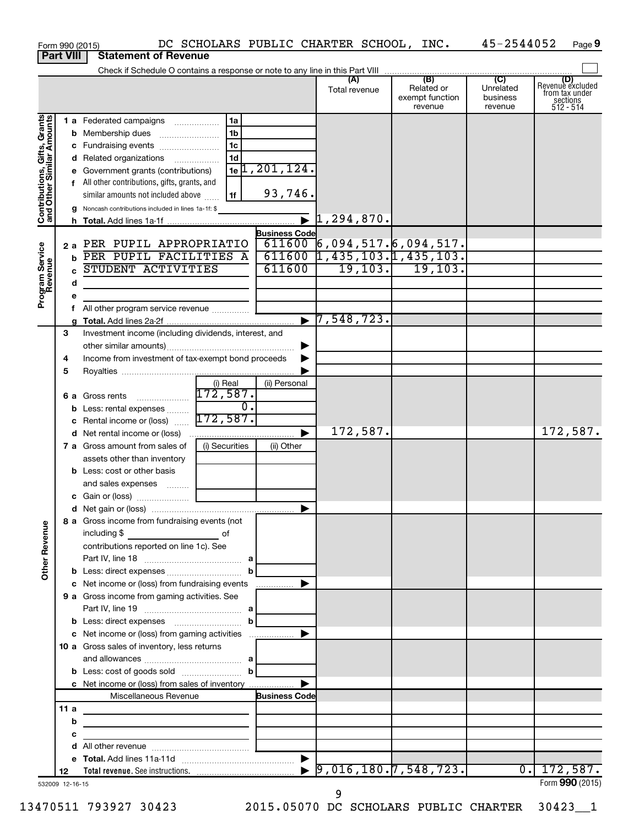|                                                           |                  | DC SCHOLARS PUBLIC CHARTER SCHOOL, INC.<br>Form 990 (2015)                 |                               |                                                              |                                                 | 45-2544052                                         | Page 9                                                      |
|-----------------------------------------------------------|------------------|----------------------------------------------------------------------------|-------------------------------|--------------------------------------------------------------|-------------------------------------------------|----------------------------------------------------|-------------------------------------------------------------|
|                                                           | <b>Part VIII</b> | <b>Statement of Revenue</b>                                                |                               |                                                              |                                                 |                                                    |                                                             |
|                                                           |                  |                                                                            |                               |                                                              |                                                 |                                                    |                                                             |
|                                                           |                  |                                                                            |                               | (A)<br>Total revenue                                         | (B)<br>Related or<br>exempt function<br>revenue | $\overline{C}$<br>Unrelated<br>business<br>revenue | Revenue excluded<br>from tax under<br>sections<br>512 - 514 |
|                                                           |                  | 1a<br>1 a Federated campaigns                                              |                               |                                                              |                                                 |                                                    |                                                             |
|                                                           |                  | 1 <sub>b</sub>                                                             |                               |                                                              |                                                 |                                                    |                                                             |
|                                                           |                  | 1c                                                                         |                               |                                                              |                                                 |                                                    |                                                             |
|                                                           |                  | 1 <sub>d</sub><br>d Related organizations                                  |                               |                                                              |                                                 |                                                    |                                                             |
|                                                           |                  | e Government grants (contributions)                                        | $1e$ <sup>1</sup> , 201, 124. |                                                              |                                                 |                                                    |                                                             |
|                                                           |                  | f All other contributions, gifts, grants, and                              |                               |                                                              |                                                 |                                                    |                                                             |
|                                                           |                  | 1f<br>similar amounts not included above                                   | 93,746.                       |                                                              |                                                 |                                                    |                                                             |
| Contributions, Gifts, Grants<br>and Other Similar Amounts |                  | <b>g</b> Noncash contributions included in lines 1a-1f: \$                 |                               |                                                              |                                                 |                                                    |                                                             |
|                                                           |                  |                                                                            |                               |                                                              |                                                 |                                                    |                                                             |
|                                                           |                  | 2 a PER PUPIL APPROPRIATIO                                                 | <b>Business Code</b>          |                                                              |                                                 |                                                    |                                                             |
|                                                           |                  | <b>b</b> PER PUPIL FACILITIES A                                            |                               | $611600$ 6,094,517.6,094,517.<br>611600 1,435,103.1,435,103. |                                                 |                                                    |                                                             |
|                                                           |                  | STUDENT ACTIVITIES                                                         | 611600                        |                                                              | $19, 103.$ $19, 103.$                           |                                                    |                                                             |
|                                                           |                  | d                                                                          |                               |                                                              |                                                 |                                                    |                                                             |
| Program Service<br>Revenue                                |                  |                                                                            |                               |                                                              |                                                 |                                                    |                                                             |
|                                                           |                  | е<br>f All other program service revenue                                   |                               |                                                              |                                                 |                                                    |                                                             |
|                                                           |                  |                                                                            | $\blacksquare$                | 7,548,723.                                                   |                                                 |                                                    |                                                             |
|                                                           | 3                | Investment income (including dividends, interest, and                      |                               |                                                              |                                                 |                                                    |                                                             |
|                                                           |                  |                                                                            |                               |                                                              |                                                 |                                                    |                                                             |
|                                                           | 4                | Income from investment of tax-exempt bond proceeds                         |                               |                                                              |                                                 |                                                    |                                                             |
|                                                           | 5                |                                                                            |                               |                                                              |                                                 |                                                    |                                                             |
|                                                           |                  | (i) Real                                                                   | (ii) Personal                 |                                                              |                                                 |                                                    |                                                             |
|                                                           |                  | 172,587.<br><b>6 a</b> Gross rents                                         |                               |                                                              |                                                 |                                                    |                                                             |
|                                                           |                  | <b>b</b> Less: rental expenses                                             | $\overline{\mathfrak{o}}$ .   |                                                              |                                                 |                                                    |                                                             |
|                                                           |                  | 172,587.<br><b>c</b> Rental income or (loss)                               |                               | 172,587.                                                     |                                                 |                                                    | 172,587.                                                    |
|                                                           |                  |                                                                            | ▶                             |                                                              |                                                 |                                                    |                                                             |
|                                                           |                  | (i) Securities<br>7 a Gross amount from sales of                           | (ii) Other                    |                                                              |                                                 |                                                    |                                                             |
|                                                           |                  | assets other than inventory<br><b>b</b> Less: cost or other basis          |                               |                                                              |                                                 |                                                    |                                                             |
|                                                           |                  | and sales expenses                                                         |                               |                                                              |                                                 |                                                    |                                                             |
|                                                           |                  |                                                                            |                               |                                                              |                                                 |                                                    |                                                             |
|                                                           |                  |                                                                            |                               |                                                              |                                                 |                                                    |                                                             |
|                                                           |                  | 8 a Gross income from fundraising events (not                              |                               |                                                              |                                                 |                                                    |                                                             |
|                                                           |                  | including \$<br><u>_________________________</u> of                        |                               |                                                              |                                                 |                                                    |                                                             |
|                                                           |                  | contributions reported on line 1c). See                                    |                               |                                                              |                                                 |                                                    |                                                             |
|                                                           |                  |                                                                            |                               |                                                              |                                                 |                                                    |                                                             |
| <b>Other Revenue</b>                                      |                  |                                                                            |                               |                                                              |                                                 |                                                    |                                                             |
|                                                           |                  | c Net income or (loss) from fundraising events                             |                               |                                                              |                                                 |                                                    |                                                             |
|                                                           |                  | 9 a Gross income from gaming activities. See                               |                               |                                                              |                                                 |                                                    |                                                             |
|                                                           |                  |                                                                            |                               |                                                              |                                                 |                                                    |                                                             |
|                                                           |                  | <b>b</b> Less: direct expenses <b>container the less</b> : direct expenses |                               |                                                              |                                                 |                                                    |                                                             |
|                                                           |                  |                                                                            |                               |                                                              |                                                 |                                                    |                                                             |
|                                                           |                  | 10 a Gross sales of inventory, less returns                                |                               |                                                              |                                                 |                                                    |                                                             |
|                                                           |                  | <b>b</b> Less: cost of goods sold $\ldots$ <b>b</b>                        |                               |                                                              |                                                 |                                                    |                                                             |
|                                                           |                  | c Net income or (loss) from sales of inventory                             | ▶                             |                                                              |                                                 |                                                    |                                                             |
|                                                           |                  | Miscellaneous Revenue                                                      | <b>Business Code</b>          |                                                              |                                                 |                                                    |                                                             |
|                                                           | 11 a             |                                                                            |                               |                                                              |                                                 |                                                    |                                                             |
|                                                           |                  | b<br><u> 1980 - Johann Stein, mars an deutscher Stein († 1950)</u>         |                               |                                                              |                                                 |                                                    |                                                             |
|                                                           | с                | <u> 1989 - Johann Barbara, martxa alemaniar a</u>                          |                               |                                                              |                                                 |                                                    |                                                             |
|                                                           |                  | d                                                                          |                               |                                                              |                                                 |                                                    |                                                             |
|                                                           |                  |                                                                            |                               |                                                              |                                                 |                                                    |                                                             |
|                                                           | 12               |                                                                            |                               | 9,016,180.7,548,723.                                         |                                                 |                                                    | 0.172,587.                                                  |
| 532009 12-16-15                                           |                  |                                                                            |                               | 9                                                            |                                                 |                                                    | Form 990 (2015)                                             |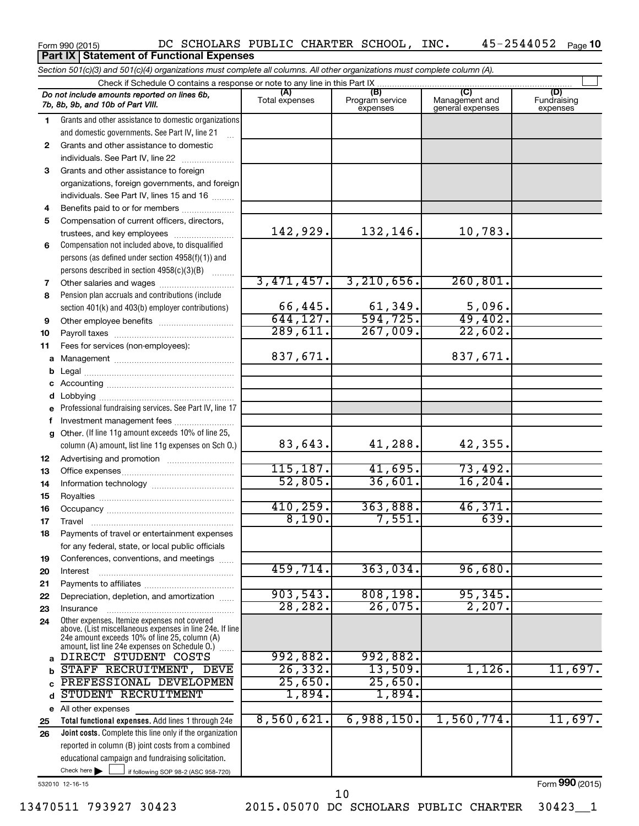#### Form 990 (2015) DC SCHOLARS PUBLIC CHARTER SCHOOL, INC**.** 45-2544052 <sub>Page</sub> 10 **Part IX Statement of Functional Expenses**

|    | Section 501(c)(3) and 501(c)(4) organizations must complete all columns. All other organizations must complete column (A).                                                                                  |                       |                                    |                                    |                                |
|----|-------------------------------------------------------------------------------------------------------------------------------------------------------------------------------------------------------------|-----------------------|------------------------------------|------------------------------------|--------------------------------|
|    | Check if Schedule O contains a response or note to any line in this Part IX                                                                                                                                 |                       |                                    | $\overline{C}$                     |                                |
|    | Do not include amounts reported on lines 6b,<br>7b, 8b, 9b, and 10b of Part VIII.                                                                                                                           | (A)<br>Total expenses | (B)<br>Program service<br>expenses | Management and<br>general expenses | (D)<br>Fundraising<br>expenses |
| 1  | Grants and other assistance to domestic organizations                                                                                                                                                       |                       |                                    |                                    |                                |
|    | and domestic governments. See Part IV, line 21                                                                                                                                                              |                       |                                    |                                    |                                |
| 2  | Grants and other assistance to domestic                                                                                                                                                                     |                       |                                    |                                    |                                |
|    | individuals. See Part IV, line 22                                                                                                                                                                           |                       |                                    |                                    |                                |
| 3  | Grants and other assistance to foreign                                                                                                                                                                      |                       |                                    |                                    |                                |
|    | organizations, foreign governments, and foreign                                                                                                                                                             |                       |                                    |                                    |                                |
|    | individuals. See Part IV, lines 15 and 16                                                                                                                                                                   |                       |                                    |                                    |                                |
| 4  | Benefits paid to or for members                                                                                                                                                                             |                       |                                    |                                    |                                |
| 5  | Compensation of current officers, directors,                                                                                                                                                                |                       |                                    |                                    |                                |
|    | trustees, and key employees                                                                                                                                                                                 | 142, 929.             | 132,146.                           | 10,783.                            |                                |
| 6  | Compensation not included above, to disqualified                                                                                                                                                            |                       |                                    |                                    |                                |
|    | persons (as defined under section 4958(f)(1)) and                                                                                                                                                           |                       |                                    |                                    |                                |
|    | persons described in section 4958(c)(3)(B)                                                                                                                                                                  |                       |                                    |                                    |                                |
| 7  | Other salaries and wages                                                                                                                                                                                    | 3,471,457.            | 3, 210, 656.                       | 260, 801.                          |                                |
| 8  | Pension plan accruals and contributions (include                                                                                                                                                            |                       |                                    |                                    |                                |
|    | section 401(k) and 403(b) employer contributions)                                                                                                                                                           | 66, 445.              | 61,349.                            | 5,096.                             |                                |
| 9  | Other employee benefits                                                                                                                                                                                     | 644, 127.             | $\overline{594,725}$ .             | 49,402.                            |                                |
| 10 |                                                                                                                                                                                                             | 289,611.              | 267,009.                           | 22,602.                            |                                |
| 11 | Fees for services (non-employees):                                                                                                                                                                          |                       |                                    |                                    |                                |
| a  |                                                                                                                                                                                                             | 837,671.              |                                    | 837,671.                           |                                |
| b  |                                                                                                                                                                                                             |                       |                                    |                                    |                                |
| c  |                                                                                                                                                                                                             |                       |                                    |                                    |                                |
| d  |                                                                                                                                                                                                             |                       |                                    |                                    |                                |
| е  | Professional fundraising services. See Part IV, line 17                                                                                                                                                     |                       |                                    |                                    |                                |
| f  | Investment management fees                                                                                                                                                                                  |                       |                                    |                                    |                                |
| g  | Other. (If line 11g amount exceeds 10% of line 25,<br>column (A) amount, list line 11g expenses on Sch O.)                                                                                                  | 83,643.               | 41,288.                            | 42,355.                            |                                |
| 12 |                                                                                                                                                                                                             |                       |                                    |                                    |                                |
| 13 |                                                                                                                                                                                                             | 115, 187.             | 41,695.                            | 73,492.                            |                                |
| 14 |                                                                                                                                                                                                             | 52,805.               | 36,601.                            | 16, 204.                           |                                |
| 15 |                                                                                                                                                                                                             |                       |                                    |                                    |                                |
| 16 |                                                                                                                                                                                                             | 410, 259.             | 363,888.                           | 46,371.                            |                                |
| 17 |                                                                                                                                                                                                             | 8,190.                | 7,551.                             | 639.                               |                                |
| 18 | Payments of travel or entertainment expenses                                                                                                                                                                |                       |                                    |                                    |                                |
|    | for any federal, state, or local public officials                                                                                                                                                           |                       |                                    |                                    |                                |
| 19 | Conferences, conventions, and meetings                                                                                                                                                                      |                       |                                    |                                    |                                |
| 20 | Interest                                                                                                                                                                                                    | 459,714.              | 363,034.                           | 96,680.                            |                                |
| 21 |                                                                                                                                                                                                             |                       |                                    |                                    |                                |
| 22 | Depreciation, depletion, and amortization                                                                                                                                                                   | 903,543.              | 808, 198.                          | 95,345.                            |                                |
| 23 | Insurance                                                                                                                                                                                                   | 28, 282.              | 26,075.                            | 2,207.                             |                                |
| 24 | Other expenses. Itemize expenses not covered<br>above. (List miscellaneous expenses in line 24e. If line<br>24e amount exceeds 10% of line 25, column (A)<br>amount, list line 24e expenses on Schedule O.) |                       |                                    |                                    |                                |
| a  | DIRECT STUDENT COSTS                                                                                                                                                                                        | 992,882.              | 992,882.                           |                                    |                                |
| b  | STAFF RECRUITMENT, DEVE                                                                                                                                                                                     | 26, 332.              | 13,509.                            | 1,126.                             | 11,697.                        |
|    | PREFESSIONAL DEVELOPMEN                                                                                                                                                                                     | 25,650.               | 25,650.                            |                                    |                                |
| d  | STUDENT RECRUITMENT                                                                                                                                                                                         | 1,894.                | 1,894.                             |                                    |                                |
|    | e All other expenses                                                                                                                                                                                        |                       |                                    |                                    |                                |
| 25 | Total functional expenses. Add lines 1 through 24e                                                                                                                                                          | 8,560,621.            | 6,988,150.                         | 1,560,774.                         | 11,697.                        |
| 26 | Joint costs. Complete this line only if the organization                                                                                                                                                    |                       |                                    |                                    |                                |
|    | reported in column (B) joint costs from a combined                                                                                                                                                          |                       |                                    |                                    |                                |
|    | educational campaign and fundraising solicitation.                                                                                                                                                          |                       |                                    |                                    |                                |
|    | Check here $\blacktriangleright$<br>if following SOP 98-2 (ASC 958-720)                                                                                                                                     |                       |                                    |                                    |                                |

532010 12-16-15

10

Form (2015) **990**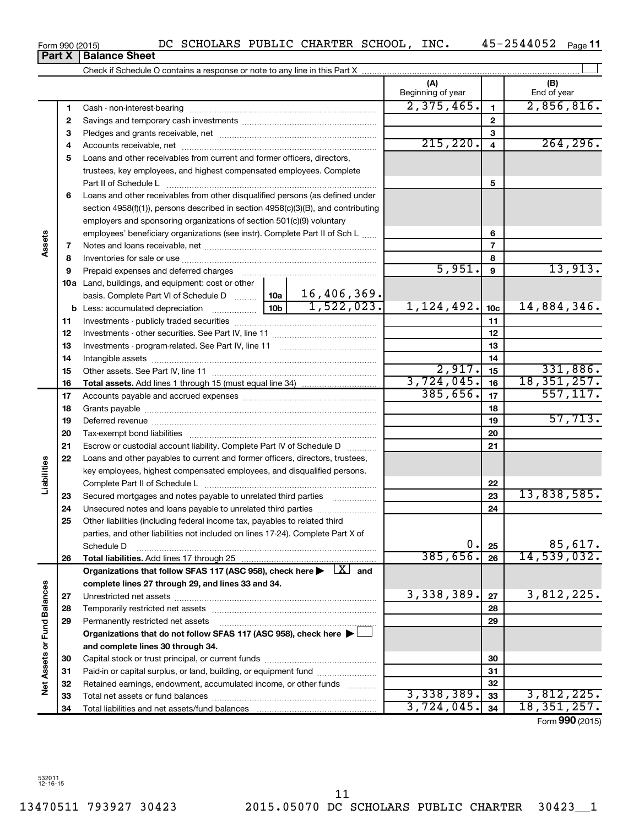**Net Assets or Fund Balances**

**Vet Assets or Fund Balances** 

**1 2**

**Assets**

**Liabilities**

**Part X** | **Balance Sheet** 

**3** Pledges and grants receivable, net ~~~~~~~~~~~~~~~~~~~~~

Cash - non-interest-bearing ~~~~~~~~~~~~~~~~~~~~~~~~~ Savings and temporary cash investments ~~~~~~~~~~~~~~~~~~

Check if Schedule O contains a response or note to any line in this Part X

 $45 - 2544052$  Page 11

 $\perp$ 

**(A) (B)**

Beginning of year  $\vert$   $\vert$  End of year

**1 2 3**

2,375,465. 2,856,816.

## Form 990 (2015)  $DC$  SCHOLARS PUBLIC CHARTER SCHOOL, INC.  $45-2544052$  Page

**4** Accounts receivable, net ~~~~~~~~~~~~~~~~~~~~~~~~~~ **5** Loans and other receivables from current and former officers, directors, **6** Loans and other receivables from other disqualified persons (as defined under **7 8 9 10 a** Land, buildings, and equipment: cost or other **11** Investments - publicly traded securities ~~~~~~~~~~~~~~~~~~~ **12** Investments - other securities. See Part IV, line 11 ~~~~~~~~~~~~~~ **13 14 15 16 17 18 19 20 21 22 23 24 25 26 27 28 29 30 31 32 33 34 4 5 6 7 8 9 10c 11 12 13 14 15 16 17 18 19 20 21 22 23 24 25 26 b** Less: accumulated depreciation  $\ldots$  [10b basis. Complete Part VI of Schedule D  $\frac{1}{10}$  10a **Total assets.**  Add lines 1 through 15 (must equal line 34) **Total liabilities.**  Add lines 17 through 25 Organizations that follow SFAS 117 (ASC 958), check here  $\blacktriangleright$   $\boxed{X}$  and **complete lines 27 through 29, and lines 33 and 34. 27 28 29 Organizations that do not follow SFAS 117 (ASC 958), check here** | † **and complete lines 30 through 34. 30 31 32 33 34** trustees, key employees, and highest compensated employees. Complete Part II of Schedule L ~~~~~~~~~~~~~~~~~~~~~~~~~~~~ section 4958(f)(1)), persons described in section 4958(c)(3)(B), and contributing employers and sponsoring organizations of section 501(c)(9) voluntary employees' beneficiary organizations (see instr). Complete Part II of Sch L ...... Notes and loans receivable, net ~~~~~~~~~~~~~~~~~~~~~~~ Inventories for sale or use ~~~~~~~~~~~~~~~~~~~~~~~~~~ Prepaid expenses and deferred charges ~~~~~~~~~~~~~~~~~~ Investments - program-related. See Part IV, line 11 ~~~~~~~~~~~~~ Intangible assets ~~~~~~~~~~~~~~~~~~~~~~~~~~~~~~ Other assets. See Part IV, line 11 ~~~~~~~~~~~~~~~~~~~~~~ Accounts payable and accrued expenses ~~~~~~~~~~~~~~~~~~ Grants payable ~~~~~~~~~~~~~~~~~~~~~~~~~~~~~~~ Deferred revenue ~~~~~~~~~~~~~~~~~~~~~~~~~~~~~~ Tax-exempt bond liabilities ~~~~~~~~~~~~~~~~~~~~~~~~~ Escrow or custodial account liability. Complete Part IV of Schedule D ........... Loans and other payables to current and former officers, directors, trustees, key employees, highest compensated employees, and disqualified persons. Complete Part II of Schedule L ~~~~~~~~~~~~~~~~~~~~~~~ Secured mortgages and notes payable to unrelated third parties  $\ldots$  ................. Unsecured notes and loans payable to unrelated third parties ~~~~~~~~ Other liabilities (including federal income tax, payables to related third parties, and other liabilities not included on lines 17-24). Complete Part X of Schedule D ~~~~~~~~~~~~~~~~~~~~~~~~~~~~~~~~ Unrestricted net assets ~~~~~~~~~~~~~~~~~~~~~~~~~~~ Temporarily restricted net assets ~~~~~~~~~~~~~~~~~~~~~~ Permanently restricted net assets ~~~~~~~~~~~~~~~~~~~~~ Capital stock or trust principal, or current funds ~~~~~~~~~~~~~~~ Paid-in or capital surplus, or land, building, or equipment fund ....................... Retained earnings, endowment, accumulated income, or other funds ............ Total net assets or fund balances ~~~~~~~~~~~~~~~~~~~~~~ Total liabilities and net assets/fund balances  $215,220. | 4 | 264,296.$  $5,951.$  9  $13,913.$ 16,406,369.  $1,522,023.$  1,124,492.  $|10c|$  14,884,346.  $2,917.$   $|15|$  331,886. 3,724,045. 18,351,257.  $385,656.$   $17$  557,117. 57,713. 13,838,585.  $0. |25|$  85,617. 385,656. 14,539,032.  $3,338,389$ .  $\boxed{27}$  3,812,225.  $3,338,389.$   $33$   $3,812,225.$ 3,724,045. 18,351,257.

Form (2015) **990**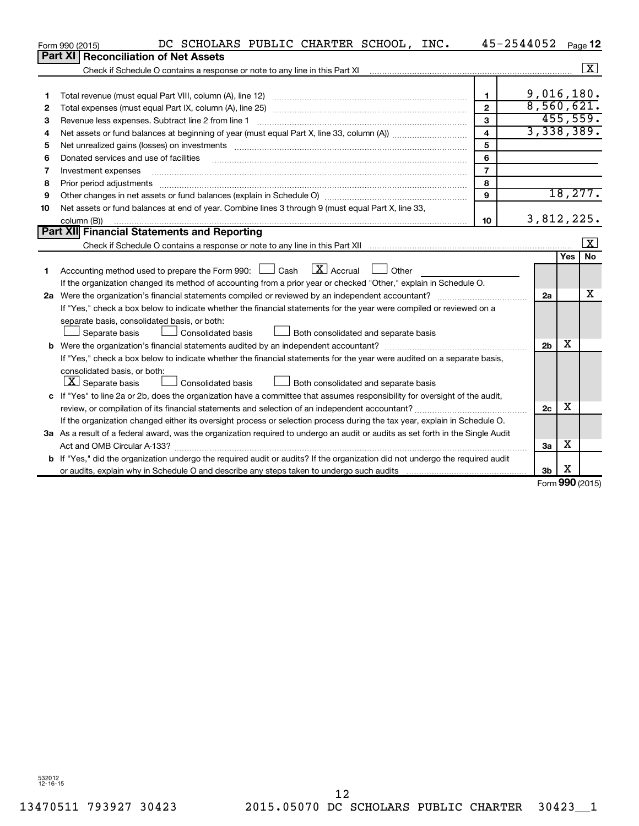|    | DC SCHOLARS PUBLIC CHARTER SCHOOL, INC.<br>Form 990 (2015)                                                                      |                | 45-2544052     |     | Page 12   |  |  |  |
|----|---------------------------------------------------------------------------------------------------------------------------------|----------------|----------------|-----|-----------|--|--|--|
|    | Part XI<br><b>Reconciliation of Net Assets</b>                                                                                  |                |                |     |           |  |  |  |
|    | Check if Schedule O contains a response or note to any line in this Part XI                                                     |                |                |     | X         |  |  |  |
|    |                                                                                                                                 |                |                |     |           |  |  |  |
| 1  |                                                                                                                                 | $\mathbf{1}$   | 9,016,180.     |     |           |  |  |  |
| 2  |                                                                                                                                 | $\mathfrak{p}$ | 8,560,621.     |     |           |  |  |  |
| 3  | Revenue less expenses. Subtract line 2 from line 1                                                                              | 3              |                |     | 455,559.  |  |  |  |
| 4  |                                                                                                                                 | $\overline{4}$ | 3,338,389.     |     |           |  |  |  |
| 5  |                                                                                                                                 | 5              |                |     |           |  |  |  |
| 6  | Donated services and use of facilities                                                                                          | 6              |                |     |           |  |  |  |
| 7  | Investment expenses                                                                                                             | $\overline{7}$ |                |     |           |  |  |  |
| 8  | Prior period adjustments                                                                                                        | 8              |                |     |           |  |  |  |
| 9  |                                                                                                                                 | $\mathbf{Q}$   |                |     | 18, 277.  |  |  |  |
| 10 | Net assets or fund balances at end of year. Combine lines 3 through 9 (must equal Part X, line 33,                              |                |                |     |           |  |  |  |
|    | column (B))                                                                                                                     | 10             | 3,812,225.     |     |           |  |  |  |
|    | Part XII Financial Statements and Reporting                                                                                     |                |                |     | X         |  |  |  |
|    |                                                                                                                                 |                |                |     |           |  |  |  |
|    |                                                                                                                                 |                |                | Yes | <b>No</b> |  |  |  |
| 1  | $\overline{X}$ Accrual<br>Accounting method used to prepare the Form 990: $\Box$ Cash<br>Other                                  |                |                |     |           |  |  |  |
|    | If the organization changed its method of accounting from a prior year or checked "Other," explain in Schedule O.               |                |                |     |           |  |  |  |
|    | 2a Were the organization's financial statements compiled or reviewed by an independent accountant?                              |                | 2a             |     | х         |  |  |  |
|    | If "Yes," check a box below to indicate whether the financial statements for the year were compiled or reviewed on a            |                |                |     |           |  |  |  |
|    | separate basis, consolidated basis, or both:                                                                                    |                |                |     |           |  |  |  |
|    | Consolidated basis<br>Both consolidated and separate basis<br>Separate basis                                                    |                |                |     |           |  |  |  |
|    |                                                                                                                                 |                |                |     |           |  |  |  |
|    | If "Yes," check a box below to indicate whether the financial statements for the year were audited on a separate basis,         |                |                |     |           |  |  |  |
|    | consolidated basis, or both:                                                                                                    |                |                |     |           |  |  |  |
|    | $\lfloor x \rfloor$ Separate basis<br>Consolidated basis<br>Both consolidated and separate basis                                |                |                |     |           |  |  |  |
|    | c If "Yes" to line 2a or 2b, does the organization have a committee that assumes responsibility for oversight of the audit,     |                |                | х   |           |  |  |  |
|    | review, or compilation of its financial statements and selection of an independent accountant?                                  |                | 2c             |     |           |  |  |  |
|    | If the organization changed either its oversight process or selection process during the tax year, explain in Schedule O.       |                |                |     |           |  |  |  |
|    | 3a As a result of a federal award, was the organization required to undergo an audit or audits as set forth in the Single Audit |                |                | X   |           |  |  |  |
|    |                                                                                                                                 |                | За             |     |           |  |  |  |
|    | b If "Yes," did the organization undergo the required audit or audits? If the organization did not undergo the required audit   |                |                |     |           |  |  |  |
|    |                                                                                                                                 |                | 3 <sub>b</sub> | х   |           |  |  |  |

Form (2015) **990**

532012 12-16-15

12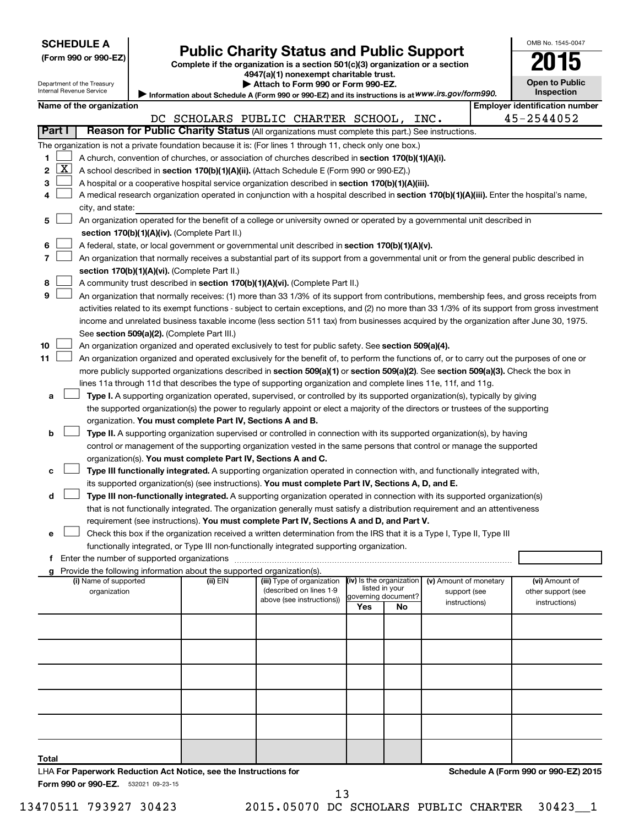Department of the Treasury

| (Form 990 or 990-EZ) |  |  |  |  |
|----------------------|--|--|--|--|
|----------------------|--|--|--|--|

# Form 990 or 990-EZ) **Public Charity Status and Public Support**<br>
Complete if the organization is a section 501(c)(3) organization or a section<br> **2015**

**4947(a)(1) nonexempt charitable trust. | Attach to Form 990 or Form 990-EZ.** 

| OMB No 1545-0047                    |
|-------------------------------------|
| $\mathbf{U}$                        |
| <b>Open to Public</b><br>Inspection |

|                                                                                                   | $= 0.000$ and $= 0.0000$ and $= 0.0000$ and $= 0.0000$ and $= 0.0000$ and $= 0.0000$ and $= 0.0000$ and $= 0.0000$ and $= 0.0000$ and $= 0.0000$ and $= 0.0000$ and $= 0.0000$ and $= 0.0000$ and $= 0.0000$ and $= 0.0000$ a<br>Internal Revenue Service |
|---------------------------------------------------------------------------------------------------|-----------------------------------------------------------------------------------------------------------------------------------------------------------------------------------------------------------------------------------------------------------|
| Information about Schedule A (Form 990 or 990-EZ) and its instructions is at WWW.irs.gov/form990. |                                                                                                                                                                                                                                                           |

|        |                                                                                                                                    | Name of the organization                                                                                                                      |                                         |  |                                                       |                                            |    |                                        |  | <b>Employer identification number</b> |
|--------|------------------------------------------------------------------------------------------------------------------------------------|-----------------------------------------------------------------------------------------------------------------------------------------------|-----------------------------------------|--|-------------------------------------------------------|--------------------------------------------|----|----------------------------------------|--|---------------------------------------|
|        |                                                                                                                                    |                                                                                                                                               | DC SCHOLARS PUBLIC CHARTER SCHOOL, INC. |  |                                                       |                                            |    |                                        |  | 45-2544052                            |
| Part I |                                                                                                                                    | Reason for Public Charity Status (All organizations must complete this part.) See instructions.                                               |                                         |  |                                                       |                                            |    |                                        |  |                                       |
|        |                                                                                                                                    | The organization is not a private foundation because it is: (For lines 1 through 11, check only one box.)                                     |                                         |  |                                                       |                                            |    |                                        |  |                                       |
| 1      |                                                                                                                                    | A church, convention of churches, or association of churches described in section 170(b)(1)(A)(i).                                            |                                         |  |                                                       |                                            |    |                                        |  |                                       |
| 2      | X                                                                                                                                  | A school described in section 170(b)(1)(A)(ii). (Attach Schedule E (Form 990 or 990-EZ).)                                                     |                                         |  |                                                       |                                            |    |                                        |  |                                       |
| з      |                                                                                                                                    | A hospital or a cooperative hospital service organization described in section 170(b)(1)(A)(iii).                                             |                                         |  |                                                       |                                            |    |                                        |  |                                       |
| 4      |                                                                                                                                    | A medical research organization operated in conjunction with a hospital described in section 170(b)(1)(A)(iii). Enter the hospital's name,    |                                         |  |                                                       |                                            |    |                                        |  |                                       |
|        |                                                                                                                                    | city, and state:                                                                                                                              |                                         |  |                                                       |                                            |    |                                        |  |                                       |
| 5.     |                                                                                                                                    | An organization operated for the benefit of a college or university owned or operated by a governmental unit described in                     |                                         |  |                                                       |                                            |    |                                        |  |                                       |
|        |                                                                                                                                    | section 170(b)(1)(A)(iv). (Complete Part II.)                                                                                                 |                                         |  |                                                       |                                            |    |                                        |  |                                       |
| 6      |                                                                                                                                    | A federal, state, or local government or governmental unit described in section 170(b)(1)(A)(v).                                              |                                         |  |                                                       |                                            |    |                                        |  |                                       |
| 7      |                                                                                                                                    | An organization that normally receives a substantial part of its support from a governmental unit or from the general public described in     |                                         |  |                                                       |                                            |    |                                        |  |                                       |
|        |                                                                                                                                    | section 170(b)(1)(A)(vi). (Complete Part II.)                                                                                                 |                                         |  |                                                       |                                            |    |                                        |  |                                       |
| 8      |                                                                                                                                    | A community trust described in section 170(b)(1)(A)(vi). (Complete Part II.)                                                                  |                                         |  |                                                       |                                            |    |                                        |  |                                       |
| 9      |                                                                                                                                    | An organization that normally receives: (1) more than 33 1/3% of its support from contributions, membership fees, and gross receipts from     |                                         |  |                                                       |                                            |    |                                        |  |                                       |
|        |                                                                                                                                    | activities related to its exempt functions - subject to certain exceptions, and (2) no more than 33 1/3% of its support from gross investment |                                         |  |                                                       |                                            |    |                                        |  |                                       |
|        |                                                                                                                                    | income and unrelated business taxable income (less section 511 tax) from businesses acquired by the organization after June 30, 1975.         |                                         |  |                                                       |                                            |    |                                        |  |                                       |
|        |                                                                                                                                    | See section 509(a)(2). (Complete Part III.)                                                                                                   |                                         |  |                                                       |                                            |    |                                        |  |                                       |
| 10     |                                                                                                                                    | An organization organized and operated exclusively to test for public safety. See section 509(a)(4).                                          |                                         |  |                                                       |                                            |    |                                        |  |                                       |
| 11     |                                                                                                                                    | An organization organized and operated exclusively for the benefit of, to perform the functions of, or to carry out the purposes of one or    |                                         |  |                                                       |                                            |    |                                        |  |                                       |
|        | more publicly supported organizations described in section 509(a)(1) or section 509(a)(2). See section 509(a)(3). Check the box in |                                                                                                                                               |                                         |  |                                                       |                                            |    |                                        |  |                                       |
|        | lines 11a through 11d that describes the type of supporting organization and complete lines 11e, 11f, and 11g.                     |                                                                                                                                               |                                         |  |                                                       |                                            |    |                                        |  |                                       |
| а      | Type I. A supporting organization operated, supervised, or controlled by its supported organization(s), typically by giving        |                                                                                                                                               |                                         |  |                                                       |                                            |    |                                        |  |                                       |
|        |                                                                                                                                    | the supported organization(s) the power to regularly appoint or elect a majority of the directors or trustees of the supporting               |                                         |  |                                                       |                                            |    |                                        |  |                                       |
|        |                                                                                                                                    | organization. You must complete Part IV, Sections A and B.                                                                                    |                                         |  |                                                       |                                            |    |                                        |  |                                       |
| b      |                                                                                                                                    | Type II. A supporting organization supervised or controlled in connection with its supported organization(s), by having                       |                                         |  |                                                       |                                            |    |                                        |  |                                       |
|        |                                                                                                                                    | control or management of the supporting organization vested in the same persons that control or manage the supported                          |                                         |  |                                                       |                                            |    |                                        |  |                                       |
|        |                                                                                                                                    | organization(s). You must complete Part IV, Sections A and C.                                                                                 |                                         |  |                                                       |                                            |    |                                        |  |                                       |
| с      |                                                                                                                                    | Type III functionally integrated. A supporting organization operated in connection with, and functionally integrated with,                    |                                         |  |                                                       |                                            |    |                                        |  |                                       |
|        |                                                                                                                                    | its supported organization(s) (see instructions). You must complete Part IV, Sections A, D, and E.                                            |                                         |  |                                                       |                                            |    |                                        |  |                                       |
| d      |                                                                                                                                    | Type III non-functionally integrated. A supporting organization operated in connection with its supported organization(s)                     |                                         |  |                                                       |                                            |    |                                        |  |                                       |
|        | that is not functionally integrated. The organization generally must satisfy a distribution requirement and an attentiveness       |                                                                                                                                               |                                         |  |                                                       |                                            |    |                                        |  |                                       |
|        | requirement (see instructions). You must complete Part IV, Sections A and D, and Part V.                                           |                                                                                                                                               |                                         |  |                                                       |                                            |    |                                        |  |                                       |
| e      | Check this box if the organization received a written determination from the IRS that it is a Type I, Type II, Type III            |                                                                                                                                               |                                         |  |                                                       |                                            |    |                                        |  |                                       |
|        | functionally integrated, or Type III non-functionally integrated supporting organization.                                          |                                                                                                                                               |                                         |  |                                                       |                                            |    |                                        |  |                                       |
|        |                                                                                                                                    | f Enter the number of supported organizations                                                                                                 |                                         |  |                                                       |                                            |    |                                        |  |                                       |
|        |                                                                                                                                    | g Provide the following information about the supported organization(s)                                                                       |                                         |  |                                                       |                                            |    |                                        |  |                                       |
|        |                                                                                                                                    | (i) Name of supported<br>organization                                                                                                         | (ii) EIN                                |  | (iii) Type of organization<br>(described on lines 1-9 | (iv) Is the organization<br>listed in your |    | (v) Amount of monetary<br>support (see |  | (vi) Amount of<br>other support (see  |
|        |                                                                                                                                    |                                                                                                                                               |                                         |  | above (see instructions))                             | governing document?                        |    | instructions)                          |  | instructions)                         |
|        |                                                                                                                                    |                                                                                                                                               |                                         |  |                                                       | Yes                                        | No |                                        |  |                                       |
|        |                                                                                                                                    |                                                                                                                                               |                                         |  |                                                       |                                            |    |                                        |  |                                       |
|        |                                                                                                                                    |                                                                                                                                               |                                         |  |                                                       |                                            |    |                                        |  |                                       |
|        |                                                                                                                                    |                                                                                                                                               |                                         |  |                                                       |                                            |    |                                        |  |                                       |
|        |                                                                                                                                    |                                                                                                                                               |                                         |  |                                                       |                                            |    |                                        |  |                                       |
|        |                                                                                                                                    |                                                                                                                                               |                                         |  |                                                       |                                            |    |                                        |  |                                       |
|        |                                                                                                                                    |                                                                                                                                               |                                         |  |                                                       |                                            |    |                                        |  |                                       |

**Total**

Form 990 or 990-EZ. 532021 09-23-15

LHA **For Paperwork Reduction Act Notice, see the Instructions for** 

**Schedule A (Form 990 or 990-EZ) 2015**

13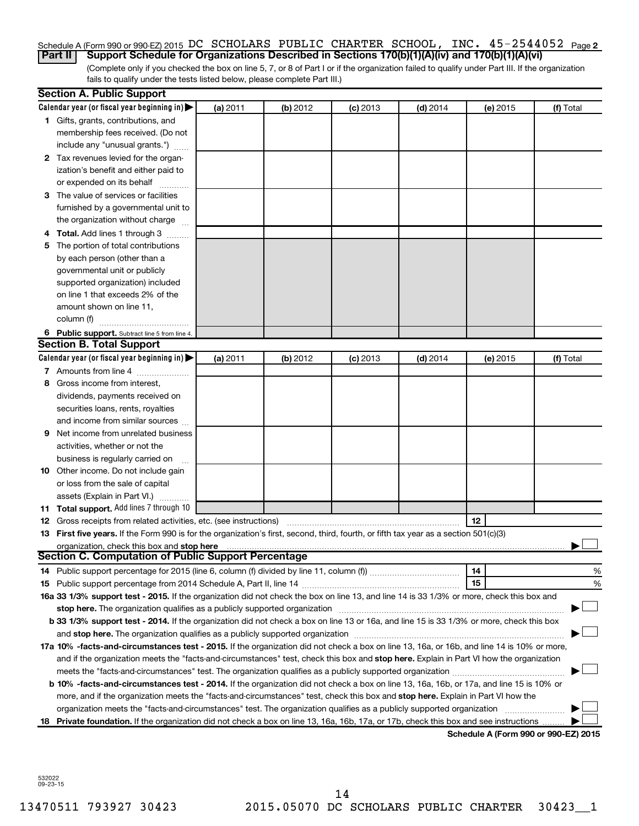#### Schedule A (Form 990 or 990-EZ) 2015 DC SCHOLARS PUBLIC CHARTER SCHOOL, INC.  $45$  –  $2544052$  Page 2 **Part II Support Schedule for Organizations Described in Sections 170(b)(1)(A)(iv) and 170(b)(1)(A)(vi)**

(Complete only if you checked the box on line 5, 7, or 8 of Part I or if the organization failed to qualify under Part III. If the organization fails to qualify under the tests listed below, please complete Part III.)

|    | <b>Section A. Public Support</b>                                                                                                                                                                                               |          |          |            |            |          |                                      |
|----|--------------------------------------------------------------------------------------------------------------------------------------------------------------------------------------------------------------------------------|----------|----------|------------|------------|----------|--------------------------------------|
|    | Calendar year (or fiscal year beginning in)                                                                                                                                                                                    | (a) 2011 | (b) 2012 | $(c)$ 2013 | $(d)$ 2014 | (e) 2015 | (f) Total                            |
|    | 1 Gifts, grants, contributions, and                                                                                                                                                                                            |          |          |            |            |          |                                      |
|    | membership fees received. (Do not                                                                                                                                                                                              |          |          |            |            |          |                                      |
|    | include any "unusual grants.")                                                                                                                                                                                                 |          |          |            |            |          |                                      |
|    | 2 Tax revenues levied for the organ-                                                                                                                                                                                           |          |          |            |            |          |                                      |
|    | ization's benefit and either paid to                                                                                                                                                                                           |          |          |            |            |          |                                      |
|    | or expended on its behalf                                                                                                                                                                                                      |          |          |            |            |          |                                      |
|    | 3 The value of services or facilities                                                                                                                                                                                          |          |          |            |            |          |                                      |
|    | furnished by a governmental unit to                                                                                                                                                                                            |          |          |            |            |          |                                      |
|    | the organization without charge                                                                                                                                                                                                |          |          |            |            |          |                                      |
|    | 4 Total. Add lines 1 through 3                                                                                                                                                                                                 |          |          |            |            |          |                                      |
| 5. | The portion of total contributions                                                                                                                                                                                             |          |          |            |            |          |                                      |
|    | by each person (other than a                                                                                                                                                                                                   |          |          |            |            |          |                                      |
|    | governmental unit or publicly                                                                                                                                                                                                  |          |          |            |            |          |                                      |
|    | supported organization) included                                                                                                                                                                                               |          |          |            |            |          |                                      |
|    | on line 1 that exceeds 2% of the                                                                                                                                                                                               |          |          |            |            |          |                                      |
|    | amount shown on line 11,                                                                                                                                                                                                       |          |          |            |            |          |                                      |
|    | column (f)                                                                                                                                                                                                                     |          |          |            |            |          |                                      |
|    | 6 Public support. Subtract line 5 from line 4.                                                                                                                                                                                 |          |          |            |            |          |                                      |
|    | <b>Section B. Total Support</b>                                                                                                                                                                                                |          |          |            |            |          |                                      |
|    | Calendar year (or fiscal year beginning in)                                                                                                                                                                                    | (a) 2011 | (b) 2012 | $(c)$ 2013 | $(d)$ 2014 | (e) 2015 | (f) Total                            |
|    | 7 Amounts from line 4                                                                                                                                                                                                          |          |          |            |            |          |                                      |
| 8  | Gross income from interest,                                                                                                                                                                                                    |          |          |            |            |          |                                      |
|    | dividends, payments received on                                                                                                                                                                                                |          |          |            |            |          |                                      |
|    | securities loans, rents, royalties                                                                                                                                                                                             |          |          |            |            |          |                                      |
|    | and income from similar sources                                                                                                                                                                                                |          |          |            |            |          |                                      |
| 9. | Net income from unrelated business                                                                                                                                                                                             |          |          |            |            |          |                                      |
|    | activities, whether or not the                                                                                                                                                                                                 |          |          |            |            |          |                                      |
|    | business is regularly carried on                                                                                                                                                                                               |          |          |            |            |          |                                      |
|    | 10 Other income. Do not include gain                                                                                                                                                                                           |          |          |            |            |          |                                      |
|    | or loss from the sale of capital                                                                                                                                                                                               |          |          |            |            |          |                                      |
|    | assets (Explain in Part VI.)                                                                                                                                                                                                   |          |          |            |            |          |                                      |
|    | 11 Total support. Add lines 7 through 10                                                                                                                                                                                       |          |          |            |            |          |                                      |
|    | <b>12</b> Gross receipts from related activities, etc. (see instructions)                                                                                                                                                      |          |          |            |            | 12       |                                      |
|    | 13 First five years. If the Form 990 is for the organization's first, second, third, fourth, or fifth tax year as a section 501(c)(3)<br>organization, check this box and stop here                                            |          |          |            |            |          |                                      |
|    | Section C. Computation of Public Support Percentage                                                                                                                                                                            |          |          |            |            |          |                                      |
|    |                                                                                                                                                                                                                                |          |          |            |            | 14       | %                                    |
|    |                                                                                                                                                                                                                                |          |          |            |            | 15       | %                                    |
|    | 16a 33 1/3% support test - 2015. If the organization did not check the box on line 13, and line 14 is 33 1/3% or more, check this box and                                                                                      |          |          |            |            |          |                                      |
|    | stop here. The organization qualifies as a publicly supported organization manufaction manufacture content and the support of the state of the state of the state of the state of the state of the state of the state of the s |          |          |            |            |          |                                      |
|    | b 33 1/3% support test - 2014. If the organization did not check a box on line 13 or 16a, and line 15 is 33 1/3% or more, check this box                                                                                       |          |          |            |            |          |                                      |
|    |                                                                                                                                                                                                                                |          |          |            |            |          |                                      |
|    | 17a 10% -facts-and-circumstances test - 2015. If the organization did not check a box on line 13, 16a, or 16b, and line 14 is 10% or more,                                                                                     |          |          |            |            |          |                                      |
|    | and if the organization meets the "facts-and-circumstances" test, check this box and stop here. Explain in Part VI how the organization                                                                                        |          |          |            |            |          |                                      |
|    |                                                                                                                                                                                                                                |          |          |            |            |          |                                      |
|    | b 10% -facts-and-circumstances test - 2014. If the organization did not check a box on line 13, 16a, 16b, or 17a, and line 15 is 10% or                                                                                        |          |          |            |            |          |                                      |
|    | more, and if the organization meets the "facts-and-circumstances" test, check this box and stop here. Explain in Part VI how the                                                                                               |          |          |            |            |          |                                      |
|    | organization meets the "facts-and-circumstances" test. The organization qualifies as a publicly supported organization                                                                                                         |          |          |            |            |          |                                      |
|    | 18 Private foundation. If the organization did not check a box on line 13, 16a, 16b, 17a, or 17b, check this box and see instructions                                                                                          |          |          |            |            |          |                                      |
|    |                                                                                                                                                                                                                                |          |          |            |            |          | Schedule A (Form 990 or 990-EZ) 2015 |

532022 09-23-15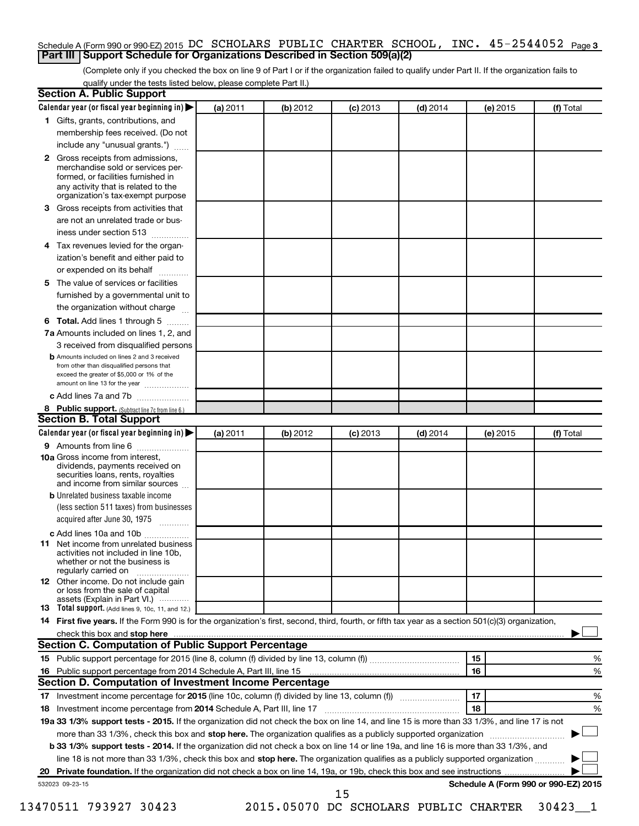#### Schedule A (Form 990 or 990-EZ) 2015 DC SCHOLARS PUBLIC CHARTER SCHOOL, INC.  $45$  –  $2544052$  Page 3 **Part III Support Schedule for Organizations Described in Section 509(a)(2)**

(Complete only if you checked the box on line 9 of Part I or if the organization failed to qualify under Part II. If the organization fails to qualify under the tests listed below, please complete Part II.)

| <b>Section A. Public Support</b>                                                                                                                                                 |          |          |            |            |          |                                      |
|----------------------------------------------------------------------------------------------------------------------------------------------------------------------------------|----------|----------|------------|------------|----------|--------------------------------------|
| Calendar year (or fiscal year beginning in)                                                                                                                                      | (a) 2011 | (b) 2012 | $(c)$ 2013 | $(d)$ 2014 | (e) 2015 | (f) Total                            |
| 1 Gifts, grants, contributions, and                                                                                                                                              |          |          |            |            |          |                                      |
| membership fees received. (Do not                                                                                                                                                |          |          |            |            |          |                                      |
| include any "unusual grants.")                                                                                                                                                   |          |          |            |            |          |                                      |
| 2 Gross receipts from admissions,<br>merchandise sold or services per-<br>formed, or facilities furnished in                                                                     |          |          |            |            |          |                                      |
| any activity that is related to the<br>organization's tax-exempt purpose                                                                                                         |          |          |            |            |          |                                      |
| <b>3</b> Gross receipts from activities that                                                                                                                                     |          |          |            |            |          |                                      |
| are not an unrelated trade or bus-                                                                                                                                               |          |          |            |            |          |                                      |
| iness under section 513                                                                                                                                                          |          |          |            |            |          |                                      |
| 4 Tax revenues levied for the organ-                                                                                                                                             |          |          |            |            |          |                                      |
| ization's benefit and either paid to<br>or expended on its behalf                                                                                                                |          |          |            |            |          |                                      |
| 5 The value of services or facilities                                                                                                                                            |          |          |            |            |          |                                      |
| furnished by a governmental unit to                                                                                                                                              |          |          |            |            |          |                                      |
| the organization without charge                                                                                                                                                  |          |          |            |            |          |                                      |
| <b>6 Total.</b> Add lines 1 through 5                                                                                                                                            |          |          |            |            |          |                                      |
| 7a Amounts included on lines 1, 2, and                                                                                                                                           |          |          |            |            |          |                                      |
| 3 received from disqualified persons                                                                                                                                             |          |          |            |            |          |                                      |
| <b>b</b> Amounts included on lines 2 and 3 received<br>from other than disqualified persons that<br>exceed the greater of \$5,000 or 1% of the<br>amount on line 13 for the year |          |          |            |            |          |                                      |
| c Add lines 7a and 7b                                                                                                                                                            |          |          |            |            |          |                                      |
| 8 Public support. (Subtract line 7c from line 6.)                                                                                                                                |          |          |            |            |          |                                      |
| <b>Section B. Total Support</b>                                                                                                                                                  |          |          |            |            |          |                                      |
| Calendar year (or fiscal year beginning in) $\blacktriangleright$                                                                                                                | (a) 2011 | (b) 2012 | $(c)$ 2013 | $(d)$ 2014 | (e) 2015 | (f) Total                            |
| 9 Amounts from line 6                                                                                                                                                            |          |          |            |            |          |                                      |
| <b>10a</b> Gross income from interest,<br>dividends, payments received on<br>securities loans, rents, royalties<br>and income from similar sources                               |          |          |            |            |          |                                      |
| <b>b</b> Unrelated business taxable income                                                                                                                                       |          |          |            |            |          |                                      |
| (less section 511 taxes) from businesses                                                                                                                                         |          |          |            |            |          |                                      |
| acquired after June 30, 1975<br>$\overline{\phantom{a}}$                                                                                                                         |          |          |            |            |          |                                      |
| c Add lines 10a and 10b                                                                                                                                                          |          |          |            |            |          |                                      |
| <b>11</b> Net income from unrelated business<br>activities not included in line 10b.<br>whether or not the business is<br>regularly carried on                                   |          |          |            |            |          |                                      |
| <b>12</b> Other income. Do not include gain<br>or loss from the sale of capital                                                                                                  |          |          |            |            |          |                                      |
| assets (Explain in Part VI.)<br><b>13</b> Total support. (Add lines 9, 10c, 11, and 12.)                                                                                         |          |          |            |            |          |                                      |
| 14 First five years. If the Form 990 is for the organization's first, second, third, fourth, or fifth tax year as a section 501(c)(3) organization,                              |          |          |            |            |          |                                      |
| check this box and stop here <i>macuum macuum macuum macuum macuum macuum macuum macuum macuum</i>                                                                               |          |          |            |            |          |                                      |
| Section C. Computation of Public Support Percentage                                                                                                                              |          |          |            |            |          |                                      |
|                                                                                                                                                                                  |          |          |            |            | 15       | %                                    |
| 16 Public support percentage from 2014 Schedule A, Part III, line 15                                                                                                             |          |          |            |            | 16       | %                                    |
| Section D. Computation of Investment Income Percentage                                                                                                                           |          |          |            |            |          |                                      |
|                                                                                                                                                                                  |          |          |            |            | 17       | %                                    |
| 18 Investment income percentage from 2014 Schedule A, Part III, line 17                                                                                                          |          |          |            |            | 18       | %                                    |
| 19a 33 1/3% support tests - 2015. If the organization did not check the box on line 14, and line 15 is more than 33 1/3%, and line 17 is not                                     |          |          |            |            |          |                                      |
| more than 33 1/3%, check this box and stop here. The organization qualifies as a publicly supported organization                                                                 |          |          |            |            |          |                                      |
| b 33 1/3% support tests - 2014. If the organization did not check a box on line 14 or line 19a, and line 16 is more than 33 1/3%, and                                            |          |          |            |            |          |                                      |
| line 18 is not more than 33 1/3%, check this box and stop here. The organization qualifies as a publicly supported organization                                                  |          |          |            |            |          |                                      |
|                                                                                                                                                                                  |          |          |            |            |          |                                      |
| 532023 09-23-15                                                                                                                                                                  |          |          |            |            |          | Schedule A (Form 990 or 990-EZ) 2015 |
|                                                                                                                                                                                  |          |          | 15         |            |          |                                      |

13470511 793927 30423 2015.05070 DC SCHOLARS PUBLIC CHARTER 30423\_\_1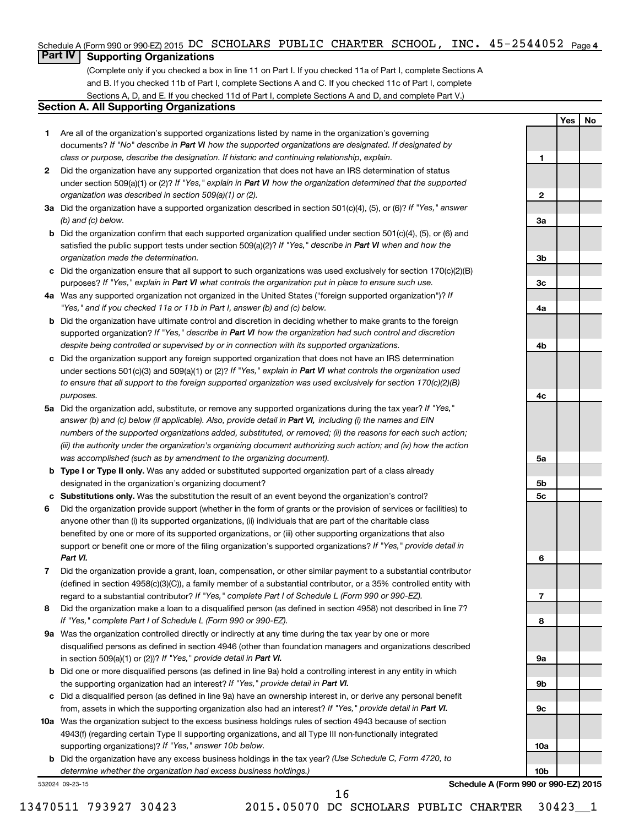### Schedule A (Form 990 or 990-EZ) 2015 DC SCHOLARS PUBLIC CHARTER SCHOOL, INC.  $45$  –  $2544052$  Page 4

## **Part IV Supporting Organizations**

(Complete only if you checked a box in line 11 on Part I. If you checked 11a of Part I, complete Sections A and B. If you checked 11b of Part I, complete Sections A and C. If you checked 11c of Part I, complete Sections A, D, and E. If you checked 11d of Part I, complete Sections A and D, and complete Part V.)

#### **Section A. All Supporting Organizations**

- **1** Are all of the organization's supported organizations listed by name in the organization's governing documents? If "No" describe in Part VI how the supported organizations are designated. If designated by *class or purpose, describe the designation. If historic and continuing relationship, explain.*
- **2** Did the organization have any supported organization that does not have an IRS determination of status under section 509(a)(1) or (2)? If "Yes," explain in Part VI how the organization determined that the supported *organization was described in section 509(a)(1) or (2).*
- **3a** Did the organization have a supported organization described in section 501(c)(4), (5), or (6)? If "Yes," answer *(b) and (c) below.*
- **b** Did the organization confirm that each supported organization qualified under section 501(c)(4), (5), or (6) and satisfied the public support tests under section 509(a)(2)? If "Yes," describe in Part VI when and how the *organization made the determination.*
- **c** Did the organization ensure that all support to such organizations was used exclusively for section 170(c)(2)(B) purposes? If "Yes," explain in Part VI what controls the organization put in place to ensure such use.
- **4 a** *If* Was any supported organization not organized in the United States ("foreign supported organization")? *"Yes," and if you checked 11a or 11b in Part I, answer (b) and (c) below.*
- **b** Did the organization have ultimate control and discretion in deciding whether to make grants to the foreign supported organization? If "Yes," describe in Part VI how the organization had such control and discretion *despite being controlled or supervised by or in connection with its supported organizations.*
- **c** Did the organization support any foreign supported organization that does not have an IRS determination under sections 501(c)(3) and 509(a)(1) or (2)? If "Yes," explain in Part VI what controls the organization used *to ensure that all support to the foreign supported organization was used exclusively for section 170(c)(2)(B) purposes.*
- **5a** Did the organization add, substitute, or remove any supported organizations during the tax year? If "Yes," answer (b) and (c) below (if applicable). Also, provide detail in Part VI, including (i) the names and EIN *numbers of the supported organizations added, substituted, or removed; (ii) the reasons for each such action; (iii) the authority under the organization's organizing document authorizing such action; and (iv) how the action was accomplished (such as by amendment to the organizing document).*
- **b Type I or Type II only.** Was any added or substituted supported organization part of a class already designated in the organization's organizing document?
- **c Substitutions only.**  Was the substitution the result of an event beyond the organization's control?
- **6** Did the organization provide support (whether in the form of grants or the provision of services or facilities) to support or benefit one or more of the filing organization's supported organizations? If "Yes," provide detail in anyone other than (i) its supported organizations, (ii) individuals that are part of the charitable class benefited by one or more of its supported organizations, or (iii) other supporting organizations that also *Part VI.*
- **7** Did the organization provide a grant, loan, compensation, or other similar payment to a substantial contributor regard to a substantial contributor? If "Yes," complete Part I of Schedule L (Form 990 or 990-EZ). (defined in section 4958(c)(3)(C)), a family member of a substantial contributor, or a 35% controlled entity with
- **8** Did the organization make a loan to a disqualified person (as defined in section 4958) not described in line 7? *If "Yes," complete Part I of Schedule L (Form 990 or 990-EZ).*
- **9 a** Was the organization controlled directly or indirectly at any time during the tax year by one or more in section 509(a)(1) or (2))? If "Yes," provide detail in Part VI. disqualified persons as defined in section 4946 (other than foundation managers and organizations described
- **b** Did one or more disqualified persons (as defined in line 9a) hold a controlling interest in any entity in which the supporting organization had an interest? If "Yes," provide detail in Part VI.
- **c** Did a disqualified person (as defined in line 9a) have an ownership interest in, or derive any personal benefit from, assets in which the supporting organization also had an interest? If "Yes," provide detail in Part VI.
- **10 a** Was the organization subject to the excess business holdings rules of section 4943 because of section supporting organizations)? If "Yes," answer 10b below. 4943(f) (regarding certain Type II supporting organizations, and all Type III non-functionally integrated
	- **b** Did the organization have any excess business holdings in the tax year? (Use Schedule C, Form 4720, to *determine whether the organization had excess business holdings.)*

532024 09-23-15

**Schedule A (Form 990 or 990-EZ) 2015**

**Yes No**

**1**

**2**

**3a**

**3b**

**3c**

**4a**

**4b**

**4c**

**5a**

**5b 5c**

**6**

**7**

**8**

**9a**

**9b**

**9c**

**10a**

**10b**

16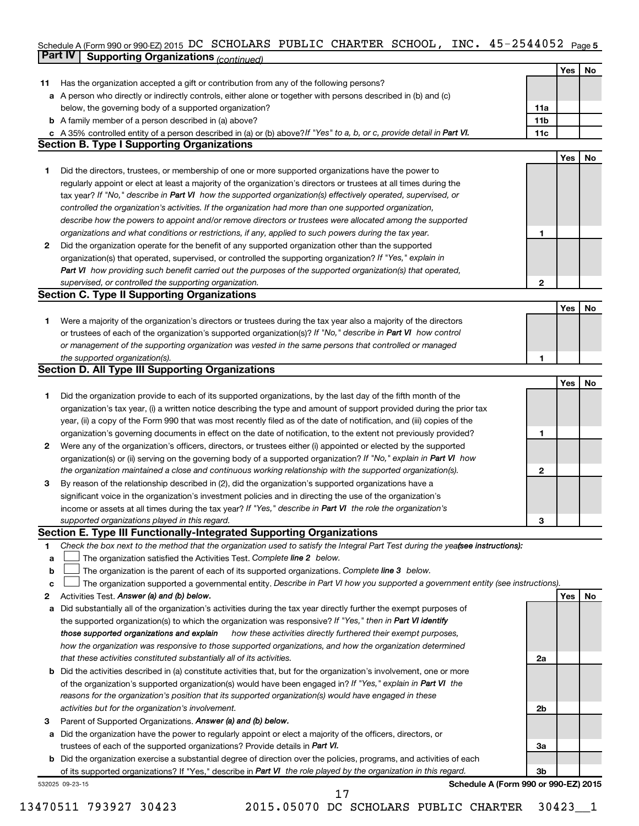#### Schedule A (Form 990 or 990-EZ) 2015 DC SCHOLARS PUBLIC CHARTER SCHOOL, INC。 45-Z544U5Z Page 5 **Part IV Supporting Organizations** *(continued)* DC SCHOLARS PUBLIC CHARTER SCHOOL, INC. 45-2544052

|              | continued of same and recontinued.                                                                                                                                                                      |              |     |    |
|--------------|---------------------------------------------------------------------------------------------------------------------------------------------------------------------------------------------------------|--------------|-----|----|
|              |                                                                                                                                                                                                         |              | Yes | No |
| 11           | Has the organization accepted a gift or contribution from any of the following persons?                                                                                                                 |              |     |    |
| а            | A person who directly or indirectly controls, either alone or together with persons described in (b) and (c)                                                                                            |              |     |    |
|              | below, the governing body of a supported organization?                                                                                                                                                  | 11a          |     |    |
| b            | A family member of a person described in (a) above?                                                                                                                                                     | 11b          |     |    |
|              | c A 35% controlled entity of a person described in (a) or (b) above? If "Yes" to a, b, or c, provide detail in Part VI.                                                                                 | 11c          |     |    |
|              | <b>Section B. Type I Supporting Organizations</b>                                                                                                                                                       |              |     |    |
|              |                                                                                                                                                                                                         |              | Yes | No |
| 1.           | Did the directors, trustees, or membership of one or more supported organizations have the power to                                                                                                     |              |     |    |
|              | regularly appoint or elect at least a majority of the organization's directors or trustees at all times during the                                                                                      |              |     |    |
|              | tax year? If "No," describe in Part VI how the supported organization(s) effectively operated, supervised, or                                                                                           |              |     |    |
|              | controlled the organization's activities. If the organization had more than one supported organization,                                                                                                 |              |     |    |
|              | describe how the powers to appoint and/or remove directors or trustees were allocated among the supported                                                                                               |              |     |    |
|              | organizations and what conditions or restrictions, if any, applied to such powers during the tax year.                                                                                                  | 1            |     |    |
| $\mathbf{2}$ | Did the organization operate for the benefit of any supported organization other than the supported                                                                                                     |              |     |    |
|              | organization(s) that operated, supervised, or controlled the supporting organization? If "Yes," explain in                                                                                              |              |     |    |
|              | Part VI how providing such benefit carried out the purposes of the supported organization(s) that operated,                                                                                             |              |     |    |
|              | supervised, or controlled the supporting organization.                                                                                                                                                  | 2            |     |    |
|              | <b>Section C. Type II Supporting Organizations</b>                                                                                                                                                      |              |     |    |
|              |                                                                                                                                                                                                         |              | Yes | No |
| 1.           | Were a majority of the organization's directors or trustees during the tax year also a majority of the directors                                                                                        |              |     |    |
|              | or trustees of each of the organization's supported organization(s)? If "No," describe in Part VI how control                                                                                           |              |     |    |
|              | or management of the supporting organization was vested in the same persons that controlled or managed                                                                                                  |              |     |    |
|              | the supported organization(s).                                                                                                                                                                          | 1            |     |    |
|              | <b>Section D. All Type III Supporting Organizations</b>                                                                                                                                                 |              |     |    |
|              |                                                                                                                                                                                                         |              | Yes | No |
| 1.           | Did the organization provide to each of its supported organizations, by the last day of the fifth month of the                                                                                          |              |     |    |
|              | organization's tax year, (i) a written notice describing the type and amount of support provided during the prior tax                                                                                   |              |     |    |
|              | year, (ii) a copy of the Form 990 that was most recently filed as of the date of notification, and (iii) copies of the                                                                                  |              |     |    |
|              | organization's governing documents in effect on the date of notification, to the extent not previously provided?                                                                                        | 1            |     |    |
| $\mathbf{2}$ | Were any of the organization's officers, directors, or trustees either (i) appointed or elected by the supported                                                                                        |              |     |    |
|              | organization(s) or (ii) serving on the governing body of a supported organization? If "No," explain in Part VI how                                                                                      |              |     |    |
|              |                                                                                                                                                                                                         | $\mathbf{2}$ |     |    |
|              | the organization maintained a close and continuous working relationship with the supported organization(s).                                                                                             |              |     |    |
| З            | By reason of the relationship described in (2), did the organization's supported organizations have a                                                                                                   |              |     |    |
|              | significant voice in the organization's investment policies and in directing the use of the organization's                                                                                              |              |     |    |
|              | income or assets at all times during the tax year? If "Yes," describe in Part VI the role the organization's                                                                                            |              |     |    |
|              | supported organizations played in this regard.                                                                                                                                                          | з            |     |    |
|              | Section E. Type III Functionally-Integrated Supporting Organizations<br>Check the box next to the method that the organization used to satisfy the Integral Part Test during the yeafsee instructions): |              |     |    |
| 1            |                                                                                                                                                                                                         |              |     |    |
| a            | The organization satisfied the Activities Test. Complete line 2 below.                                                                                                                                  |              |     |    |
| b            | The organization is the parent of each of its supported organizations. Complete line 3 below.                                                                                                           |              |     |    |
| c            | The organization supported a governmental entity. Describe in Part VI how you supported a government entity (see instructions).                                                                         |              |     |    |
| 2            | Activities Test. Answer (a) and (b) below.                                                                                                                                                              |              | Yes | No |
| а            | Did substantially all of the organization's activities during the tax year directly further the exempt purposes of                                                                                      |              |     |    |
|              | the supported organization(s) to which the organization was responsive? If "Yes," then in Part VI identify                                                                                              |              |     |    |
|              | those supported organizations and explain<br>how these activities directly furthered their exempt purposes,                                                                                             |              |     |    |
|              | how the organization was responsive to those supported organizations, and how the organization determined                                                                                               |              |     |    |
|              | that these activities constituted substantially all of its activities.                                                                                                                                  | 2a           |     |    |
| b            | Did the activities described in (a) constitute activities that, but for the organization's involvement, one or more                                                                                     |              |     |    |
|              | of the organization's supported organization(s) would have been engaged in? If "Yes," explain in Part VI the                                                                                            |              |     |    |
|              | reasons for the organization's position that its supported organization(s) would have engaged in these                                                                                                  |              |     |    |
|              | activities but for the organization's involvement.                                                                                                                                                      | 2b           |     |    |
| 3            | Parent of Supported Organizations. Answer (a) and (b) below.                                                                                                                                            |              |     |    |
| a            | Did the organization have the power to regularly appoint or elect a majority of the officers, directors, or                                                                                             |              |     |    |
|              | trustees of each of the supported organizations? Provide details in Part VI.                                                                                                                            | За           |     |    |
| b            | Did the organization exercise a substantial degree of direction over the policies, programs, and activities of each                                                                                     |              |     |    |
|              | of its supported organizations? If "Yes," describe in Part VI the role played by the organization in this regard.                                                                                       | 3b           |     |    |
|              | Schedule A (Form 990 or 990-EZ) 2015<br>532025 09-23-15                                                                                                                                                 |              |     |    |
|              | 17                                                                                                                                                                                                      |              |     |    |

13470511 793927 30423 2015.05070 DC SCHOLARS PUBLIC CHARTER 30423\_\_1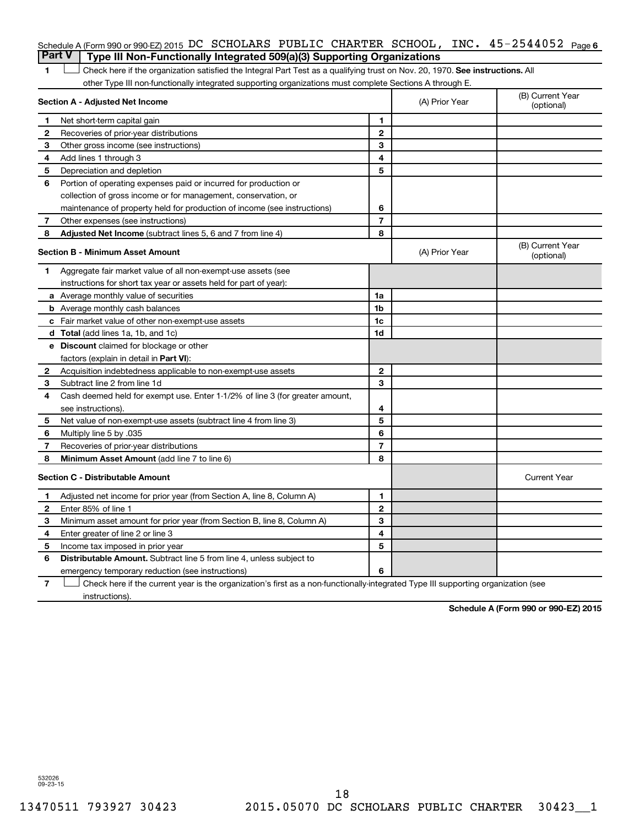### Schedule A (Form 990 or 990-EZ) 2015 DC SCHOLARS PUBLIC CHARTER SCHOOL, INC.  $45$  –  $2544052$  Page 6 **Part V Type III Non-Functionally Integrated 509(a)(3) Supporting Organizations**

1 **Letter on Reck here if the organization satisfied the Integral Part Test as a qualifying trust on Nov. 20, 1970. See instructions. All** other Type III non-functionally integrated supporting organizations must complete Sections A through E.

|             | Section A - Adjusted Net Income                                                                                                   |                | (A) Prior Year | (B) Current Year<br>(optional) |
|-------------|-----------------------------------------------------------------------------------------------------------------------------------|----------------|----------------|--------------------------------|
| $\mathbf 1$ | Net short-term capital gain                                                                                                       | 1              |                |                                |
| 2           | Recoveries of prior-year distributions                                                                                            | $\mathbf{2}$   |                |                                |
| 3           | Other gross income (see instructions)                                                                                             | 3              |                |                                |
| 4           | Add lines 1 through 3                                                                                                             | 4              |                |                                |
| 5           | Depreciation and depletion                                                                                                        | 5              |                |                                |
| 6           | Portion of operating expenses paid or incurred for production or                                                                  |                |                |                                |
|             | collection of gross income or for management, conservation, or                                                                    |                |                |                                |
|             | maintenance of property held for production of income (see instructions)                                                          | 6              |                |                                |
| 7           | Other expenses (see instructions)                                                                                                 | 7              |                |                                |
| 8           | Adjusted Net Income (subtract lines 5, 6 and 7 from line 4)                                                                       | 8              |                |                                |
|             | <b>Section B - Minimum Asset Amount</b>                                                                                           |                | (A) Prior Year | (B) Current Year<br>(optional) |
| 1.          | Aggregate fair market value of all non-exempt-use assets (see                                                                     |                |                |                                |
|             | instructions for short tax year or assets held for part of year):                                                                 |                |                |                                |
|             | <b>a</b> Average monthly value of securities                                                                                      | 1a             |                |                                |
|             | <b>b</b> Average monthly cash balances                                                                                            | 1b             |                |                                |
|             | c Fair market value of other non-exempt-use assets                                                                                | 1 <sub>c</sub> |                |                                |
|             | d Total (add lines 1a, 1b, and 1c)                                                                                                | 1d             |                |                                |
|             | e Discount claimed for blockage or other                                                                                          |                |                |                                |
|             | factors (explain in detail in Part VI):                                                                                           |                |                |                                |
| 2           | Acquisition indebtedness applicable to non-exempt-use assets                                                                      | $\mathbf{2}$   |                |                                |
| 3           | Subtract line 2 from line 1d                                                                                                      | 3              |                |                                |
| 4           | Cash deemed held for exempt use. Enter 1-1/2% of line 3 (for greater amount,                                                      |                |                |                                |
|             | see instructions).                                                                                                                | 4              |                |                                |
| 5           | Net value of non-exempt-use assets (subtract line 4 from line 3)                                                                  | 5              |                |                                |
| 6           | Multiply line 5 by .035                                                                                                           | 6              |                |                                |
| 7           | Recoveries of prior-year distributions                                                                                            | 7              |                |                                |
| 8           | Minimum Asset Amount (add line 7 to line 6)                                                                                       | 8              |                |                                |
|             | <b>Section C - Distributable Amount</b>                                                                                           |                |                | <b>Current Year</b>            |
| 1           | Adjusted net income for prior year (from Section A, line 8, Column A)                                                             | 1              |                |                                |
| 2           | Enter 85% of line 1                                                                                                               | $\mathbf{2}$   |                |                                |
| 3           | Minimum asset amount for prior year (from Section B, line 8, Column A)                                                            | 3              |                |                                |
| 4           | Enter greater of line 2 or line 3                                                                                                 | 4              |                |                                |
| 5           | Income tax imposed in prior year                                                                                                  | 5              |                |                                |
| 6           | <b>Distributable Amount.</b> Subtract line 5 from line 4, unless subject to                                                       |                |                |                                |
|             | emergency temporary reduction (see instructions)                                                                                  | 6              |                |                                |
| 7           | Check here if the current year is the organization's first as a non-functionally-integrated Type III supporting organization (see |                |                |                                |

instructions).

**Schedule A (Form 990 or 990-EZ) 2015**

532026 09-23-15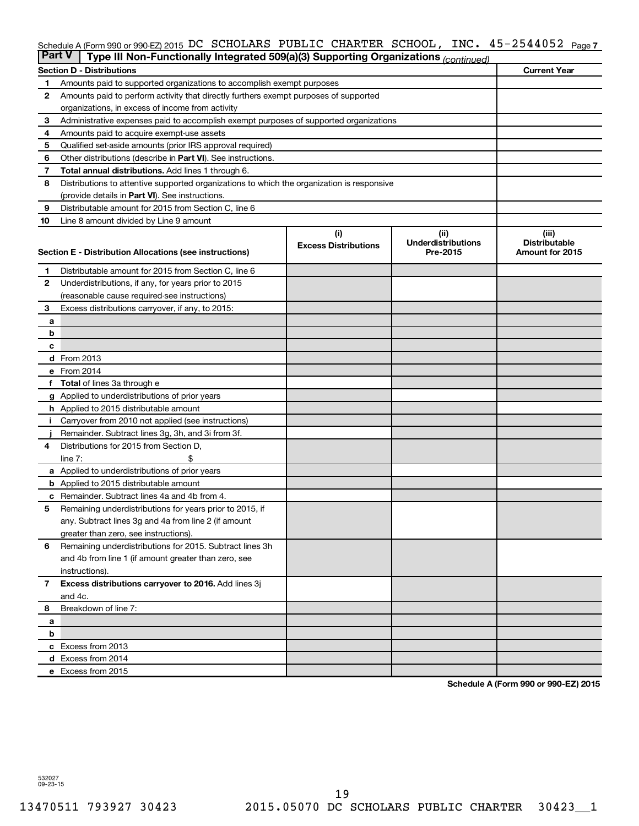#### INC. 45-2544052 Page 7 Schedule A (Form 990 or 990-EZ) 2015 DC SCHOLLARS PUBLIC CHARTER SCHOOL, INC。 45~Z544U5Z Page DC SCHOLARS PUBLIC CHARTER SCHOOL, INC. 45-2544052

| <b>Part V</b>  | Type III Non-Functionally Integrated 509(a)(3) Supporting Organizations (continued)                     |                             |                                       |                                         |  |  |  |  |  |
|----------------|---------------------------------------------------------------------------------------------------------|-----------------------------|---------------------------------------|-----------------------------------------|--|--|--|--|--|
|                | <b>Section D - Distributions</b>                                                                        |                             |                                       | <b>Current Year</b>                     |  |  |  |  |  |
| 1              | Amounts paid to supported organizations to accomplish exempt purposes                                   |                             |                                       |                                         |  |  |  |  |  |
| 2              | Amounts paid to perform activity that directly furthers exempt purposes of supported                    |                             |                                       |                                         |  |  |  |  |  |
|                | organizations, in excess of income from activity                                                        |                             |                                       |                                         |  |  |  |  |  |
| 3              | Administrative expenses paid to accomplish exempt purposes of supported organizations                   |                             |                                       |                                         |  |  |  |  |  |
| 4              | Amounts paid to acquire exempt-use assets                                                               |                             |                                       |                                         |  |  |  |  |  |
| 5              | Qualified set-aside amounts (prior IRS approval required)                                               |                             |                                       |                                         |  |  |  |  |  |
| 6              | Other distributions (describe in Part VI). See instructions.                                            |                             |                                       |                                         |  |  |  |  |  |
| 7              | <b>Total annual distributions.</b> Add lines 1 through 6.                                               |                             |                                       |                                         |  |  |  |  |  |
| 8              | Distributions to attentive supported organizations to which the organization is responsive              |                             |                                       |                                         |  |  |  |  |  |
|                | (provide details in Part VI). See instructions.                                                         |                             |                                       |                                         |  |  |  |  |  |
| 9              | Distributable amount for 2015 from Section C, line 6                                                    |                             |                                       |                                         |  |  |  |  |  |
| 10             | Line 8 amount divided by Line 9 amount                                                                  |                             |                                       |                                         |  |  |  |  |  |
|                |                                                                                                         | (i)                         | (ii)                                  | (iii)                                   |  |  |  |  |  |
|                | Section E - Distribution Allocations (see instructions)                                                 | <b>Excess Distributions</b> | <b>Underdistributions</b><br>Pre-2015 | <b>Distributable</b><br>Amount for 2015 |  |  |  |  |  |
|                |                                                                                                         |                             |                                       |                                         |  |  |  |  |  |
| 1              | Distributable amount for 2015 from Section C, line 6                                                    |                             |                                       |                                         |  |  |  |  |  |
| $\mathbf{2}$   | Underdistributions, if any, for years prior to 2015                                                     |                             |                                       |                                         |  |  |  |  |  |
|                | (reasonable cause required-see instructions)                                                            |                             |                                       |                                         |  |  |  |  |  |
| 3              | Excess distributions carryover, if any, to 2015:                                                        |                             |                                       |                                         |  |  |  |  |  |
| a              |                                                                                                         |                             |                                       |                                         |  |  |  |  |  |
| b              |                                                                                                         |                             |                                       |                                         |  |  |  |  |  |
| с              |                                                                                                         |                             |                                       |                                         |  |  |  |  |  |
|                | d From 2013                                                                                             |                             |                                       |                                         |  |  |  |  |  |
|                | e From 2014                                                                                             |                             |                                       |                                         |  |  |  |  |  |
|                | <b>Total</b> of lines 3a through e                                                                      |                             |                                       |                                         |  |  |  |  |  |
|                | <b>g</b> Applied to underdistributions of prior years                                                   |                             |                                       |                                         |  |  |  |  |  |
|                | <b>h</b> Applied to 2015 distributable amount                                                           |                             |                                       |                                         |  |  |  |  |  |
|                | Carryover from 2010 not applied (see instructions)<br>Remainder. Subtract lines 3g, 3h, and 3i from 3f. |                             |                                       |                                         |  |  |  |  |  |
| 4              | Distributions for 2015 from Section D,                                                                  |                             |                                       |                                         |  |  |  |  |  |
|                | $line 7$ :                                                                                              |                             |                                       |                                         |  |  |  |  |  |
|                | a Applied to underdistributions of prior years                                                          |                             |                                       |                                         |  |  |  |  |  |
|                | <b>b</b> Applied to 2015 distributable amount                                                           |                             |                                       |                                         |  |  |  |  |  |
| с              | Remainder. Subtract lines 4a and 4b from 4.                                                             |                             |                                       |                                         |  |  |  |  |  |
| 5              | Remaining underdistributions for years prior to 2015, if                                                |                             |                                       |                                         |  |  |  |  |  |
|                | any. Subtract lines 3g and 4a from line 2 (if amount                                                    |                             |                                       |                                         |  |  |  |  |  |
|                | greater than zero, see instructions).                                                                   |                             |                                       |                                         |  |  |  |  |  |
| 6              | Remaining underdistributions for 2015. Subtract lines 3h                                                |                             |                                       |                                         |  |  |  |  |  |
|                | and 4b from line 1 (if amount greater than zero, see                                                    |                             |                                       |                                         |  |  |  |  |  |
|                | instructions).                                                                                          |                             |                                       |                                         |  |  |  |  |  |
| $\overline{7}$ | Excess distributions carryover to 2016. Add lines 3j                                                    |                             |                                       |                                         |  |  |  |  |  |
|                | and 4c.                                                                                                 |                             |                                       |                                         |  |  |  |  |  |
| 8              | Breakdown of line 7:                                                                                    |                             |                                       |                                         |  |  |  |  |  |
| a              |                                                                                                         |                             |                                       |                                         |  |  |  |  |  |
| b              |                                                                                                         |                             |                                       |                                         |  |  |  |  |  |
|                | c Excess from 2013                                                                                      |                             |                                       |                                         |  |  |  |  |  |
|                | d Excess from 2014                                                                                      |                             |                                       |                                         |  |  |  |  |  |
|                | e Excess from 2015                                                                                      |                             |                                       |                                         |  |  |  |  |  |

**Schedule A (Form 990 or 990-EZ) 2015**

532027 09-23-15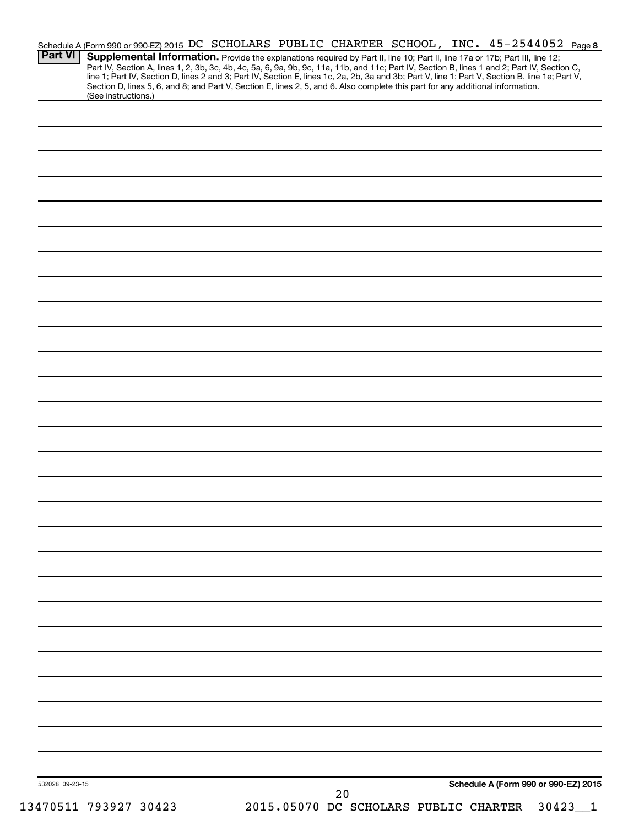| <b>Part VI</b>  | Schedule A (Form 990 or 990-EZ) 2015 DC SCHOLARS PUBLIC CHARTER SCHOOL, INC. 45-2544052 Page 8<br>Supplemental Information. Provide the explanations required by Part II, line 10; Part II, line 17a or 17b; Part III, line 12;                                                                                                                                                                                                                           |  |                                       |  |                                      |                           |
|-----------------|-----------------------------------------------------------------------------------------------------------------------------------------------------------------------------------------------------------------------------------------------------------------------------------------------------------------------------------------------------------------------------------------------------------------------------------------------------------|--|---------------------------------------|--|--------------------------------------|---------------------------|
|                 | Part IV, Section A, lines 1, 2, 3b, 3c, 4b, 4c, 5a, 6, 9a, 9b, 9c, 11a, 11b, and 11c; Part IV, Section B, lines 1 and 2; Part IV, Section C,<br>line 1; Part IV, Section D, lines 2 and 3; Part IV, Section E, lines 1c, 2a, 2b, 3a and 3b; Part V, line 1; Part V, Section B, line 1e; Part V,<br>Section D, lines 5, 6, and 8; and Part V, Section E, lines 2, 5, and 6. Also complete this part for any additional information.<br>(See instructions.) |  |                                       |  |                                      |                           |
|                 |                                                                                                                                                                                                                                                                                                                                                                                                                                                           |  |                                       |  |                                      |                           |
|                 |                                                                                                                                                                                                                                                                                                                                                                                                                                                           |  |                                       |  |                                      |                           |
|                 |                                                                                                                                                                                                                                                                                                                                                                                                                                                           |  |                                       |  |                                      |                           |
|                 |                                                                                                                                                                                                                                                                                                                                                                                                                                                           |  |                                       |  |                                      |                           |
|                 |                                                                                                                                                                                                                                                                                                                                                                                                                                                           |  |                                       |  |                                      |                           |
|                 |                                                                                                                                                                                                                                                                                                                                                                                                                                                           |  |                                       |  |                                      |                           |
|                 |                                                                                                                                                                                                                                                                                                                                                                                                                                                           |  |                                       |  |                                      |                           |
|                 |                                                                                                                                                                                                                                                                                                                                                                                                                                                           |  |                                       |  |                                      |                           |
|                 |                                                                                                                                                                                                                                                                                                                                                                                                                                                           |  |                                       |  |                                      |                           |
|                 |                                                                                                                                                                                                                                                                                                                                                                                                                                                           |  |                                       |  |                                      |                           |
|                 |                                                                                                                                                                                                                                                                                                                                                                                                                                                           |  |                                       |  |                                      |                           |
|                 |                                                                                                                                                                                                                                                                                                                                                                                                                                                           |  |                                       |  |                                      |                           |
|                 |                                                                                                                                                                                                                                                                                                                                                                                                                                                           |  |                                       |  |                                      |                           |
|                 |                                                                                                                                                                                                                                                                                                                                                                                                                                                           |  |                                       |  |                                      |                           |
|                 |                                                                                                                                                                                                                                                                                                                                                                                                                                                           |  |                                       |  |                                      |                           |
|                 |                                                                                                                                                                                                                                                                                                                                                                                                                                                           |  |                                       |  |                                      |                           |
|                 |                                                                                                                                                                                                                                                                                                                                                                                                                                                           |  |                                       |  |                                      |                           |
|                 |                                                                                                                                                                                                                                                                                                                                                                                                                                                           |  |                                       |  |                                      |                           |
|                 |                                                                                                                                                                                                                                                                                                                                                                                                                                                           |  |                                       |  |                                      |                           |
|                 |                                                                                                                                                                                                                                                                                                                                                                                                                                                           |  |                                       |  |                                      |                           |
|                 |                                                                                                                                                                                                                                                                                                                                                                                                                                                           |  |                                       |  |                                      |                           |
|                 |                                                                                                                                                                                                                                                                                                                                                                                                                                                           |  |                                       |  |                                      |                           |
|                 |                                                                                                                                                                                                                                                                                                                                                                                                                                                           |  |                                       |  |                                      |                           |
|                 |                                                                                                                                                                                                                                                                                                                                                                                                                                                           |  |                                       |  |                                      |                           |
|                 |                                                                                                                                                                                                                                                                                                                                                                                                                                                           |  |                                       |  |                                      |                           |
|                 |                                                                                                                                                                                                                                                                                                                                                                                                                                                           |  |                                       |  |                                      |                           |
|                 |                                                                                                                                                                                                                                                                                                                                                                                                                                                           |  |                                       |  |                                      |                           |
|                 |                                                                                                                                                                                                                                                                                                                                                                                                                                                           |  |                                       |  |                                      |                           |
|                 |                                                                                                                                                                                                                                                                                                                                                                                                                                                           |  |                                       |  |                                      |                           |
|                 |                                                                                                                                                                                                                                                                                                                                                                                                                                                           |  |                                       |  |                                      |                           |
|                 |                                                                                                                                                                                                                                                                                                                                                                                                                                                           |  |                                       |  |                                      |                           |
| 532028 09-23-15 |                                                                                                                                                                                                                                                                                                                                                                                                                                                           |  | 20                                    |  | Schedule A (Form 990 or 990-EZ) 2015 |                           |
|                 | 13470511 793927 30423                                                                                                                                                                                                                                                                                                                                                                                                                                     |  | 2015.05070 DC SCHOLARS PUBLIC CHARTER |  |                                      | 30423<br>$\mathbf{\perp}$ |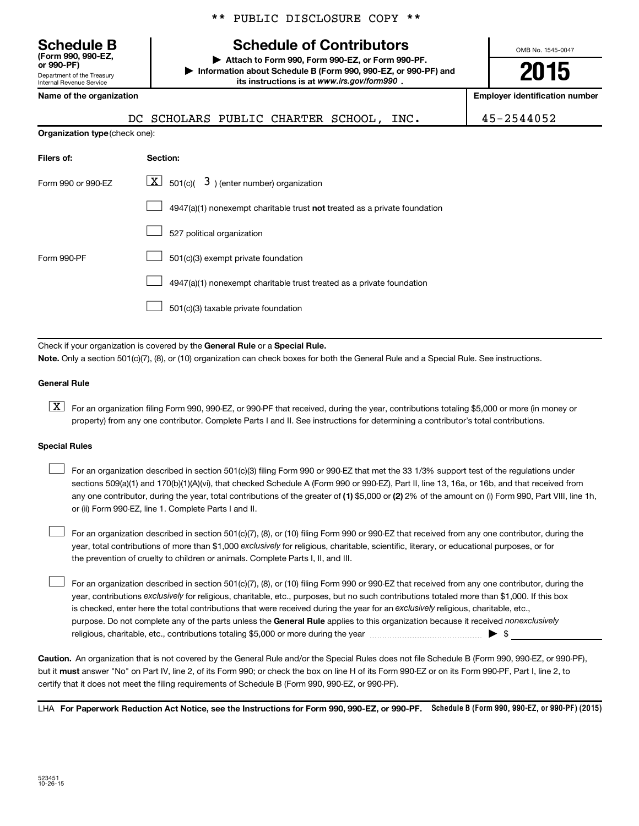\*\* PUBLIC DISCLOSURE COPY \*\*

# **Schedule B Schedule of Contributors**

**or 990-PF) | Attach to Form 990, Form 990-EZ, or Form 990-PF. | Information about Schedule B (Form 990, 990-EZ, or 990-PF) and** its instructions is at www.irs.gov/form990.

OMB No. 1545-0047

# **2015**

| Name of the organization              | <b>Employer identification number</b>                                     |            |
|---------------------------------------|---------------------------------------------------------------------------|------------|
|                                       | DC SCHOLARS PUBLIC CHARTER SCHOOL, INC.                                   | 45-2544052 |
| <b>Organization type (check one):</b> |                                                                           |            |
| Filers of:                            | Section:                                                                  |            |
| Form 990 or 990-EZ                    | $\boxed{\textbf{X}}$ 501(c)( 3) (enter number) organization               |            |
|                                       | 4947(a)(1) nonexempt charitable trust not treated as a private foundation |            |
|                                       | 527 political organization                                                |            |
| Form 990-PF                           | 501(c)(3) exempt private foundation                                       |            |

4947(a)(1) nonexempt charitable trust treated as a private foundation  $\Box$ 

501(c)(3) taxable private foundation  $\Box$ 

Check if your organization is covered by the General Rule or a Special Rule.

**Note.**  Only a section 501(c)(7), (8), or (10) organization can check boxes for both the General Rule and a Special Rule. See instructions.

#### **General Rule**

Department of the Treasury Internal Revenue Service

**(Form 990, 990-EZ,**

**K** For an organization filing Form 990, 990-EZ, or 990-PF that received, during the year, contributions totaling \$5,000 or more (in money or property) from any one contributor. Complete Parts I and II. See instructions for determining a contributor's total contributions.

#### **Special Rules**

 $\Box$ 

any one contributor, during the year, total contributions of the greater of **(1)** \$5,000 or **(2)** 2% of the amount on (i) Form 990, Part VIII, line 1h, For an organization described in section 501(c)(3) filing Form 990 or 990-EZ that met the 33 1/3% support test of the regulations under sections 509(a)(1) and 170(b)(1)(A)(vi), that checked Schedule A (Form 990 or 990-EZ), Part II, line 13, 16a, or 16b, and that received from or (ii) Form 990-EZ, line 1. Complete Parts I and II.  $\Box$ 

year, total contributions of more than \$1,000 *exclusively* for religious, charitable, scientific, literary, or educational purposes, or for For an organization described in section 501(c)(7), (8), or (10) filing Form 990 or 990-EZ that received from any one contributor, during the the prevention of cruelty to children or animals. Complete Parts I, II, and III.  $\Box$ 

purpose. Do not complete any of the parts unless the General Rule applies to this organization because it received nonexclusively year, contributions exclusively for religious, charitable, etc., purposes, but no such contributions totaled more than \$1,000. If this box is checked, enter here the total contributions that were received during the year for an exclusively religious, charitable, etc., For an organization described in section 501(c)(7), (8), or (10) filing Form 990 or 990-EZ that received from any one contributor, during the religious, charitable, etc., contributions totaling \$5,000 or more during the year  $\ldots$  $\ldots$  $\ldots$  $\ldots$  $\ldots$  $\ldots$ 

**Caution.** An organization that is not covered by the General Rule and/or the Special Rules does not file Schedule B (Form 990, 990-EZ, or 990-PF),  **must** but it answer "No" on Part IV, line 2, of its Form 990; or check the box on line H of its Form 990-EZ or on its Form 990-PF, Part I, line 2, to certify that it does not meet the filing requirements of Schedule B (Form 990, 990-EZ, or 990-PF).

LHA For Paperwork Reduction Act Notice, see the Instructions for Form 990, 990-EZ, or 990-PF. Schedule B (Form 990, 990-EZ, or 990-PF) (2015)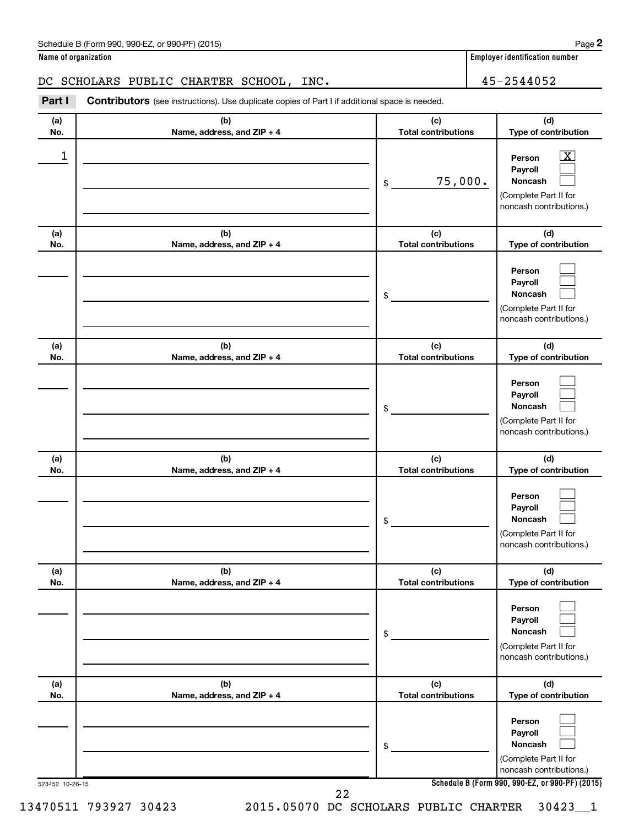| Schedule B (Form 990, 990-EZ, or 990-PF) (2015)<br>$\sqrt{2}$ , $\sqrt{2}$ , $\sqrt{2}$ , $\sqrt{2}$ , $\sqrt{2}$ , $\sqrt{2}$ | Page |
|--------------------------------------------------------------------------------------------------------------------------------|------|
|--------------------------------------------------------------------------------------------------------------------------------|------|

**Name of organization** 

# DC SCHOLARS PUBLIC CHARTER SCHOOL, INC. 45-2544052

**Part I** Contributors (see instructions). Use duplicate copies of Part I if additional space is needed.

| (a)<br>No. | (b)<br>Name, address, and ZIP + 4 | (c)<br><b>Total contributions</b> | (d)<br>Type of contribution                                                                                      |
|------------|-----------------------------------|-----------------------------------|------------------------------------------------------------------------------------------------------------------|
| 1          |                                   | 75,000.<br>\$                     | $\overline{\text{X}}$<br>Person<br>Payroll<br><b>Noncash</b><br>(Complete Part II for<br>noncash contributions.) |
| (a)<br>No. | (b)<br>Name, address, and ZIP + 4 | (c)<br><b>Total contributions</b> | (d)<br>Type of contribution                                                                                      |
|            |                                   | \$                                | Person<br>Payroll<br>Noncash<br>(Complete Part II for<br>noncash contributions.)                                 |
| (a)<br>No. | (b)<br>Name, address, and ZIP + 4 | (c)<br><b>Total contributions</b> | (d)<br>Type of contribution                                                                                      |
|            |                                   | \$                                | Person<br>Payroll<br>Noncash<br>(Complete Part II for<br>noncash contributions.)                                 |
| (a)<br>No. | (b)<br>Name, address, and ZIP + 4 | (c)<br><b>Total contributions</b> | (d)<br>Type of contribution                                                                                      |
|            |                                   | \$                                | Person<br>Payroll<br><b>Noncash</b><br>(Complete Part II for<br>noncash contributions.)                          |
| (a)<br>No. | (b)<br>Name, address, and ZIP + 4 | (c)<br><b>Total contributions</b> | (d)<br>Type of contribution                                                                                      |
|            |                                   | \$                                | Person<br>Payroll<br>Noncash<br>(Complete Part II for<br>noncash contributions.)                                 |
| (a)<br>No. | (b)<br>Name, address, and ZIP + 4 | (c)<br><b>Total contributions</b> | (d)<br>Type of contribution                                                                                      |
|            |                                   | \$                                | Person<br>Payroll<br>Noncash<br>(Complete Part II for<br>noncash contributions.)                                 |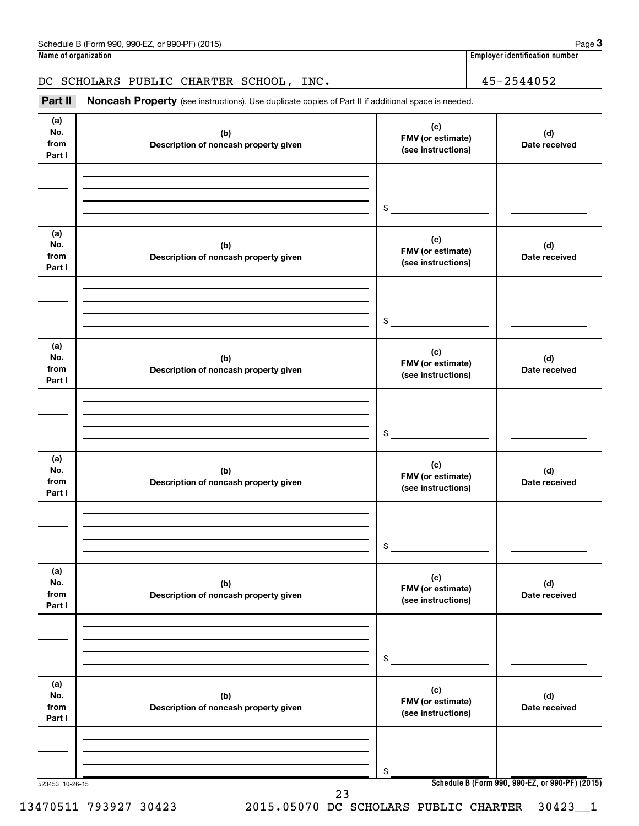### DC SCHOLARS PUBLIC CHARTER SCHOOL, INC. 45-2544052

Part II Noncash Property (see instructions). Use duplicate copies of Part II if additional space is needed.

| (a)<br>No.<br>from           | (b)<br>Description of noncash property given | (c)<br>FMV (or estimate)                       | (d)<br>Date received                            |
|------------------------------|----------------------------------------------|------------------------------------------------|-------------------------------------------------|
| Part I                       |                                              | (see instructions)                             |                                                 |
|                              |                                              | $\frac{1}{2}$                                  |                                                 |
| (a)<br>No.<br>from<br>Part I | (b)<br>Description of noncash property given | (c)<br>FMV (or estimate)<br>(see instructions) | (d)<br>Date received                            |
|                              |                                              | $\frac{1}{2}$                                  |                                                 |
| (a)<br>No.<br>from<br>Part I | (b)<br>Description of noncash property given | (c)<br>FMV (or estimate)<br>(see instructions) | (d)<br>Date received                            |
|                              |                                              | $\frac{1}{2}$                                  |                                                 |
| (a)<br>No.<br>from<br>Part I | (b)<br>Description of noncash property given | (c)<br>FMV (or estimate)<br>(see instructions) | (d)<br>Date received                            |
|                              |                                              | $$^{\circ}$                                    |                                                 |
| (a)<br>No.<br>from<br>Part I | (b)<br>Description of noncash property given | (c)<br>FMV (or estimate)<br>(see instructions) | (d)<br>Date received                            |
|                              |                                              | \$                                             |                                                 |
| (a)<br>No.<br>from<br>Part I | (b)<br>Description of noncash property given | (c)<br>FMV (or estimate)<br>(see instructions) | (d)<br>Date received                            |
|                              |                                              | \$                                             |                                                 |
| 523453 10-26-15              | 23                                           |                                                | Schedule B (Form 990, 990-EZ, or 990-PF) (2015) |

13470511 793927 30423 2015.05070 DC SCHOLARS PUBLIC CHARTER 30423\_\_1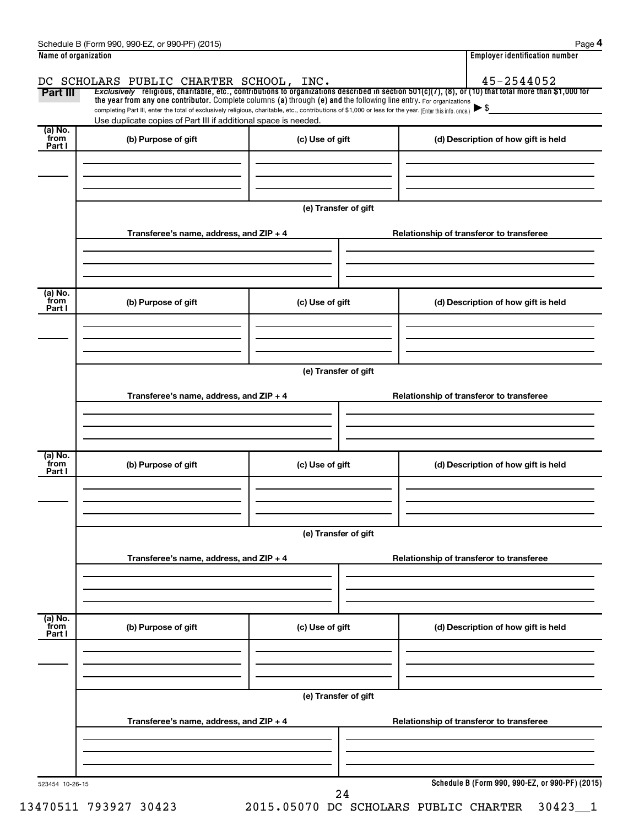| Part III                   | DC SCHOLARS PUBLIC CHARTER SCHOOL, INC.<br>Exclusively religious, charitable, etc., contributions to organizations described in section $501(c)(7)$ , (8), or (10) that total more than \$1,000 for                                                                             |                      |                                          | 45-2544052                                      |  |
|----------------------------|---------------------------------------------------------------------------------------------------------------------------------------------------------------------------------------------------------------------------------------------------------------------------------|----------------------|------------------------------------------|-------------------------------------------------|--|
|                            | the year from any one contributor. Complete columns (a) through (e) and the following line entry. For organizations<br>completing Part III, enter the total of exclusively religious, charitable, etc., contributions of \$1,000 or less for the year. (Enter this info. once.) |                      |                                          | $\blacktriangleright$ \$                        |  |
|                            | Use duplicate copies of Part III if additional space is needed.                                                                                                                                                                                                                 |                      |                                          |                                                 |  |
| (a) No.<br>from            | (b) Purpose of gift                                                                                                                                                                                                                                                             | (c) Use of gift      |                                          | (d) Description of how gift is held             |  |
| Part I                     |                                                                                                                                                                                                                                                                                 |                      |                                          |                                                 |  |
|                            |                                                                                                                                                                                                                                                                                 |                      |                                          |                                                 |  |
|                            |                                                                                                                                                                                                                                                                                 | (e) Transfer of gift |                                          |                                                 |  |
|                            | Transferee's name, address, and ZIP + 4                                                                                                                                                                                                                                         |                      |                                          | Relationship of transferor to transferee        |  |
| (a) No.                    |                                                                                                                                                                                                                                                                                 |                      |                                          |                                                 |  |
| `from<br>Part I            | (b) Purpose of gift                                                                                                                                                                                                                                                             | (c) Use of gift      |                                          | (d) Description of how gift is held             |  |
|                            |                                                                                                                                                                                                                                                                                 |                      |                                          |                                                 |  |
|                            |                                                                                                                                                                                                                                                                                 | (e) Transfer of gift |                                          |                                                 |  |
|                            | Transferee's name, address, and ZIP + 4                                                                                                                                                                                                                                         |                      | Relationship of transferor to transferee |                                                 |  |
|                            |                                                                                                                                                                                                                                                                                 |                      |                                          |                                                 |  |
| (a) No.<br>`from<br>Part I | (b) Purpose of gift                                                                                                                                                                                                                                                             | (c) Use of gift      |                                          | (d) Description of how gift is held             |  |
|                            |                                                                                                                                                                                                                                                                                 |                      |                                          |                                                 |  |
|                            |                                                                                                                                                                                                                                                                                 | (e) Transfer of gift |                                          |                                                 |  |
|                            | Transferee's name, address, and ZIP + 4                                                                                                                                                                                                                                         |                      |                                          | Relationship of transferor to transferee        |  |
|                            |                                                                                                                                                                                                                                                                                 |                      |                                          |                                                 |  |
| (a) No.<br>from<br>Part I  | (b) Purpose of gift                                                                                                                                                                                                                                                             | (c) Use of gift      |                                          | (d) Description of how gift is held             |  |
|                            |                                                                                                                                                                                                                                                                                 | (e) Transfer of gift |                                          |                                                 |  |
|                            | Transferee's name, address, and ZIP + 4                                                                                                                                                                                                                                         |                      |                                          | Relationship of transferor to transferee        |  |
|                            |                                                                                                                                                                                                                                                                                 |                      |                                          |                                                 |  |
|                            |                                                                                                                                                                                                                                                                                 |                      |                                          | Schedule B (Form 990, 990-EZ, or 990-PF) (2015) |  |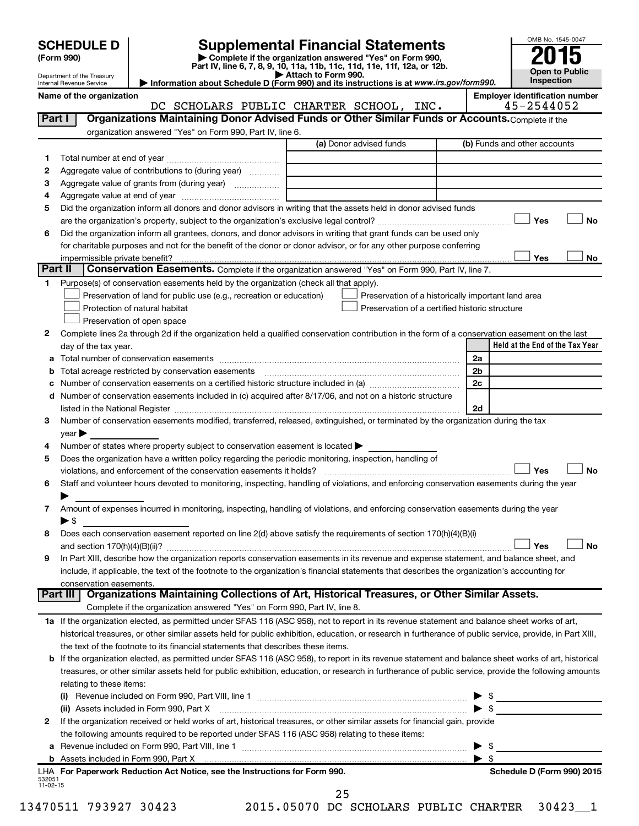| (Form 990) |  |
|------------|--|
|------------|--|

# **SCHEDULE D Supplemental Financial Statements**<br> **Form 990 2015**<br> **Part IV** line 6.7.8.9.10, 11a, 11b, 11d, 11d, 11d, 11d, 11d, 12a, 0r, 12b

**(Form 990) | Complete if the organization answered "Yes" on Form 990, Part IV, line 6, 7, 8, 9, 10, 11a, 11b, 11c, 11d, 11e, 11f, 12a, or 12b.**

**| Attach to Form 990. | Information about Schedule D (Form 990) and its instructions is at**  *www.irs.gov/form990.*



Department of the Treasury Internal Revenue Service

**Name of the organization Employer identification number**

|              | ושטוווט טו נווט טו אַמווובטנוטו<br>DC SCHOLARS PUBLIC CHARTER SCHOOL, INC.                                                                                                                                                                                                                                                                                        | Employer racmemeation num<br>45-2544052         |
|--------------|-------------------------------------------------------------------------------------------------------------------------------------------------------------------------------------------------------------------------------------------------------------------------------------------------------------------------------------------------------------------|-------------------------------------------------|
| Part I       | Organizations Maintaining Donor Advised Funds or Other Similar Funds or Accounts. Complete if the                                                                                                                                                                                                                                                                 |                                                 |
|              | organization answered "Yes" on Form 990, Part IV, line 6.                                                                                                                                                                                                                                                                                                         |                                                 |
|              | (a) Donor advised funds                                                                                                                                                                                                                                                                                                                                           | (b) Funds and other accounts                    |
| 1.           |                                                                                                                                                                                                                                                                                                                                                                   |                                                 |
| 2            | Aggregate value of contributions to (during year)                                                                                                                                                                                                                                                                                                                 |                                                 |
| з            | Aggregate value of grants from (during year)                                                                                                                                                                                                                                                                                                                      |                                                 |
| 4            |                                                                                                                                                                                                                                                                                                                                                                   |                                                 |
| 5            | Did the organization inform all donors and donor advisors in writing that the assets held in donor advised funds                                                                                                                                                                                                                                                  |                                                 |
|              |                                                                                                                                                                                                                                                                                                                                                                   | Yes<br>No                                       |
| 6            | Did the organization inform all grantees, donors, and donor advisors in writing that grant funds can be used only                                                                                                                                                                                                                                                 |                                                 |
|              | for charitable purposes and not for the benefit of the donor or donor advisor, or for any other purpose conferring                                                                                                                                                                                                                                                |                                                 |
|              | impermissible private benefit?                                                                                                                                                                                                                                                                                                                                    | No<br>Yes                                       |
|              | Part II<br>Conservation Easements. Complete if the organization answered "Yes" on Form 990, Part IV, line 7.                                                                                                                                                                                                                                                      |                                                 |
| 1.           | Purpose(s) of conservation easements held by the organization (check all that apply).                                                                                                                                                                                                                                                                             |                                                 |
|              | Preservation of land for public use (e.g., recreation or education)<br>Preservation of a historically important land area                                                                                                                                                                                                                                         |                                                 |
|              | Protection of natural habitat<br>Preservation of a certified historic structure                                                                                                                                                                                                                                                                                   |                                                 |
|              | Preservation of open space                                                                                                                                                                                                                                                                                                                                        |                                                 |
| $\mathbf{2}$ | Complete lines 2a through 2d if the organization held a qualified conservation contribution in the form of a conservation easement on the last                                                                                                                                                                                                                    |                                                 |
|              | day of the tax year.                                                                                                                                                                                                                                                                                                                                              | Held at the End of the Tax Year                 |
| а            |                                                                                                                                                                                                                                                                                                                                                                   | 2a                                              |
| b            | Total acreage restricted by conservation easements                                                                                                                                                                                                                                                                                                                | 2b                                              |
| c            |                                                                                                                                                                                                                                                                                                                                                                   | 2c                                              |
| d            | Number of conservation easements included in (c) acquired after 8/17/06, and not on a historic structure                                                                                                                                                                                                                                                          | 2d                                              |
| 3            | listed in the National Register [111] Marshall Register [11] Marshall Register [11] Marshall Register [11] Marshall Register [11] Marshall Register [11] Marshall Register [11] Marshall Register [11] Marshall Register [11]<br>Number of conservation easements modified, transferred, released, extinguished, or terminated by the organization during the tax |                                                 |
|              | $year \blacktriangleright$                                                                                                                                                                                                                                                                                                                                        |                                                 |
| 4            | Number of states where property subject to conservation easement is located >                                                                                                                                                                                                                                                                                     |                                                 |
| 5            | Does the organization have a written policy regarding the periodic monitoring, inspection, handling of                                                                                                                                                                                                                                                            |                                                 |
|              | violations, and enforcement of the conservation easements it holds?                                                                                                                                                                                                                                                                                               | Yes<br>No                                       |
| 6            | Staff and volunteer hours devoted to monitoring, inspecting, handling of violations, and enforcing conservation easements during the year                                                                                                                                                                                                                         |                                                 |
|              |                                                                                                                                                                                                                                                                                                                                                                   |                                                 |
| 7            | Amount of expenses incurred in monitoring, inspecting, handling of violations, and enforcing conservation easements during the year                                                                                                                                                                                                                               |                                                 |
|              | $\blacktriangleright$ \$                                                                                                                                                                                                                                                                                                                                          |                                                 |
| 8            | Does each conservation easement reported on line 2(d) above satisfy the requirements of section 170(h)(4)(B)(i)                                                                                                                                                                                                                                                   |                                                 |
|              | and section 170(h)(4)(B)(ii)?                                                                                                                                                                                                                                                                                                                                     | No<br>Yes                                       |
| 9            | In Part XIII, describe how the organization reports conservation easements in its revenue and expense statement, and balance sheet, and                                                                                                                                                                                                                           |                                                 |
|              | include, if applicable, the text of the footnote to the organization's financial statements that describes the organization's accounting for                                                                                                                                                                                                                      |                                                 |
|              | conservation easements.                                                                                                                                                                                                                                                                                                                                           |                                                 |
|              | Organizations Maintaining Collections of Art, Historical Treasures, or Other Similar Assets.<br>Part III                                                                                                                                                                                                                                                          |                                                 |
|              | Complete if the organization answered "Yes" on Form 990, Part IV, line 8.                                                                                                                                                                                                                                                                                         |                                                 |
|              | 1a If the organization elected, as permitted under SFAS 116 (ASC 958), not to report in its revenue statement and balance sheet works of art,                                                                                                                                                                                                                     |                                                 |
|              | historical treasures, or other similar assets held for public exhibition, education, or research in furtherance of public service, provide, in Part XIII,                                                                                                                                                                                                         |                                                 |
|              | the text of the footnote to its financial statements that describes these items.                                                                                                                                                                                                                                                                                  |                                                 |
| b            | If the organization elected, as permitted under SFAS 116 (ASC 958), to report in its revenue statement and balance sheet works of art, historical                                                                                                                                                                                                                 |                                                 |
|              | treasures, or other similar assets held for public exhibition, education, or research in furtherance of public service, provide the following amounts                                                                                                                                                                                                             |                                                 |
|              | relating to these items:                                                                                                                                                                                                                                                                                                                                          |                                                 |
|              |                                                                                                                                                                                                                                                                                                                                                                   | $\triangleright$ \$<br>$\blacktriangleright$ \$ |
| 2            | (ii) Assets included in Form 990, Part X<br>If the organization received or held works of art, historical treasures, or other similar assets for financial gain, provide                                                                                                                                                                                          |                                                 |
|              | the following amounts required to be reported under SFAS 116 (ASC 958) relating to these items:                                                                                                                                                                                                                                                                   |                                                 |
|              |                                                                                                                                                                                                                                                                                                                                                                   | - \$<br>▶                                       |
|              |                                                                                                                                                                                                                                                                                                                                                                   | $\blacktriangleright$ \$                        |
|              | LHA For Paperwork Reduction Act Notice, see the Instructions for Form 990.                                                                                                                                                                                                                                                                                        | Schedule D (Form 990) 2015                      |

25

532051 11-02-15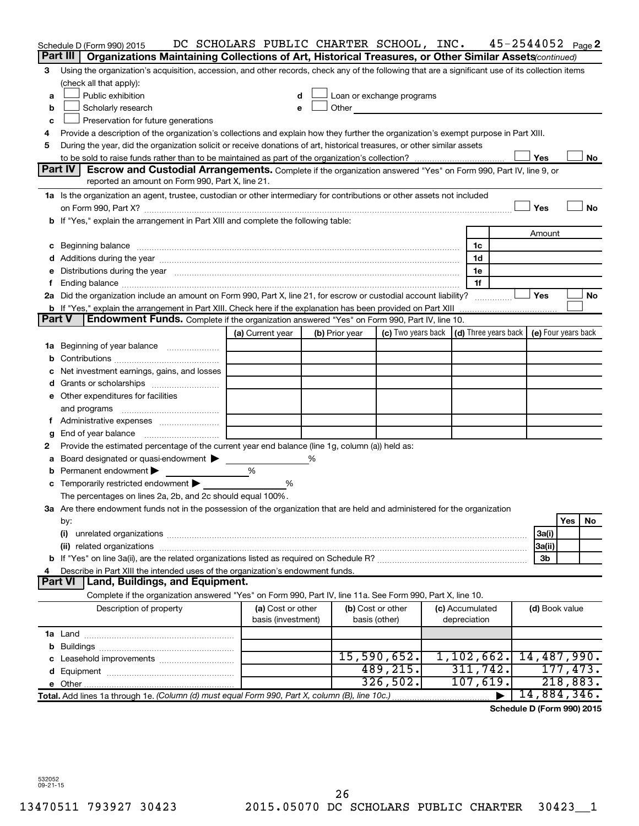|    |                | Schedule D (Form 990) 2015                                                                                                                                                                                                    |  |   |                                         |   |                | DC SCHOLARS PUBLIC CHARTER SCHOOL, INC.                                                                                                                                                                                              |                                 | $45 - 2544052$ Page 2 |                |            |          |
|----|----------------|-------------------------------------------------------------------------------------------------------------------------------------------------------------------------------------------------------------------------------|--|---|-----------------------------------------|---|----------------|--------------------------------------------------------------------------------------------------------------------------------------------------------------------------------------------------------------------------------------|---------------------------------|-----------------------|----------------|------------|----------|
|    | Part III       | Organizations Maintaining Collections of Art, Historical Treasures, or Other Similar Assets (continued)                                                                                                                       |  |   |                                         |   |                |                                                                                                                                                                                                                                      |                                 |                       |                |            |          |
| 3  |                | Using the organization's acquisition, accession, and other records, check any of the following that are a significant use of its collection items                                                                             |  |   |                                         |   |                |                                                                                                                                                                                                                                      |                                 |                       |                |            |          |
|    |                | (check all that apply):                                                                                                                                                                                                       |  |   |                                         |   |                |                                                                                                                                                                                                                                      |                                 |                       |                |            |          |
| a  |                | Public exhibition                                                                                                                                                                                                             |  |   | d                                       |   |                | Loan or exchange programs                                                                                                                                                                                                            |                                 |                       |                |            |          |
| b  |                | Scholarly research                                                                                                                                                                                                            |  |   | е                                       |   |                | Other <u>the contract of the contract of the contract of the contract of the contract of the contract of the contract of the contract of the contract of the contract of the contract of the contract of the contract of the con</u> |                                 |                       |                |            |          |
| c  |                | Preservation for future generations                                                                                                                                                                                           |  |   |                                         |   |                |                                                                                                                                                                                                                                      |                                 |                       |                |            |          |
| 4  |                | Provide a description of the organization's collections and explain how they further the organization's exempt purpose in Part XIII.                                                                                          |  |   |                                         |   |                |                                                                                                                                                                                                                                      |                                 |                       |                |            |          |
| 5  |                | During the year, did the organization solicit or receive donations of art, historical treasures, or other similar assets                                                                                                      |  |   |                                         |   |                |                                                                                                                                                                                                                                      |                                 |                       |                |            |          |
|    |                |                                                                                                                                                                                                                               |  |   |                                         |   |                |                                                                                                                                                                                                                                      |                                 |                       | Yes            |            | No       |
|    | Part IV        | <b>Escrow and Custodial Arrangements.</b> Complete if the organization answered "Yes" on Form 990, Part IV, line 9, or                                                                                                        |  |   |                                         |   |                |                                                                                                                                                                                                                                      |                                 |                       |                |            |          |
|    |                | reported an amount on Form 990, Part X, line 21.                                                                                                                                                                              |  |   |                                         |   |                |                                                                                                                                                                                                                                      |                                 |                       |                |            |          |
|    |                | 1a Is the organization an agent, trustee, custodian or other intermediary for contributions or other assets not included                                                                                                      |  |   |                                         |   |                |                                                                                                                                                                                                                                      |                                 |                       |                |            |          |
|    |                |                                                                                                                                                                                                                               |  |   |                                         |   |                |                                                                                                                                                                                                                                      |                                 |                       | Yes            |            | No       |
|    |                | b If "Yes," explain the arrangement in Part XIII and complete the following table:                                                                                                                                            |  |   |                                         |   |                |                                                                                                                                                                                                                                      |                                 |                       |                |            |          |
|    |                |                                                                                                                                                                                                                               |  |   |                                         |   |                |                                                                                                                                                                                                                                      |                                 |                       | Amount         |            |          |
| c  |                | Beginning balance www.communication.com/multiplication.com/multiplication.com/multiplication.com/multiplicatio                                                                                                                |  |   |                                         |   |                |                                                                                                                                                                                                                                      | 1c                              |                       |                |            |          |
|    |                |                                                                                                                                                                                                                               |  |   |                                         |   |                |                                                                                                                                                                                                                                      | 1d                              |                       |                |            |          |
| е  |                | Distributions during the year manufactured and continuum control of the year manufactured and control of the year manufactured and control of the year manufactured and control of the state of the state of the state of the |  |   |                                         |   |                |                                                                                                                                                                                                                                      | 1e                              |                       |                |            |          |
| f. |                |                                                                                                                                                                                                                               |  |   |                                         |   |                |                                                                                                                                                                                                                                      | 1f                              |                       | Yes            |            |          |
|    |                | 2a Did the organization include an amount on Form 990, Part X, line 21, for escrow or custodial account liability?                                                                                                            |  |   |                                         |   |                |                                                                                                                                                                                                                                      |                                 |                       |                |            | No       |
|    | Part V         | <b>b</b> If "Yes," explain the arrangement in Part XIII. Check here if the explanation has been provided on Part XIII<br><b>Endowment Funds.</b> Complete if the organization answered "Yes" on Form 990, Part IV, line 10.   |  |   |                                         |   |                |                                                                                                                                                                                                                                      |                                 |                       |                |            |          |
|    |                |                                                                                                                                                                                                                               |  |   | (a) Current year                        |   | (b) Prior year | (c) Two years back $\vert$ (d) Three years back $\vert$ (e) Four years back                                                                                                                                                          |                                 |                       |                |            |          |
| 1a |                | Beginning of year balance <i>manumman</i>                                                                                                                                                                                     |  |   |                                         |   |                |                                                                                                                                                                                                                                      |                                 |                       |                |            |          |
| b  |                |                                                                                                                                                                                                                               |  |   |                                         |   |                |                                                                                                                                                                                                                                      |                                 |                       |                |            |          |
|    |                | Net investment earnings, gains, and losses                                                                                                                                                                                    |  |   |                                         |   |                |                                                                                                                                                                                                                                      |                                 |                       |                |            |          |
| d  |                |                                                                                                                                                                                                                               |  |   |                                         |   |                |                                                                                                                                                                                                                                      |                                 |                       |                |            |          |
|    |                | e Other expenditures for facilities                                                                                                                                                                                           |  |   |                                         |   |                |                                                                                                                                                                                                                                      |                                 |                       |                |            |          |
|    | and programs   |                                                                                                                                                                                                                               |  |   |                                         |   |                |                                                                                                                                                                                                                                      |                                 |                       |                |            |          |
| Ť. |                |                                                                                                                                                                                                                               |  |   |                                         |   |                |                                                                                                                                                                                                                                      |                                 |                       |                |            |          |
| g  |                | End of year balance                                                                                                                                                                                                           |  |   |                                         |   |                |                                                                                                                                                                                                                                      |                                 |                       |                |            |          |
| 2  |                | Provide the estimated percentage of the current year end balance (line 1g, column (a)) held as:                                                                                                                               |  |   |                                         |   |                |                                                                                                                                                                                                                                      |                                 |                       |                |            |          |
| а  |                | Board designated or quasi-endowment                                                                                                                                                                                           |  |   |                                         | ℅ |                |                                                                                                                                                                                                                                      |                                 |                       |                |            |          |
|    |                | Permanent endowment                                                                                                                                                                                                           |  | % |                                         |   |                |                                                                                                                                                                                                                                      |                                 |                       |                |            |          |
|    |                | c Temporarily restricted endowment $\blacktriangleright$                                                                                                                                                                      |  |   | %                                       |   |                |                                                                                                                                                                                                                                      |                                 |                       |                |            |          |
|    |                | The percentages on lines 2a, 2b, and 2c should equal 100%.                                                                                                                                                                    |  |   |                                         |   |                |                                                                                                                                                                                                                                      |                                 |                       |                |            |          |
|    |                | 3a Are there endowment funds not in the possession of the organization that are held and administered for the organization                                                                                                    |  |   |                                         |   |                |                                                                                                                                                                                                                                      |                                 |                       |                |            |          |
|    | by:            |                                                                                                                                                                                                                               |  |   |                                         |   |                |                                                                                                                                                                                                                                      |                                 |                       |                | <b>Yes</b> | No       |
|    | (i)            |                                                                                                                                                                                                                               |  |   |                                         |   |                |                                                                                                                                                                                                                                      |                                 |                       | 3a(i)          |            |          |
|    |                |                                                                                                                                                                                                                               |  |   |                                         |   |                |                                                                                                                                                                                                                                      |                                 |                       | 3a(ii)         |            |          |
|    |                |                                                                                                                                                                                                                               |  |   |                                         |   |                |                                                                                                                                                                                                                                      |                                 |                       | 3b             |            |          |
| 4  |                | Describe in Part XIII the intended uses of the organization's endowment funds.                                                                                                                                                |  |   |                                         |   |                |                                                                                                                                                                                                                                      |                                 |                       |                |            |          |
|    | <b>Part VI</b> | Land, Buildings, and Equipment.                                                                                                                                                                                               |  |   |                                         |   |                |                                                                                                                                                                                                                                      |                                 |                       |                |            |          |
|    |                | Complete if the organization answered "Yes" on Form 990, Part IV, line 11a. See Form 990, Part X, line 10.                                                                                                                    |  |   |                                         |   |                |                                                                                                                                                                                                                                      |                                 |                       |                |            |          |
|    |                | Description of property                                                                                                                                                                                                       |  |   | (a) Cost or other<br>basis (investment) |   |                | (b) Cost or other<br>basis (other)                                                                                                                                                                                                   | (c) Accumulated<br>depreciation |                       | (d) Book value |            |          |
|    |                |                                                                                                                                                                                                                               |  |   |                                         |   |                |                                                                                                                                                                                                                                      |                                 |                       |                |            |          |
|    |                |                                                                                                                                                                                                                               |  |   |                                         |   |                |                                                                                                                                                                                                                                      |                                 |                       |                |            |          |
|    |                |                                                                                                                                                                                                                               |  |   |                                         |   |                | 15,590,652.                                                                                                                                                                                                                          | 1,102,662.                      |                       | 14,487,990.    |            |          |
|    |                |                                                                                                                                                                                                                               |  |   |                                         |   |                | 489, 215.                                                                                                                                                                                                                            | 311,742.                        |                       |                |            | 177,473. |
|    |                |                                                                                                                                                                                                                               |  |   |                                         |   |                | 326,502.                                                                                                                                                                                                                             | 107,619.                        |                       |                |            | 218,883. |
|    |                | Total. Add lines 1a through 1e. (Column (d) must equal Form 990, Part X, column (B), line 10c.)                                                                                                                               |  |   |                                         |   |                |                                                                                                                                                                                                                                      |                                 |                       | 14,884,346.    |            |          |

**Schedule D (Form 990) 2015**

532052 09-21-15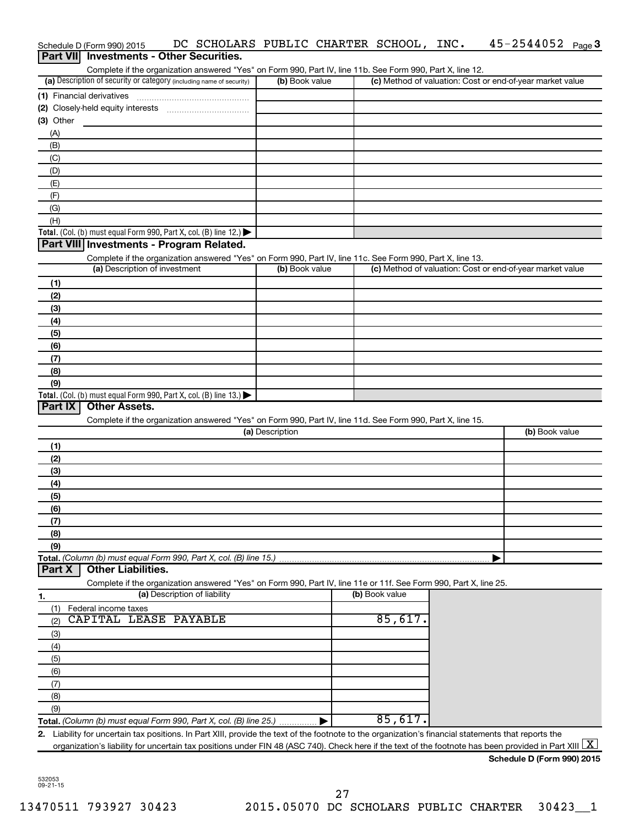|                  | Schedule D (Form 990) 2015        | DC SCHOLARS PUBLIC CHARTER SCHOOL, INC.                                                                                                                                                                                    |                 |                | 45-2544052                                                                                                                                               | Page 3 |
|------------------|-----------------------------------|----------------------------------------------------------------------------------------------------------------------------------------------------------------------------------------------------------------------------|-----------------|----------------|----------------------------------------------------------------------------------------------------------------------------------------------------------|--------|
| <b>Part VIII</b> |                                   | <b>Investments - Other Securities.</b>                                                                                                                                                                                     |                 |                |                                                                                                                                                          |        |
|                  |                                   | Complete if the organization answered "Yes" on Form 990, Part IV, line 11b. See Form 990, Part X, line 12.                                                                                                                 |                 |                |                                                                                                                                                          |        |
|                  |                                   | (a) Description of security or category (including name of security)                                                                                                                                                       | (b) Book value  |                | (c) Method of valuation: Cost or end-of-year market value                                                                                                |        |
|                  | (1) Financial derivatives         |                                                                                                                                                                                                                            |                 |                |                                                                                                                                                          |        |
|                  | (2) Closely-held equity interests |                                                                                                                                                                                                                            |                 |                |                                                                                                                                                          |        |
| $(3)$ Other      |                                   |                                                                                                                                                                                                                            |                 |                |                                                                                                                                                          |        |
| (A)<br>(B)       |                                   |                                                                                                                                                                                                                            |                 |                |                                                                                                                                                          |        |
| (C)              |                                   |                                                                                                                                                                                                                            |                 |                |                                                                                                                                                          |        |
| (D)              |                                   |                                                                                                                                                                                                                            |                 |                |                                                                                                                                                          |        |
| (E)              |                                   |                                                                                                                                                                                                                            |                 |                |                                                                                                                                                          |        |
| (F)              |                                   |                                                                                                                                                                                                                            |                 |                |                                                                                                                                                          |        |
| (G)              |                                   |                                                                                                                                                                                                                            |                 |                |                                                                                                                                                          |        |
| (H)              |                                   |                                                                                                                                                                                                                            |                 |                |                                                                                                                                                          |        |
|                  |                                   | Total. (Col. (b) must equal Form 990, Part X, col. (B) line 12.)                                                                                                                                                           |                 |                |                                                                                                                                                          |        |
|                  |                                   | Part VIII Investments - Program Related.                                                                                                                                                                                   |                 |                |                                                                                                                                                          |        |
|                  |                                   | Complete if the organization answered "Yes" on Form 990, Part IV, line 11c. See Form 990, Part X, line 13.                                                                                                                 |                 |                |                                                                                                                                                          |        |
|                  | (a) Description of investment     |                                                                                                                                                                                                                            | (b) Book value  |                | (c) Method of valuation: Cost or end-of-year market value                                                                                                |        |
| (1)              |                                   |                                                                                                                                                                                                                            |                 |                |                                                                                                                                                          |        |
| (2)              |                                   |                                                                                                                                                                                                                            |                 |                |                                                                                                                                                          |        |
| (3)              |                                   |                                                                                                                                                                                                                            |                 |                |                                                                                                                                                          |        |
| (4)              |                                   |                                                                                                                                                                                                                            |                 |                |                                                                                                                                                          |        |
| (5)              |                                   |                                                                                                                                                                                                                            |                 |                |                                                                                                                                                          |        |
| (6)              |                                   |                                                                                                                                                                                                                            |                 |                |                                                                                                                                                          |        |
| (7)<br>(8)       |                                   |                                                                                                                                                                                                                            |                 |                |                                                                                                                                                          |        |
| (9)              |                                   |                                                                                                                                                                                                                            |                 |                |                                                                                                                                                          |        |
|                  |                                   | Total. (Col. (b) must equal Form 990, Part X, col. (B) line 13.) $\blacktriangleright$                                                                                                                                     |                 |                |                                                                                                                                                          |        |
| Part IX          | <b>Other Assets.</b>              |                                                                                                                                                                                                                            |                 |                |                                                                                                                                                          |        |
|                  |                                   | Complete if the organization answered "Yes" on Form 990, Part IV, line 11d. See Form 990, Part X, line 15.                                                                                                                 |                 |                |                                                                                                                                                          |        |
|                  |                                   |                                                                                                                                                                                                                            | (a) Description |                | (b) Book value                                                                                                                                           |        |
| (1)              |                                   |                                                                                                                                                                                                                            |                 |                |                                                                                                                                                          |        |
| (2)              |                                   |                                                                                                                                                                                                                            |                 |                |                                                                                                                                                          |        |
| (3)              |                                   |                                                                                                                                                                                                                            |                 |                |                                                                                                                                                          |        |
| (4)              |                                   |                                                                                                                                                                                                                            |                 |                |                                                                                                                                                          |        |
| (5)              |                                   |                                                                                                                                                                                                                            |                 |                |                                                                                                                                                          |        |
| (6)              |                                   |                                                                                                                                                                                                                            |                 |                |                                                                                                                                                          |        |
| (7)              |                                   |                                                                                                                                                                                                                            |                 |                |                                                                                                                                                          |        |
| (8)<br>(9)       |                                   |                                                                                                                                                                                                                            |                 |                |                                                                                                                                                          |        |
|                  |                                   | Total. (Column (b) must equal Form 990, Part X, col. (B) line 15.)                                                                                                                                                         |                 |                |                                                                                                                                                          |        |
| Part X           | <b>Other Liabilities.</b>         |                                                                                                                                                                                                                            |                 |                |                                                                                                                                                          |        |
|                  |                                   | Complete if the organization answered "Yes" on Form 990, Part IV, line 11e or 11f. See Form 990, Part X, line 25.                                                                                                          |                 |                |                                                                                                                                                          |        |
| 1.               |                                   | (a) Description of liability                                                                                                                                                                                               |                 | (b) Book value |                                                                                                                                                          |        |
| (1)              | Federal income taxes              |                                                                                                                                                                                                                            |                 |                |                                                                                                                                                          |        |
| (2)              | CAPITAL LEASE PAYABLE             |                                                                                                                                                                                                                            |                 | 85,617.        |                                                                                                                                                          |        |
| (3)              |                                   |                                                                                                                                                                                                                            |                 |                |                                                                                                                                                          |        |
| (4)              |                                   |                                                                                                                                                                                                                            |                 |                |                                                                                                                                                          |        |
| (5)              |                                   |                                                                                                                                                                                                                            |                 |                |                                                                                                                                                          |        |
| (6)              |                                   |                                                                                                                                                                                                                            |                 |                |                                                                                                                                                          |        |
| (7)              |                                   |                                                                                                                                                                                                                            |                 |                |                                                                                                                                                          |        |
| (8)              |                                   |                                                                                                                                                                                                                            |                 |                |                                                                                                                                                          |        |
| (9)              |                                   |                                                                                                                                                                                                                            |                 | 85,617.        |                                                                                                                                                          |        |
|                  |                                   | Total. (Column (b) must equal Form 990, Part X, col. (B) line 25.)<br>2. Liability for uncertain tax positions. In Part XIII, provide the text of the footnote to the organization's financial statements that reports the |                 |                |                                                                                                                                                          |        |
|                  |                                   |                                                                                                                                                                                                                            |                 |                | organization's liability for uncertain tax positions under FIN 48 (ASC 740). Check here if the text of the footnote has been provided in Part XIII $ X $ |        |
|                  |                                   |                                                                                                                                                                                                                            |                 |                |                                                                                                                                                          |        |

532053 09-21-15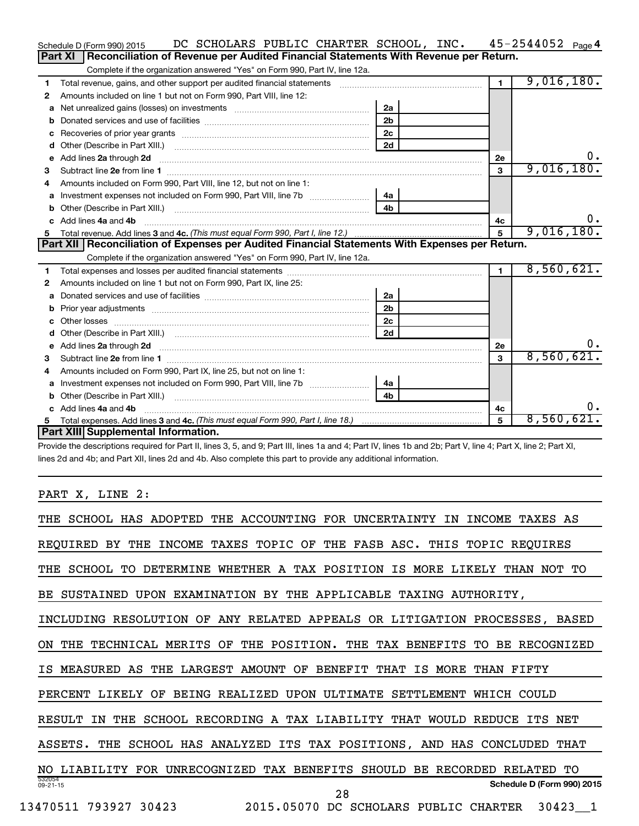|    | DC SCHOLARS PUBLIC CHARTER SCHOOL, INC. 45-2544052 Page 4<br>Schedule D (Form 990) 2015                                                                                                                                                                                      |                |              |            |    |
|----|------------------------------------------------------------------------------------------------------------------------------------------------------------------------------------------------------------------------------------------------------------------------------|----------------|--------------|------------|----|
|    | Reconciliation of Revenue per Audited Financial Statements With Revenue per Return.<br>Part XI                                                                                                                                                                               |                |              |            |    |
|    | Complete if the organization answered "Yes" on Form 990, Part IV, line 12a.                                                                                                                                                                                                  |                |              |            |    |
| 1  | Total revenue, gains, and other support per audited financial statements [11] [11] Total revenue, gains, and other support per audited financial statements                                                                                                                  |                | $\mathbf{1}$ | 9,016,180. |    |
| 2  | Amounts included on line 1 but not on Form 990, Part VIII, line 12:                                                                                                                                                                                                          |                |              |            |    |
| a  |                                                                                                                                                                                                                                                                              | 2a             |              |            |    |
| b  |                                                                                                                                                                                                                                                                              | 2 <sub>b</sub> |              |            |    |
| с  |                                                                                                                                                                                                                                                                              | 2 <sub>c</sub> |              |            |    |
| d  |                                                                                                                                                                                                                                                                              | 2d             |              |            |    |
| е  |                                                                                                                                                                                                                                                                              |                | 2e           |            | Ο. |
| З  |                                                                                                                                                                                                                                                                              |                | $\mathbf{3}$ | 9,016,180. |    |
| 4  | Amounts included on Form 990, Part VIII, line 12, but not on line 1:                                                                                                                                                                                                         |                |              |            |    |
|    |                                                                                                                                                                                                                                                                              | 4a             |              |            |    |
| b  |                                                                                                                                                                                                                                                                              | 4 <sub>h</sub> |              |            |    |
| c. | Add lines 4a and 4b                                                                                                                                                                                                                                                          |                | 4с           |            | υ. |
| 5  |                                                                                                                                                                                                                                                                              |                | 5            | 9,016,180. |    |
|    | Part XII   Reconciliation of Expenses per Audited Financial Statements With Expenses per Return.                                                                                                                                                                             |                |              |            |    |
|    | Complete if the organization answered "Yes" on Form 990, Part IV, line 12a.                                                                                                                                                                                                  |                |              |            |    |
|    |                                                                                                                                                                                                                                                                              |                |              |            |    |
| 1  |                                                                                                                                                                                                                                                                              |                | $\mathbf{1}$ | 8,560,621. |    |
| 2  | Amounts included on line 1 but not on Form 990, Part IX, line 25:                                                                                                                                                                                                            |                |              |            |    |
| a  |                                                                                                                                                                                                                                                                              | 2a             |              |            |    |
| b  |                                                                                                                                                                                                                                                                              | 2 <sub>b</sub> |              |            |    |
| c  |                                                                                                                                                                                                                                                                              | 2 <sub>c</sub> |              |            |    |
| d  |                                                                                                                                                                                                                                                                              | 2d             |              |            |    |
|    | e Add lines 2a through 2d <b>[10]</b> [10] <b>All and Provide 20</b> [10] <b>All and Provide 20</b> [10] <b>All and Provide 20</b> [10] <b>All and Provide 20</b> [10] <b>All and Provide 20</b> [10] <b>All and Provide 20</b> [10] <b>All and Provide 20</b> [10] <b>A</b> |                | 2e           |            | 0. |
| з  |                                                                                                                                                                                                                                                                              |                | 3            | 8,560,621. |    |
| 4  | Amounts included on Form 990, Part IX, line 25, but not on line 1:                                                                                                                                                                                                           |                |              |            |    |
|    | Investment expenses not included on Form 990, Part VIII, line 7b [[[[[[[[[[[[[[[[[[[[[[]]]]]]]]                                                                                                                                                                              | 4a l           |              |            |    |
| b  |                                                                                                                                                                                                                                                                              | 4 <sub>h</sub> |              |            |    |
|    | Add lines 4a and 4b                                                                                                                                                                                                                                                          |                | 4с           |            | о. |
|    | Part XIII Supplemental Information.                                                                                                                                                                                                                                          |                | 5            | 8,560,621. |    |

Provide the descriptions required for Part II, lines 3, 5, and 9; Part III, lines 1a and 4; Part IV, lines 1b and 2b; Part V, line 4; Part X, line 2; Part XI, lines 2d and 4b; and Part XII, lines 2d and 4b. Also complete this part to provide any additional information.

PART X, LINE 2:

| SCHOOL HAS ADOPTED THE ACCOUNTING FOR UNCERTAINTY<br><b>INCOME</b><br>ΙN<br>TAXES AS                       |
|------------------------------------------------------------------------------------------------------------|
| TAXES TOPIC OF THE FASB ASC. THIS TOPIC REOUIRES<br>INCOME<br>REOUIRED<br>BY.<br>THE                       |
| SCHOOL<br>ጥଠ<br>DETERMINE WHETHER A TAX POSITION IS MORE LIKELY<br>THE<br>THAN<br>NOT TO                   |
| SUSTAINED<br>UPON EXAMINATION BY THE APPLICABLE TAXING AUTHORITY,<br>BE.                                   |
| INCLUDING RESOLUTION OF ANY RELATED APPEALS OR LITIGATION PROCESSES, BASED                                 |
| THE POSITION.<br>TECHNICAL MERITS<br>OF<br>THE TAX BENEFITS TO<br>BE.<br>RECOGNIZED<br>THE<br>ON           |
| LARGEST AMOUNT OF<br>IS<br>MEASURED<br>AS<br><b>THE</b><br><b>BENEFIT</b><br>THAT<br>MORE<br>THAN<br>FTFTY |
| BEING REALIZED<br>UPON ULTIMATE<br>SETTLEMENT<br>PERCENT<br>T.TKET.Y<br>OF<br>WHICH COULD                  |
| SCHOOL RECORDING A TAX LIABILITY THAT<br>RESULT<br>WOULD REDUCE<br>ΙN<br>THE<br>ITS<br>NET                 |
| SCHOOL HAS ANALYZED<br>ITS TAX POSITIONS, AND HAS<br>ASSETS.<br>THE<br>CONCLUDED<br>THAT                   |
| TAX BENEFITS<br>RECORDED<br>TО<br>LIABILITY FOR UNRECOGNIZED<br>SHOULD<br>BE.<br>RELATED<br>NO             |
| 532054<br>Schedule D (Form 990) 2015<br>$09 - 21 - 15$                                                     |
| 28<br>13470511<br>793927 30423<br>2015.05070 DC<br>SCHOLARS PUBLIC<br>30423 1<br><b>CHARTER</b>            |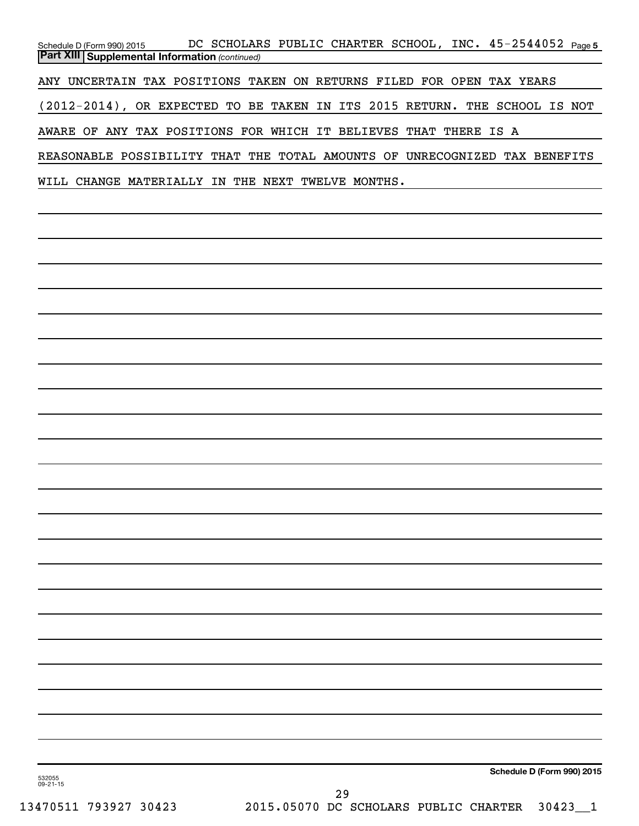Schedule D (Form 990) 2015 DC SCHOLARS PUBLIC CHARTER SCHOOL, INC.  $45$ –25 $44052$   $_{\sf Page\,5}$ *(continued)* **Part XIII Supplemental Information**  ANY UNCERTAIN TAX POSITIONS TAKEN ON RETURNS FILED FOR OPEN TAX YEARS (2012-2014), OR EXPECTED TO BE TAKEN IN ITS 2015 RETURN. THE SCHOOL IS NOT AWARE OF ANY TAX POSITIONS FOR WHICH IT BELIEVES THAT THERE IS A REASONABLE POSSIBILITY THAT THE TOTAL AMOUNTS OF UNRECOGNIZED TAX BENEFITS WILL CHANGE MATERIALLY IN THE NEXT TWELVE MONTHS.

**Schedule D (Form 990) 2015**

532055 09-21-15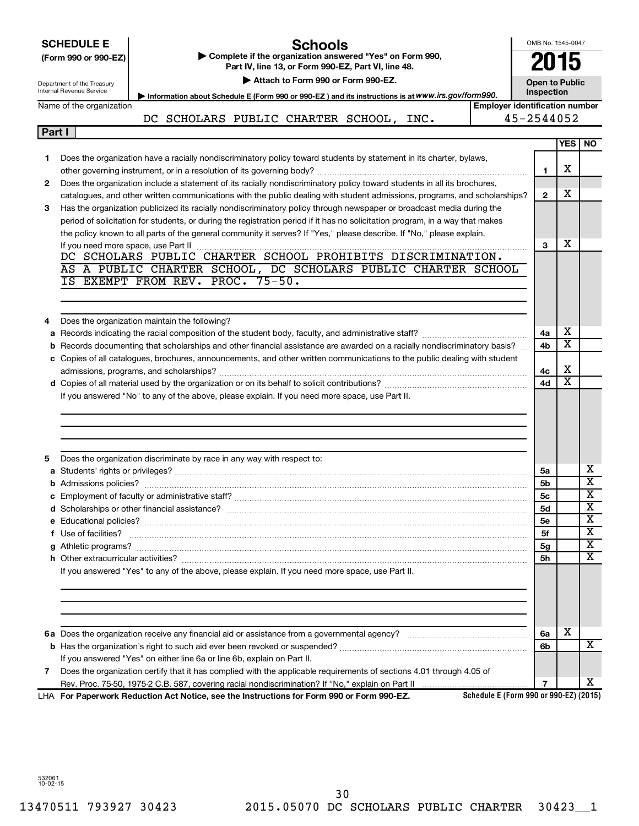|        | <b>SCHEDULE E</b><br>(Form 990 or 990-EZ)<br>Department of the Treasury<br>Internal Revenue Service | <b>Schools</b><br>Complete if the organization answered "Yes" on Form 990,<br>Part IV, line 13, or Form 990-EZ, Part VI, line 48.<br>Attach to Form 990 or Form 990-EZ.<br>Information about Schedule E (Form 990 or 990-EZ) and its instructions is at WWW.irs.gov/form990. | OMB No. 1545-0047<br>2015<br><b>Open to Public</b><br>Inspection |                         |                              |
|--------|-----------------------------------------------------------------------------------------------------|------------------------------------------------------------------------------------------------------------------------------------------------------------------------------------------------------------------------------------------------------------------------------|------------------------------------------------------------------|-------------------------|------------------------------|
|        | Name of the organization                                                                            | <b>Employer identification number</b>                                                                                                                                                                                                                                        |                                                                  |                         |                              |
|        |                                                                                                     | DC SCHOLARS PUBLIC CHARTER SCHOOL, INC.                                                                                                                                                                                                                                      | 45-2544052                                                       |                         |                              |
| Part I |                                                                                                     |                                                                                                                                                                                                                                                                              |                                                                  |                         | <b>YES NO</b>                |
| 1      |                                                                                                     | Does the organization have a racially nondiscriminatory policy toward students by statement in its charter, bylaws,                                                                                                                                                          |                                                                  | х                       |                              |
| 2      |                                                                                                     | Does the organization include a statement of its racially nondiscriminatory policy toward students in all its brochures,                                                                                                                                                     | 1                                                                |                         |                              |
| З      |                                                                                                     | catalogues, and other written communications with the public dealing with student admissions, programs, and scholarships?<br>Has the organization publicized its racially nondiscriminatory policy through newspaper or broadcast media during the                           | $\mathbf{2}$                                                     | х                       |                              |
|        |                                                                                                     | period of solicitation for students, or during the registration period if it has no solicitation program, in a way that makes<br>the policy known to all parts of the general community it serves? If "Yes," please describe. If "No," please explain.                       |                                                                  |                         |                              |
|        |                                                                                                     |                                                                                                                                                                                                                                                                              | 3                                                                | x                       |                              |
|        |                                                                                                     | AS A PUBLIC CHARTER SCHOOL, DC SCHOLARS PUBLIC CHARTER SCHOOL                                                                                                                                                                                                                |                                                                  |                         |                              |
|        |                                                                                                     | IS EXEMPT FROM REV. PROC. 75-50.                                                                                                                                                                                                                                             |                                                                  |                         |                              |
|        |                                                                                                     |                                                                                                                                                                                                                                                                              |                                                                  |                         |                              |
|        |                                                                                                     |                                                                                                                                                                                                                                                                              |                                                                  |                         |                              |
| 4      |                                                                                                     | Does the organization maintain the following?                                                                                                                                                                                                                                |                                                                  |                         |                              |
|        |                                                                                                     |                                                                                                                                                                                                                                                                              | 4a                                                               | х                       |                              |
|        |                                                                                                     | b Records documenting that scholarships and other financial assistance are awarded on a racially nondiscriminatory basis?                                                                                                                                                    | 4 <sub>b</sub>                                                   | $\overline{\textbf{x}}$ |                              |
|        |                                                                                                     | c Copies of all catalogues, brochures, announcements, and other written communications to the public dealing with student                                                                                                                                                    |                                                                  |                         |                              |
|        |                                                                                                     |                                                                                                                                                                                                                                                                              | 4c                                                               | х                       |                              |
|        |                                                                                                     |                                                                                                                                                                                                                                                                              | 4d                                                               | $\overline{\text{x}}$   |                              |
|        |                                                                                                     | If you answered "No" to any of the above, please explain. If you need more space, use Part II.                                                                                                                                                                               |                                                                  |                         |                              |
|        |                                                                                                     |                                                                                                                                                                                                                                                                              |                                                                  |                         |                              |
|        |                                                                                                     |                                                                                                                                                                                                                                                                              |                                                                  |                         |                              |
|        |                                                                                                     |                                                                                                                                                                                                                                                                              |                                                                  |                         |                              |
|        |                                                                                                     |                                                                                                                                                                                                                                                                              |                                                                  |                         |                              |
| 5      |                                                                                                     | Does the organization discriminate by race in any way with respect to:                                                                                                                                                                                                       |                                                                  |                         |                              |
|        |                                                                                                     |                                                                                                                                                                                                                                                                              | 5a                                                               |                         | х                            |
|        |                                                                                                     |                                                                                                                                                                                                                                                                              | 5 <sub>b</sub>                                                   |                         | $\overline{\text{x}}$        |
|        |                                                                                                     |                                                                                                                                                                                                                                                                              | 5c                                                               |                         | x<br>$\overline{\textbf{x}}$ |
|        |                                                                                                     |                                                                                                                                                                                                                                                                              | 5d                                                               |                         | $\overline{\mathbf{x}}$      |
|        |                                                                                                     |                                                                                                                                                                                                                                                                              | <b>5e</b>                                                        |                         | $\overline{\textbf{x}}$      |
|        |                                                                                                     | f Use of facilities? <b>www.communities.</b> We can be a series of the contract of the contract of the contract of the contract of the contract of the contract of the contract of the contract of the contract of the contract of                                           | 5f                                                               |                         | X                            |
|        |                                                                                                     |                                                                                                                                                                                                                                                                              | 5g                                                               |                         | $\overline{\text{X}}$        |
|        |                                                                                                     | If you answered "Yes" to any of the above, please explain. If you need more space, use Part II.                                                                                                                                                                              | <b>5h</b>                                                        |                         |                              |
|        |                                                                                                     |                                                                                                                                                                                                                                                                              |                                                                  |                         |                              |
|        |                                                                                                     |                                                                                                                                                                                                                                                                              |                                                                  |                         |                              |
|        |                                                                                                     |                                                                                                                                                                                                                                                                              | 6a                                                               | х                       |                              |
|        |                                                                                                     |                                                                                                                                                                                                                                                                              | 6b                                                               |                         | x                            |
|        |                                                                                                     | If you answered "Yes" on either line 6a or line 6b, explain on Part II.                                                                                                                                                                                                      |                                                                  |                         |                              |
| 7      |                                                                                                     | Does the organization certify that it has complied with the applicable requirements of sections 4.01 through 4.05 of                                                                                                                                                         |                                                                  |                         |                              |
|        |                                                                                                     |                                                                                                                                                                                                                                                                              | $\overline{7}$                                                   |                         | x                            |
|        |                                                                                                     | Schedule E (Form 990 or 990-EZ) (2015)<br>LHA For Paperwork Reduction Act Notice, see the Instructions for Form 990 or Form 990-EZ.                                                                                                                                          |                                                                  |                         |                              |

532061 10-02-15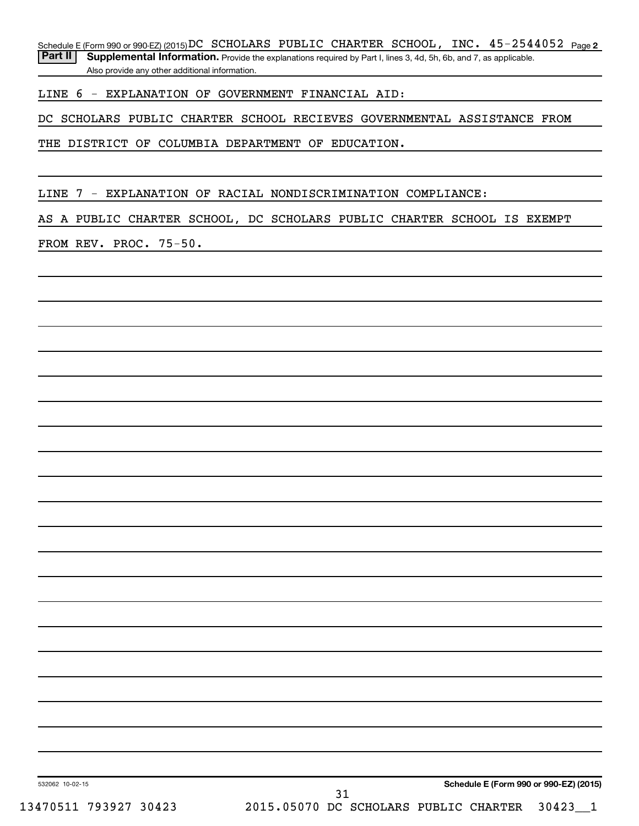Schedule E (Form 990 or 990-EZ) (2015) **DC** SCHOLARS PUBLIC CHARTER SCHOOL, INC.  $45-2544052$  Page 2

Part II | Supplemental Information. Provide the explanations required by Part I, lines 3, 4d, 5h, 6b, and 7, as applicable. Also provide any other additional information.

LINE 6 - EXPLANATION OF GOVERNMENT FINANCIAL AID:

DC SCHOLARS PUBLIC CHARTER SCHOOL RECIEVES GOVERNMENTAL ASSISTANCE FROM

THE DISTRICT OF COLUMBIA DEPARTMENT OF EDUCATION.

LINE 7 - EXPLANATION OF RACIAL NONDISCRIMINATION COMPLIANCE:

AS A PUBLIC CHARTER SCHOOL, DC SCHOLARS PUBLIC CHARTER SCHOOL IS EXEMPT

FROM REV. PROC. 75-50.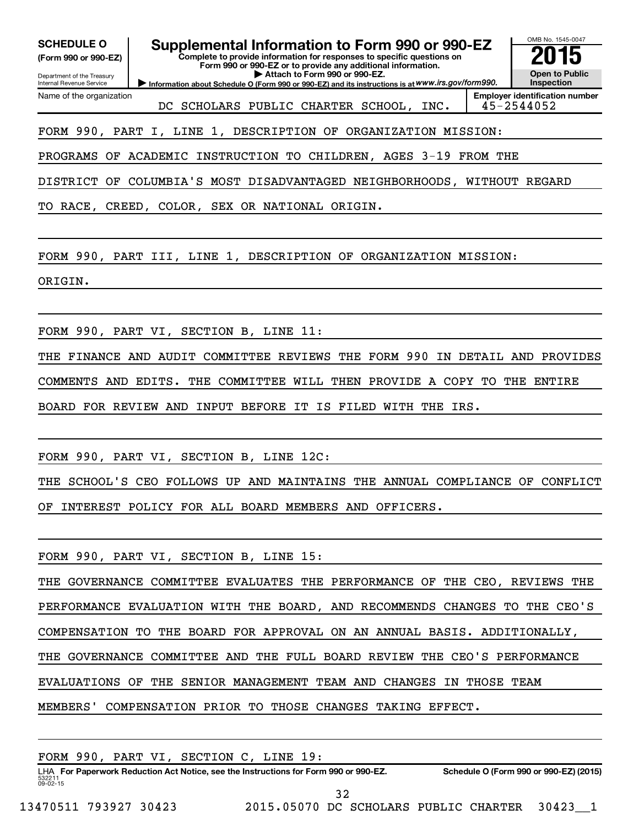| <b>SCHEDULE O</b><br>(Form 990 or 990-EZ)<br>Department of the Treasury<br>Internal Revenue Service | Supplemental Information to Form 990 or 990-EZ<br>Complete to provide information for responses to specific questions on<br>Form 990 or 990-EZ or to provide any additional information.<br>Attach to Form 990 or 990-EZ.<br>Information about Schedule O (Form 990 or 990-EZ) and its instructions is at WWW.irs.gov/form990. | OMB No. 1545-0047<br>Open to Public<br>Inspection   |
|-----------------------------------------------------------------------------------------------------|--------------------------------------------------------------------------------------------------------------------------------------------------------------------------------------------------------------------------------------------------------------------------------------------------------------------------------|-----------------------------------------------------|
| Name of the organization                                                                            | DC SCHOLARS PUBLIC CHARTER SCHOOL, INC.                                                                                                                                                                                                                                                                                        | <b>Employer identification number</b><br>45-2544052 |
|                                                                                                     | FORM 990, PART I, LINE 1, DESCRIPTION OF ORGANIZATION MISSION:                                                                                                                                                                                                                                                                 |                                                     |
|                                                                                                     | PROGRAMS OF ACADEMIC INSTRUCTION TO CHILDREN, AGES 3-19 FROM THE                                                                                                                                                                                                                                                               |                                                     |
|                                                                                                     | DISTRICT OF COLUMBIA'S MOST DISADVANTAGED NEIGHBORHOODS, WITHOUT REGARD                                                                                                                                                                                                                                                        |                                                     |
|                                                                                                     | TO RACE, CREED, COLOR, SEX OR NATIONAL ORIGIN.                                                                                                                                                                                                                                                                                 |                                                     |
|                                                                                                     |                                                                                                                                                                                                                                                                                                                                |                                                     |
|                                                                                                     | FORM 990, PART III, LINE 1, DESCRIPTION OF ORGANIZATION MISSION:                                                                                                                                                                                                                                                               |                                                     |
| ORIGIN.                                                                                             |                                                                                                                                                                                                                                                                                                                                |                                                     |
|                                                                                                     |                                                                                                                                                                                                                                                                                                                                |                                                     |
|                                                                                                     | FORM 990, PART VI, SECTION B, LINE 11:                                                                                                                                                                                                                                                                                         |                                                     |
|                                                                                                     | THE FINANCE AND AUDIT COMMITTEE REVIEWS THE FORM 990 IN DETAIL AND PROVIDES                                                                                                                                                                                                                                                    |                                                     |
|                                                                                                     | COMMENTS AND EDITS. THE COMMITTEE WILL THEN PROVIDE A COPY TO THE ENTIRE                                                                                                                                                                                                                                                       |                                                     |
| BOARD FOR REVIEW AND                                                                                | INPUT BEFORE IT IS FILED WITH THE IRS.                                                                                                                                                                                                                                                                                         |                                                     |
|                                                                                                     |                                                                                                                                                                                                                                                                                                                                |                                                     |
|                                                                                                     | FORM 990, PART VI, SECTION B, LINE 12C:                                                                                                                                                                                                                                                                                        |                                                     |
|                                                                                                     | THE SCHOOL'S CEO FOLLOWS UP AND MAINTAINS THE ANNUAL COMPLIANCE OF CONFLICT                                                                                                                                                                                                                                                    |                                                     |
|                                                                                                     | OF INTEREST POLICY FOR ALL BOARD MEMBERS AND OFFICERS.                                                                                                                                                                                                                                                                         |                                                     |
|                                                                                                     |                                                                                                                                                                                                                                                                                                                                |                                                     |
|                                                                                                     | FORM 990, PART VI, SECTION B, LINE 15:                                                                                                                                                                                                                                                                                         |                                                     |
|                                                                                                     | THE GOVERNANCE COMMITTEE EVALUATES THE PERFORMANCE OF THE CEO, REVIEWS THE                                                                                                                                                                                                                                                     |                                                     |
|                                                                                                     | PERFORMANCE EVALUATION WITH THE BOARD, AND RECOMMENDS CHANGES TO THE CEO'S                                                                                                                                                                                                                                                     |                                                     |
|                                                                                                     | COMPENSATION TO THE BOARD FOR APPROVAL ON AN ANNUAL BASIS. ADDITIONALLY,                                                                                                                                                                                                                                                       |                                                     |
|                                                                                                     | THE GOVERNANCE COMMITTEE AND THE FULL BOARD REVIEW THE CEO'S PERFORMANCE                                                                                                                                                                                                                                                       |                                                     |
|                                                                                                     | EVALUATIONS OF THE SENIOR MANAGEMENT TEAM AND CHANGES IN THOSE TEAM                                                                                                                                                                                                                                                            |                                                     |
|                                                                                                     | MEMBERS' COMPENSATION PRIOR TO THOSE CHANGES TAKING EFFECT.                                                                                                                                                                                                                                                                    |                                                     |
|                                                                                                     |                                                                                                                                                                                                                                                                                                                                |                                                     |
|                                                                                                     | FORM 990, PART VI, SECTION C, LINE 19:                                                                                                                                                                                                                                                                                         |                                                     |
|                                                                                                     | LHA For Paperwork Reduction Act Notice, see the Instructions for Form 990 or 990-EZ.<br>LHA For Paperwork Reduction Act Notice, see the Instructions for Form 990 or 990-EZ.<br>1990-EZ Schedule O (Form 990 or 990-EZ) (2015)                                                                                                 |                                                     |

532211 09-02-15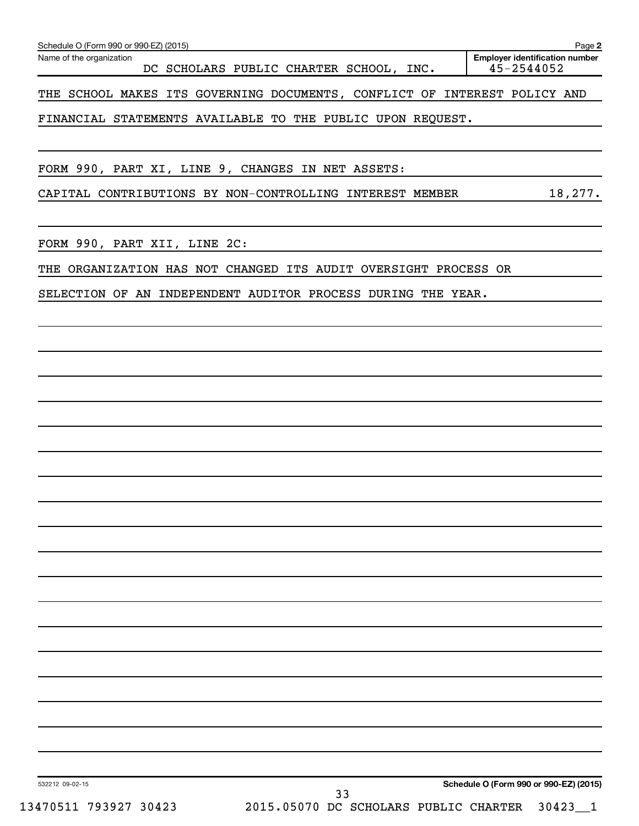|                                                                           | Schedule O (Form 990 or 990-EZ) (2015)<br>Page 2 |  |  |  |  |                                    |  |      |  |  |                                                     |  |
|---------------------------------------------------------------------------|--------------------------------------------------|--|--|--|--|------------------------------------|--|------|--|--|-----------------------------------------------------|--|
| Name of the organization                                                  |                                                  |  |  |  |  | DC SCHOLARS PUBLIC CHARTER SCHOOL, |  | INC. |  |  | <b>Employer identification number</b><br>45-2544052 |  |
| THE SCHOOL MAKES ITS GOVERNING DOCUMENTS, CONFLICT OF INTEREST POLICY AND |                                                  |  |  |  |  |                                    |  |      |  |  |                                                     |  |

FINANCIAL STATEMENTS AVAILABLE TO THE PUBLIC UPON REQUEST.

FORM 990, PART XI, LINE 9, CHANGES IN NET ASSETS:

CAPITAL CONTRIBUTIONS BY NON-CONTROLLING INTEREST MEMBER 18,277.

FORM 990, PART XII, LINE 2C:

THE ORGANIZATION HAS NOT CHANGED ITS AUDIT OVERSIGHT PROCESS OR

SELECTION OF AN INDEPENDENT AUDITOR PROCESS DURING THE YEAR.

**Schedule O (Form 990 or 990-EZ) (2015)**

532212 09-02-15

13470511 793927 30423 2015.05070 DC SCHOLARS PUBLIC CHARTER 30423\_\_1 33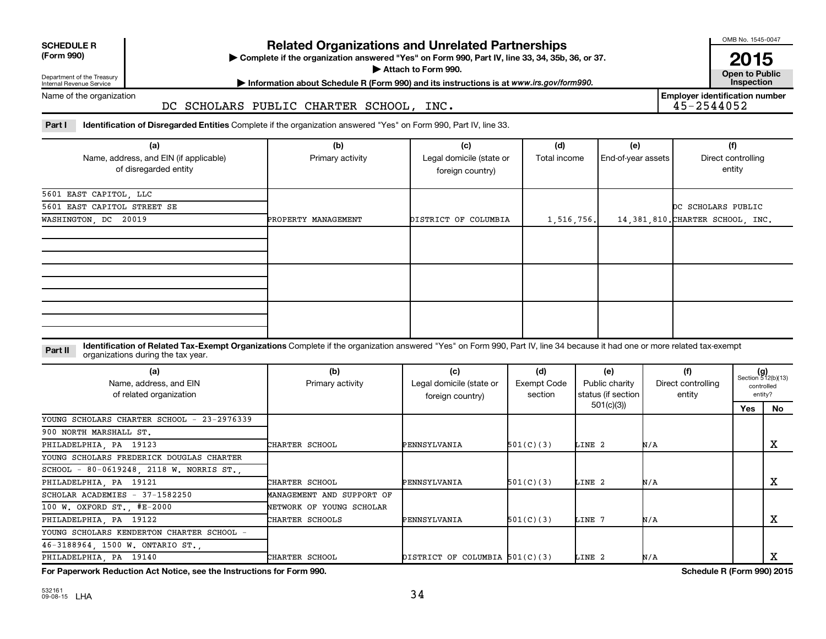| <b>SCHEDULE R</b> |  |
|-------------------|--|
|                   |  |

Department of the Treasury Internal Revenue Service

# **Related Organizations and Unrelated Partnerships**

**(Form 990) Complete if the organization answered "Yes" on Form 990, Part IV, line 33, 34, 35b, 36, or 37.** |

**Attach to Form 990. Contract to Public Contract of Public** 

**Most Information about Schedule R (Form 990) and its instructions is at www.irs.gov/form990.** This pection

Name of the organization

## DC SCHOLARS PUBLIC CHARTER SCHOOL, INC.

**Employer identification number**

Part I ldentification of Disregarded Entities Complete if the organization answered "Yes" on Form 990, Part IV, line 33.

| (a)<br>Name, address, and EIN (if applicable)<br>of disregarded entity | (b)<br>Primary activity | (c)<br>Legal domicile (state or<br>foreign country) | (d)<br>Total income | (e)<br>End-of-year assets | (f)<br>Direct controlling<br>entity |
|------------------------------------------------------------------------|-------------------------|-----------------------------------------------------|---------------------|---------------------------|-------------------------------------|
| 5601 EAST CAPITOL, LLC<br>5601 EAST CAPITOL STREET SE                  |                         |                                                     |                     |                           | DC SCHOLARS PUBLIC                  |
| WASHINGTON, DC 20019                                                   | PROPERTY MANAGEMENT     | DISTRICT OF COLUMBIA                                | 1,516,756.          |                           | 14,381,810. CHARTER SCHOOL, INC.    |
|                                                                        |                         |                                                     |                     |                           |                                     |
|                                                                        |                         |                                                     |                     |                           |                                     |

**Part II** Identification of Related Tax-Exempt Organizations Complete if the organization answered "Yes" on Form 990, Part IV, line 34 because it had one or more related tax-exempt<br>Complete it is a seriest of the two wears organizations during the tax year.

| (a)<br>Name, address, and EIN<br>of related organization | (b)<br>Primary activity   | (c)<br>Legal domicile (state or<br>foreign country) | (d)<br>Exempt Code<br>section | (e)<br>Public charity<br>status (if section | (f)<br>Direct controlling<br>entity |     | $(g)$<br>Section 512(b)(13)<br>controlled<br>entity? |
|----------------------------------------------------------|---------------------------|-----------------------------------------------------|-------------------------------|---------------------------------------------|-------------------------------------|-----|------------------------------------------------------|
|                                                          |                           |                                                     |                               | 501(c)(3))                                  |                                     | Yes | No                                                   |
| YOUNG SCHOLARS CHARTER SCHOOL - 23-2976339               |                           |                                                     |                               |                                             |                                     |     |                                                      |
| 900 NORTH MARSHALL ST.                                   |                           |                                                     |                               |                                             |                                     |     |                                                      |
| PHILADELPHIA, PA 19123                                   | CHARTER SCHOOL            | PENNSYLVANIA                                        | 501(C)(3)                     | LINE 2                                      | N/A                                 |     | х                                                    |
| YOUNG SCHOLARS FREDERICK DOUGLAS CHARTER                 |                           |                                                     |                               |                                             |                                     |     |                                                      |
| SCHOOL - 80-0619248, 2118 W. NORRIS ST.,                 |                           |                                                     |                               |                                             |                                     |     |                                                      |
| PHILADELPHIA, PA 19121                                   | CHARTER SCHOOL            | PENNSYLVANIA                                        | 501(C)(3)                     | LINE 2                                      | N/A                                 |     | x                                                    |
| SCHOLAR ACADEMIES - 37-1582250                           | MANAGEMENT AND SUPPORT OF |                                                     |                               |                                             |                                     |     |                                                      |
| 100 W. OXFORD ST., #E-2000                               | NETWORK OF YOUNG SCHOLAR  |                                                     |                               |                                             |                                     |     |                                                      |
| PHILADELPHIA, PA 19122                                   | CHARTER SCHOOLS           | PENNSYLVANIA                                        | 501(C)(3)                     | LINE 7                                      | N/A                                 |     | x                                                    |
| YOUNG SCHOLARS KENDERTON CHARTER SCHOOL -                |                           |                                                     |                               |                                             |                                     |     |                                                      |
| 46-3188964, 1500 W. ONTARIO ST.                          |                           |                                                     |                               |                                             |                                     |     |                                                      |
| PHILADELPHIA, PA 19140                                   | CHARTER SCHOOL            | DISTRICT OF COLUMBIA 501(C)(3)                      |                               | LINE 2                                      | N/A                                 |     | х                                                    |

**For Paperwork Reduction Act Notice, see the Instructions for Form 990. Schedule R (Form 990) 2015**

OMB No. 1545-0047

**2015**<br>Open to Public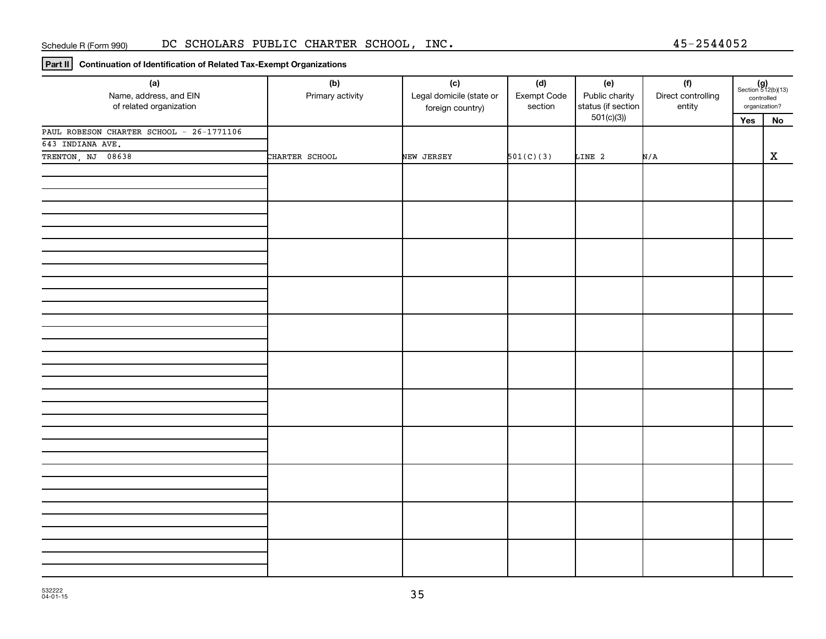**Part II Continuation of Identification of Related Tax-Exempt Organizations**

| (a)<br>Name, address, and EIN            | (b)<br>Primary activity | (c)<br>Legal domicile (state or | (d)<br>Exempt Code | (e)<br>Public charity           | (f)<br>Direct controlling | $(g)$<br>Section 512(b)(13)<br>controlled |             |
|------------------------------------------|-------------------------|---------------------------------|--------------------|---------------------------------|---------------------------|-------------------------------------------|-------------|
| of related organization                  |                         | foreign country)                | section            | status (if section<br>501(c)(3) | entity                    | organization?                             |             |
| PAUL ROBESON CHARTER SCHOOL - 26-1771106 |                         |                                 |                    |                                 |                           | Yes                                       | ${\sf No}$  |
| 643 INDIANA AVE.                         |                         |                                 |                    |                                 |                           |                                           |             |
| TRENTON, NJ 08638                        | CHARTER SCHOOL          | NEW JERSEY                      | 501(C)(3)          | LINE 2                          | N/A                       |                                           | $\mathbf X$ |
|                                          |                         |                                 |                    |                                 |                           |                                           |             |
|                                          |                         |                                 |                    |                                 |                           |                                           |             |
|                                          |                         |                                 |                    |                                 |                           |                                           |             |
|                                          |                         |                                 |                    |                                 |                           |                                           |             |
|                                          |                         |                                 |                    |                                 |                           |                                           |             |
|                                          |                         |                                 |                    |                                 |                           |                                           |             |
|                                          |                         |                                 |                    |                                 |                           |                                           |             |
|                                          |                         |                                 |                    |                                 |                           |                                           |             |
|                                          |                         |                                 |                    |                                 |                           |                                           |             |
|                                          |                         |                                 |                    |                                 |                           |                                           |             |
|                                          |                         |                                 |                    |                                 |                           |                                           |             |
|                                          |                         |                                 |                    |                                 |                           |                                           |             |
|                                          |                         |                                 |                    |                                 |                           |                                           |             |
|                                          |                         |                                 |                    |                                 |                           |                                           |             |
|                                          |                         |                                 |                    |                                 |                           |                                           |             |
|                                          |                         |                                 |                    |                                 |                           |                                           |             |
|                                          |                         |                                 |                    |                                 |                           |                                           |             |
|                                          |                         |                                 |                    |                                 |                           |                                           |             |
|                                          |                         |                                 |                    |                                 |                           |                                           |             |
|                                          |                         |                                 |                    |                                 |                           |                                           |             |
|                                          |                         |                                 |                    |                                 |                           |                                           |             |
|                                          |                         |                                 |                    |                                 |                           |                                           |             |
|                                          |                         |                                 |                    |                                 |                           |                                           |             |
|                                          |                         |                                 |                    |                                 |                           |                                           |             |
|                                          |                         |                                 |                    |                                 |                           |                                           |             |
|                                          |                         |                                 |                    |                                 |                           |                                           |             |
|                                          |                         |                                 |                    |                                 |                           |                                           |             |
|                                          |                         |                                 |                    |                                 |                           |                                           |             |
|                                          |                         |                                 |                    |                                 |                           |                                           |             |
|                                          |                         |                                 |                    |                                 |                           |                                           |             |
|                                          |                         |                                 |                    |                                 |                           |                                           |             |
|                                          |                         |                                 |                    |                                 |                           |                                           |             |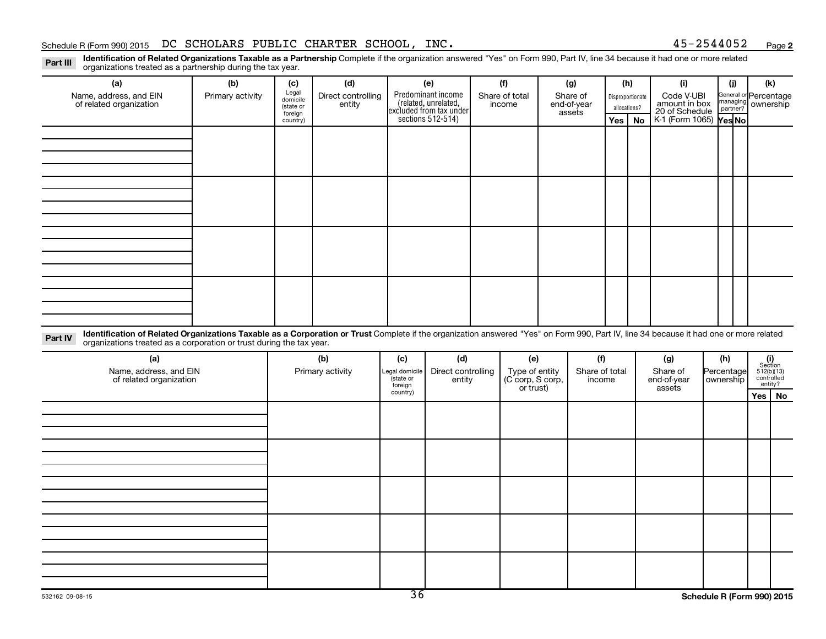**2**

Part III Identification of Related Organizations Taxable as a Partnership Complete if the organization answered "Yes" on Form 990, Part IV, line 34 because it had one or more related<br>Read to the organizations tracted as a organizations treated as a partnership during the tax year.

| (a)                                                                                                                                                                                                                                                                       | (b)              | (c)                                       | (d)                          |              | (e)                                                                   | (f)                      |              | (g)                               |              | (h)                              |    | (i)                                           | (i)          | (k)                                         |
|---------------------------------------------------------------------------------------------------------------------------------------------------------------------------------------------------------------------------------------------------------------------------|------------------|-------------------------------------------|------------------------------|--------------|-----------------------------------------------------------------------|--------------------------|--------------|-----------------------------------|--------------|----------------------------------|----|-----------------------------------------------|--------------|---------------------------------------------|
| Name, address, and EIN<br>of related organization                                                                                                                                                                                                                         | Primary activity | Legal<br>domicile<br>(state or<br>foreign | Direct controlling<br>entity |              | Predominant income<br>(related, unrelated,<br>excluded from tax under | Share of total<br>income |              | Share of<br>end-of-year<br>assets |              | Disproportionate<br>allocations? |    | Code V-UBI<br>amount in box<br>20 of Schedule |              | General or Percentage<br>managing ownership |
|                                                                                                                                                                                                                                                                           |                  | country)                                  |                              |              | sections 512-514)                                                     |                          |              |                                   |              | Yes                              | No | K-1 (Form 1065) Yes No                        |              |                                             |
|                                                                                                                                                                                                                                                                           |                  |                                           |                              |              |                                                                       |                          |              |                                   |              |                                  |    |                                               |              |                                             |
|                                                                                                                                                                                                                                                                           |                  |                                           |                              |              |                                                                       |                          |              |                                   |              |                                  |    |                                               |              |                                             |
|                                                                                                                                                                                                                                                                           |                  |                                           |                              |              |                                                                       |                          |              |                                   |              |                                  |    |                                               |              |                                             |
|                                                                                                                                                                                                                                                                           |                  |                                           |                              |              |                                                                       |                          |              |                                   |              |                                  |    |                                               |              |                                             |
|                                                                                                                                                                                                                                                                           |                  |                                           |                              |              |                                                                       |                          |              |                                   |              |                                  |    |                                               |              |                                             |
|                                                                                                                                                                                                                                                                           |                  |                                           |                              |              |                                                                       |                          |              |                                   |              |                                  |    |                                               |              |                                             |
|                                                                                                                                                                                                                                                                           |                  |                                           |                              |              |                                                                       |                          |              |                                   |              |                                  |    |                                               |              |                                             |
|                                                                                                                                                                                                                                                                           |                  |                                           |                              |              |                                                                       |                          |              |                                   |              |                                  |    |                                               |              |                                             |
|                                                                                                                                                                                                                                                                           |                  |                                           |                              |              |                                                                       |                          |              |                                   |              |                                  |    |                                               |              |                                             |
|                                                                                                                                                                                                                                                                           |                  |                                           |                              |              |                                                                       |                          |              |                                   |              |                                  |    |                                               |              |                                             |
|                                                                                                                                                                                                                                                                           |                  |                                           |                              |              |                                                                       |                          |              |                                   |              |                                  |    |                                               |              |                                             |
|                                                                                                                                                                                                                                                                           |                  |                                           |                              |              |                                                                       |                          |              |                                   |              |                                  |    |                                               |              |                                             |
|                                                                                                                                                                                                                                                                           |                  |                                           |                              |              |                                                                       |                          |              |                                   |              |                                  |    |                                               |              |                                             |
|                                                                                                                                                                                                                                                                           |                  |                                           |                              |              |                                                                       |                          |              |                                   |              |                                  |    |                                               |              |                                             |
|                                                                                                                                                                                                                                                                           |                  |                                           |                              |              |                                                                       |                          |              |                                   |              |                                  |    |                                               |              |                                             |
|                                                                                                                                                                                                                                                                           |                  |                                           |                              |              |                                                                       |                          |              |                                   |              |                                  |    |                                               |              |                                             |
| Identification of Related Organizations Taxable as a Corporation or Trust Complete if the organization answered "Yes" on Form 990, Part IV, line 34 because it had one or more related<br>Part IV<br>organizations treated as a corporation or trust during the tax year. |                  |                                           |                              |              |                                                                       |                          |              |                                   |              |                                  |    |                                               |              |                                             |
| $I - V$                                                                                                                                                                                                                                                                   |                  |                                           | $\mathbf{u}$                 | $\mathbf{I}$ | $\mathbf{L}$                                                          |                          | $\mathbf{I}$ |                                   | $\mathbf{f}$ |                                  |    | $\mathbf{L}$                                  | $\mathbf{u}$ | $\mathbf{r}$                                |

| (a)<br>Name, address, and EIN<br>of related organization | (b)<br>Primary activity | (c)<br>Direct controlling<br>Legal domicile<br>(state or |        | (e)                                             | (f)<br>Share of total | (g)<br>Share of<br>end-of-year | (h)<br>Percentage<br>ownership |          | $\begin{array}{c} \textbf{(i)}\\ \text{Section}\\ 5\,12 \text{(b)} \text{(13)}\\ \text{controlled} \\ \text{entity?} \end{array}$ |
|----------------------------------------------------------|-------------------------|----------------------------------------------------------|--------|-------------------------------------------------|-----------------------|--------------------------------|--------------------------------|----------|-----------------------------------------------------------------------------------------------------------------------------------|
|                                                          |                         | foreign<br>country)                                      | entity | Type of entity<br>(C corp, S corp,<br>or trust) | income                | assets                         |                                | Yes   No |                                                                                                                                   |
|                                                          |                         |                                                          |        |                                                 |                       |                                |                                |          |                                                                                                                                   |
|                                                          |                         |                                                          |        |                                                 |                       |                                |                                |          |                                                                                                                                   |
|                                                          |                         |                                                          |        |                                                 |                       |                                |                                |          |                                                                                                                                   |
|                                                          |                         |                                                          |        |                                                 |                       |                                |                                |          |                                                                                                                                   |
|                                                          |                         |                                                          |        |                                                 |                       |                                |                                |          |                                                                                                                                   |
|                                                          |                         |                                                          |        |                                                 |                       |                                |                                |          |                                                                                                                                   |
|                                                          |                         |                                                          |        |                                                 |                       |                                |                                |          |                                                                                                                                   |
|                                                          |                         |                                                          |        |                                                 |                       |                                |                                |          |                                                                                                                                   |
|                                                          |                         |                                                          |        |                                                 |                       |                                |                                |          |                                                                                                                                   |
|                                                          |                         |                                                          |        |                                                 |                       |                                |                                |          |                                                                                                                                   |
|                                                          |                         |                                                          |        |                                                 |                       |                                |                                |          |                                                                                                                                   |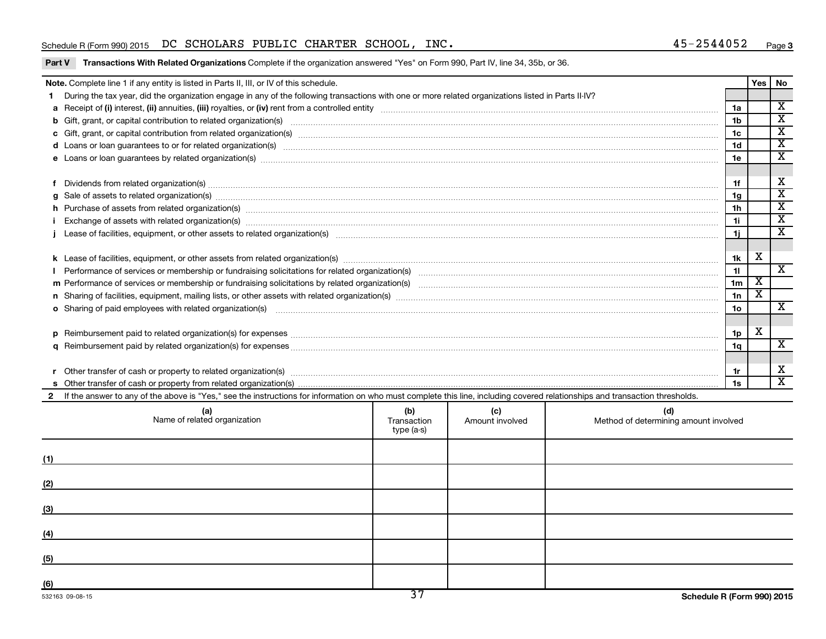#### Schedule R (Form 990) 2015 DC SCHOLARS PUBLIC CHARTER SCHOOL, INC. 45-2544052 Page

#### Part V Transactions With Related Organizations Complete if the organization answered "Yes" on Form 990, Part IV, line 34, 35b, or 36.

| Note. Complete line 1 if any entity is listed in Parts II, III, or IV of this schedule.                                                                                                                                                                                                                                                                                                                                                                          |                    |                        |                                              |                 | Yes                     | No                      |  |  |
|------------------------------------------------------------------------------------------------------------------------------------------------------------------------------------------------------------------------------------------------------------------------------------------------------------------------------------------------------------------------------------------------------------------------------------------------------------------|--------------------|------------------------|----------------------------------------------|-----------------|-------------------------|-------------------------|--|--|
| During the tax year, did the organization engage in any of the following transactions with one or more related organizations listed in Parts II-IV?                                                                                                                                                                                                                                                                                                              |                    |                        |                                              |                 |                         |                         |  |  |
|                                                                                                                                                                                                                                                                                                                                                                                                                                                                  |                    |                        |                                              | 1a              |                         | $\overline{\mathbf{X}}$ |  |  |
| 1 <sub>b</sub>                                                                                                                                                                                                                                                                                                                                                                                                                                                   |                    |                        |                                              |                 |                         |                         |  |  |
|                                                                                                                                                                                                                                                                                                                                                                                                                                                                  |                    |                        |                                              |                 |                         |                         |  |  |
| d Loans or loan guarantees to or for related organization(s) www.communically.com/www.communically.com/www.communically.com/www.communically.com/www.communically.com/www.communically.com/www.communically.com/www.communical                                                                                                                                                                                                                                   |                    |                        |                                              | 1 <sub>d</sub>  |                         | $\overline{\mathtt{x}}$ |  |  |
|                                                                                                                                                                                                                                                                                                                                                                                                                                                                  |                    |                        |                                              | 1e              |                         | $\overline{\mathtt{x}}$ |  |  |
|                                                                                                                                                                                                                                                                                                                                                                                                                                                                  |                    |                        |                                              |                 |                         |                         |  |  |
| Dividends from related organization(s) manufactured and contract and contract or produced and contract and contract or produced and contract or produced and contract or produced and contract or produced and contract or pro                                                                                                                                                                                                                                   |                    |                        |                                              | 1f              |                         | х                       |  |  |
| g Sale of assets to related organization(s) manufactured assemblance contract to the contract of the contract or contract or contract or contract or contract or contract or contract or contract or contract or contract or c                                                                                                                                                                                                                                   |                    |                        |                                              | 1g              |                         | $\overline{\texttt{x}}$ |  |  |
|                                                                                                                                                                                                                                                                                                                                                                                                                                                                  |                    |                        |                                              | 1 <sub>h</sub>  |                         | $\overline{\mathbf{X}}$ |  |  |
|                                                                                                                                                                                                                                                                                                                                                                                                                                                                  |                    |                        |                                              | 11              |                         | $\overline{\texttt{x}}$ |  |  |
| Exchange of assets with related organization(s) manufactured and content to the content of the content of the content of the content of the content of the content of the content of the content of the content of the content<br>Lease of facilities, equipment, or other assets to related organization(s) manufaction content and content and content and content and content and content and content and content and content and content and content and con |                    |                        |                                              |                 |                         |                         |  |  |
|                                                                                                                                                                                                                                                                                                                                                                                                                                                                  |                    |                        |                                              |                 |                         |                         |  |  |
|                                                                                                                                                                                                                                                                                                                                                                                                                                                                  |                    |                        |                                              | 1k              | X                       |                         |  |  |
|                                                                                                                                                                                                                                                                                                                                                                                                                                                                  |                    |                        |                                              | 11              |                         | $\overline{\mathbf{X}}$ |  |  |
|                                                                                                                                                                                                                                                                                                                                                                                                                                                                  |                    |                        |                                              | 1 <sub>m</sub>  | $\overline{\mathbf{X}}$ |                         |  |  |
|                                                                                                                                                                                                                                                                                                                                                                                                                                                                  |                    |                        |                                              | 1n              | х                       |                         |  |  |
| <b>o</b> Sharing of paid employees with related organization(s)                                                                                                                                                                                                                                                                                                                                                                                                  |                    |                        |                                              | 10 <sub>o</sub> |                         | $\mathbf{x}$            |  |  |
|                                                                                                                                                                                                                                                                                                                                                                                                                                                                  |                    |                        |                                              |                 |                         |                         |  |  |
|                                                                                                                                                                                                                                                                                                                                                                                                                                                                  |                    |                        |                                              | 1p              | $\overline{\mathbf{X}}$ |                         |  |  |
|                                                                                                                                                                                                                                                                                                                                                                                                                                                                  |                    |                        |                                              | 1a              |                         | $\mathbf{x}$            |  |  |
|                                                                                                                                                                                                                                                                                                                                                                                                                                                                  |                    |                        |                                              |                 |                         |                         |  |  |
| Other transfer of cash or property to related organization(s) CONSERVIERS 2010 CONSERVIERS 2010 CONSERVIERS 2010                                                                                                                                                                                                                                                                                                                                                 |                    |                        |                                              | 1r              |                         | х                       |  |  |
|                                                                                                                                                                                                                                                                                                                                                                                                                                                                  |                    |                        |                                              |                 |                         | $\overline{\mathbf{X}}$ |  |  |
| 2 If the answer to any of the above is "Yes," see the instructions for information on who must complete this line, including covered relationships and transaction thresholds.                                                                                                                                                                                                                                                                                   |                    |                        |                                              |                 |                         |                         |  |  |
| (a)<br>Name of related organization                                                                                                                                                                                                                                                                                                                                                                                                                              | (b)<br>Transaction | (c)<br>Amount involved | (d)<br>Method of determining amount involved |                 |                         |                         |  |  |

|     | (a)<br>Name of related organization | (U)<br>Transaction<br>type (a-s) | (C)<br>Amount involved | (u)<br>Method of determining amount involved |
|-----|-------------------------------------|----------------------------------|------------------------|----------------------------------------------|
| (1) |                                     |                                  |                        |                                              |
| (2) |                                     |                                  |                        |                                              |
| (3) |                                     |                                  |                        |                                              |
| (4) |                                     |                                  |                        |                                              |
| (5) |                                     |                                  |                        |                                              |
| (6) |                                     | $\overline{\mathcal{F}}$         |                        |                                              |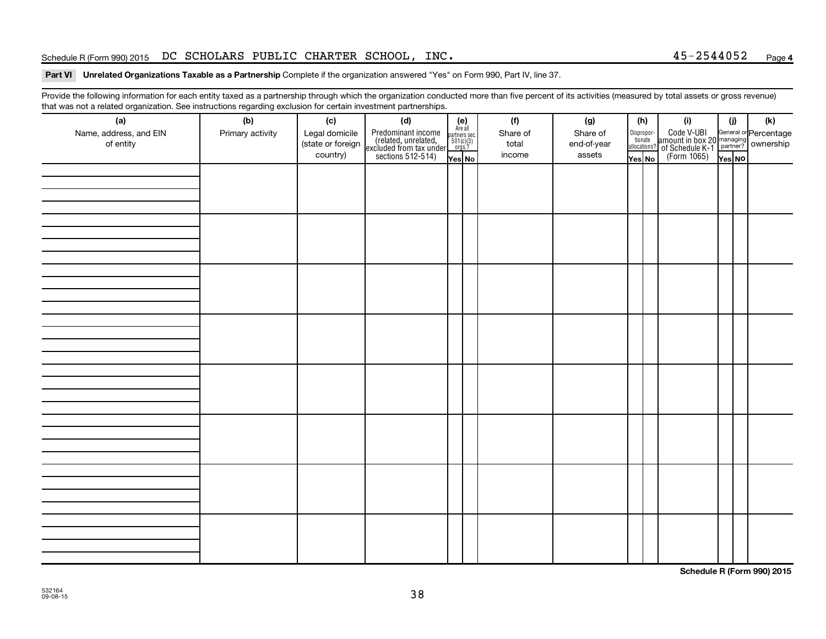#### Schedule R (Form 990) 2015 DC SCHOLARS PUBLIC CHARTER SCHOOL, INC. 45-2544052 Page

#### Part VI Unrelated Organizations Taxable as a Partnership Complete if the organization answered "Yes" on Form 990, Part IV, line 37.

Provide the following information for each entity taxed as a partnership through which the organization conducted more than five percent of its activities (measured by total assets or gross revenue) that was not a related organization. See instructions regarding exclusion for certain investment partnerships.

| .                      |                  |                   | . <b>. .</b><br>                                                                           |                                                          |          |             |        |                                  |                                                                                                      |        |     |
|------------------------|------------------|-------------------|--------------------------------------------------------------------------------------------|----------------------------------------------------------|----------|-------------|--------|----------------------------------|------------------------------------------------------------------------------------------------------|--------|-----|
| (a)                    | (b)              | (c)               | (d)                                                                                        | (e)<br>Are all<br>partners sec.<br>$501(c)(3)$<br>orgs.? | (f)      | (g)         |        | (h)                              | (i)                                                                                                  | (i)    | (k) |
| Name, address, and EIN | Primary activity | Legal domicile    | Predominant income<br>(related, unrelated,<br>excluded from tax under<br>sections 512-514) |                                                          | Share of | Share of    |        | Disproportionate<br>allocations? | Code V-UBI<br>amount in box 20 managing<br>of Schedule K-1<br>(Form 1065)<br>$\overline{Y}_{res}$ No |        |     |
| of entity              |                  | (state or foreign |                                                                                            |                                                          | total    | end-of-year |        |                                  |                                                                                                      |        |     |
|                        |                  | country)          |                                                                                            | Yes No                                                   | income   | assets      | Yes No |                                  |                                                                                                      | Yes NO |     |
|                        |                  |                   |                                                                                            |                                                          |          |             |        |                                  |                                                                                                      |        |     |
|                        |                  |                   |                                                                                            |                                                          |          |             |        |                                  |                                                                                                      |        |     |
|                        |                  |                   |                                                                                            |                                                          |          |             |        |                                  |                                                                                                      |        |     |
|                        |                  |                   |                                                                                            |                                                          |          |             |        |                                  |                                                                                                      |        |     |
|                        |                  |                   |                                                                                            |                                                          |          |             |        |                                  |                                                                                                      |        |     |
|                        |                  |                   |                                                                                            |                                                          |          |             |        |                                  |                                                                                                      |        |     |
|                        |                  |                   |                                                                                            |                                                          |          |             |        |                                  |                                                                                                      |        |     |
|                        |                  |                   |                                                                                            |                                                          |          |             |        |                                  |                                                                                                      |        |     |
|                        |                  |                   |                                                                                            |                                                          |          |             |        |                                  |                                                                                                      |        |     |
|                        |                  |                   |                                                                                            |                                                          |          |             |        |                                  |                                                                                                      |        |     |
|                        |                  |                   |                                                                                            |                                                          |          |             |        |                                  |                                                                                                      |        |     |
|                        |                  |                   |                                                                                            |                                                          |          |             |        |                                  |                                                                                                      |        |     |
|                        |                  |                   |                                                                                            |                                                          |          |             |        |                                  |                                                                                                      |        |     |
|                        |                  |                   |                                                                                            |                                                          |          |             |        |                                  |                                                                                                      |        |     |
|                        |                  |                   |                                                                                            |                                                          |          |             |        |                                  |                                                                                                      |        |     |
|                        |                  |                   |                                                                                            |                                                          |          |             |        |                                  |                                                                                                      |        |     |
|                        |                  |                   |                                                                                            |                                                          |          |             |        |                                  |                                                                                                      |        |     |
|                        |                  |                   |                                                                                            |                                                          |          |             |        |                                  |                                                                                                      |        |     |
|                        |                  |                   |                                                                                            |                                                          |          |             |        |                                  |                                                                                                      |        |     |
|                        |                  |                   |                                                                                            |                                                          |          |             |        |                                  |                                                                                                      |        |     |
|                        |                  |                   |                                                                                            |                                                          |          |             |        |                                  |                                                                                                      |        |     |
|                        |                  |                   |                                                                                            |                                                          |          |             |        |                                  |                                                                                                      |        |     |
|                        |                  |                   |                                                                                            |                                                          |          |             |        |                                  |                                                                                                      |        |     |
|                        |                  |                   |                                                                                            |                                                          |          |             |        |                                  |                                                                                                      |        |     |
|                        |                  |                   |                                                                                            |                                                          |          |             |        |                                  |                                                                                                      |        |     |
|                        |                  |                   |                                                                                            |                                                          |          |             |        |                                  |                                                                                                      |        |     |
|                        |                  |                   |                                                                                            |                                                          |          |             |        |                                  |                                                                                                      |        |     |
|                        |                  |                   |                                                                                            |                                                          |          |             |        |                                  |                                                                                                      |        |     |
|                        |                  |                   |                                                                                            |                                                          |          |             |        |                                  |                                                                                                      |        |     |
|                        |                  |                   |                                                                                            |                                                          |          |             |        |                                  |                                                                                                      |        |     |
|                        |                  |                   |                                                                                            |                                                          |          |             |        |                                  |                                                                                                      |        |     |
|                        |                  |                   |                                                                                            |                                                          |          |             |        |                                  |                                                                                                      |        |     |
|                        |                  |                   |                                                                                            |                                                          |          |             |        |                                  |                                                                                                      |        |     |
|                        |                  |                   |                                                                                            |                                                          |          |             |        |                                  |                                                                                                      |        |     |
|                        |                  |                   |                                                                                            |                                                          |          |             |        |                                  |                                                                                                      |        |     |
|                        |                  |                   |                                                                                            |                                                          |          |             |        |                                  |                                                                                                      |        |     |
|                        |                  |                   |                                                                                            |                                                          |          |             |        |                                  |                                                                                                      |        |     |

**Schedule R (Form 990) 2015**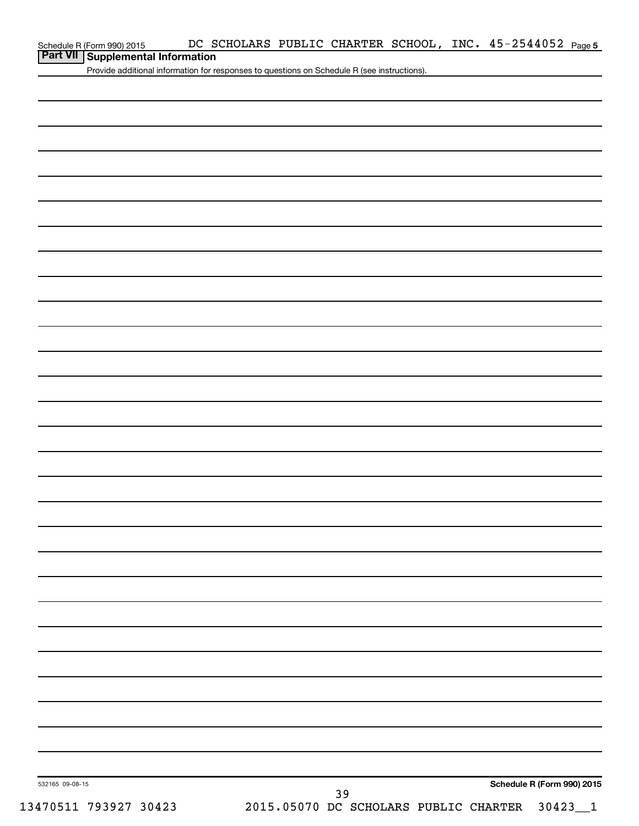| Schedule R (Form 990) 2015 |
|----------------------------|
|----------------------------|

# **Part VII Supplemental Information**

Provide additional information for responses to questions on Schedule R (see instructions).

| 532165 09-08-15       |                                       | Schedule R (Form 990) 2015 |
|-----------------------|---------------------------------------|----------------------------|
|                       | 39                                    |                            |
| 13470511 793927 30423 | 2015.05070 DC SCHOLARS PUBLIC CHARTER | 30423                      |